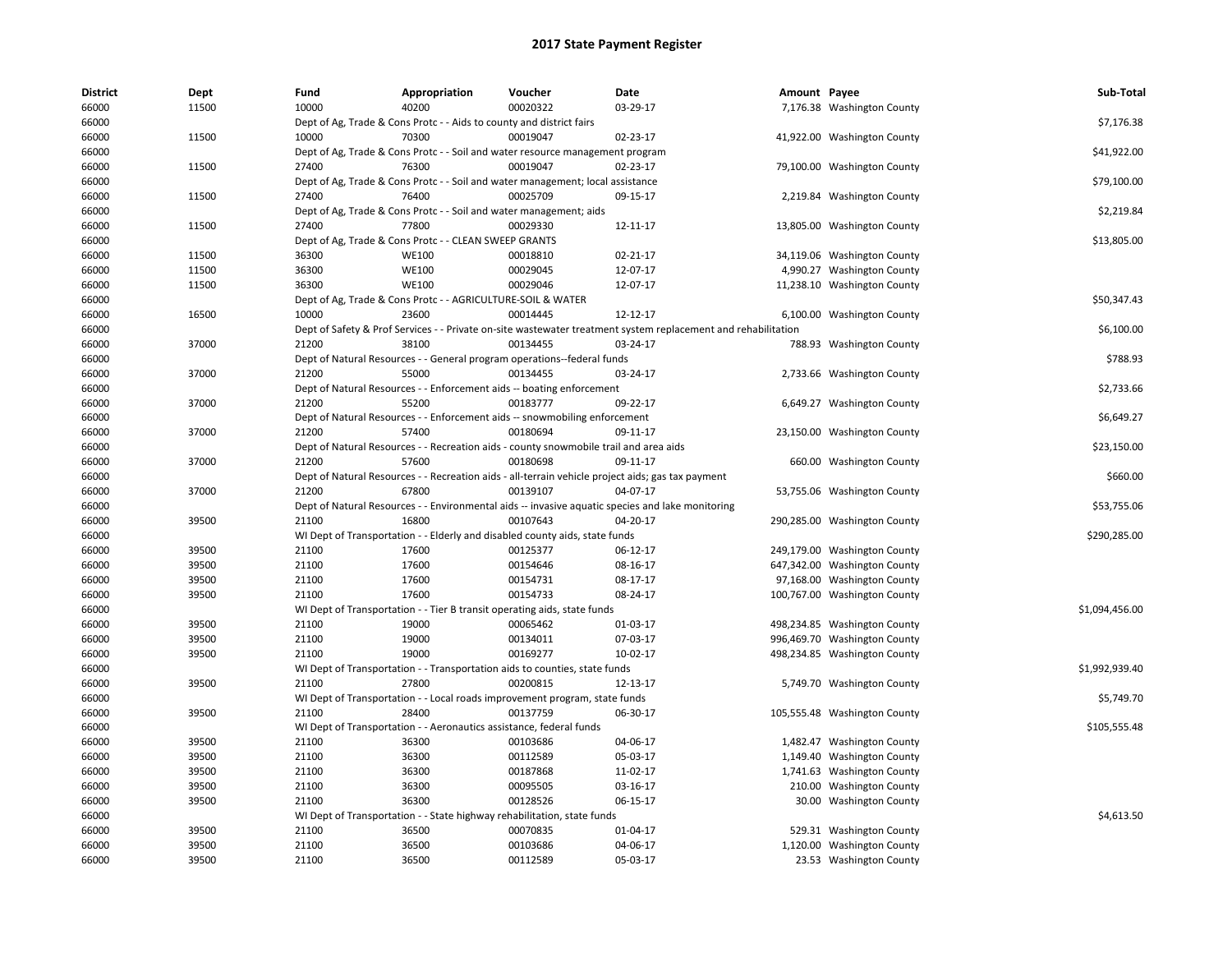| <b>District</b> | Dept  | Fund           | Appropriation                                                        | Voucher                                                                                | Date                                                                                                          | Amount Payee |                              | Sub-Total      |
|-----------------|-------|----------------|----------------------------------------------------------------------|----------------------------------------------------------------------------------------|---------------------------------------------------------------------------------------------------------------|--------------|------------------------------|----------------|
| 66000           | 11500 | 10000          | 40200                                                                | 00020322                                                                               | 03-29-17                                                                                                      |              | 7,176.38 Washington County   |                |
| 66000           |       |                | Dept of Ag, Trade & Cons Protc - - Aids to county and district fairs |                                                                                        |                                                                                                               |              |                              | \$7,176.38     |
| 66000           | 11500 | 10000          | 70300                                                                | 00019047                                                                               | 02-23-17                                                                                                      |              | 41,922.00 Washington County  |                |
| 66000           |       |                |                                                                      | Dept of Ag, Trade & Cons Protc - - Soil and water resource management program          |                                                                                                               |              |                              | \$41,922.00    |
| 66000           | 11500 | 27400          | 76300                                                                | 00019047                                                                               | 02-23-17                                                                                                      |              | 79,100.00 Washington County  |                |
| 66000           |       |                |                                                                      | Dept of Ag, Trade & Cons Protc - - Soil and water management; local assistance         |                                                                                                               |              |                              | \$79,100.00    |
| 66000           | 11500 | 27400          | 76400                                                                | 00025709                                                                               | 09-15-17                                                                                                      |              | 2,219.84 Washington County   |                |
| 66000           |       |                | Dept of Ag, Trade & Cons Protc - - Soil and water management; aids   |                                                                                        |                                                                                                               |              |                              | \$2,219.84     |
| 66000           | 11500 | 27400          | 77800                                                                | 00029330                                                                               | 12-11-17                                                                                                      |              | 13,805.00 Washington County  |                |
| 66000           |       |                | Dept of Ag, Trade & Cons Protc - - CLEAN SWEEP GRANTS                |                                                                                        |                                                                                                               |              |                              | \$13,805.00    |
| 66000           | 11500 | 36300          | <b>WE100</b>                                                         | 00018810                                                                               | 02-21-17                                                                                                      |              | 34,119.06 Washington County  |                |
| 66000           | 11500 | 36300          | <b>WE100</b>                                                         | 00029045                                                                               | 12-07-17                                                                                                      |              | 4,990.27 Washington County   |                |
| 66000           | 11500 | 36300          | <b>WE100</b>                                                         | 00029046                                                                               | 12-07-17                                                                                                      |              | 11,238.10 Washington County  |                |
| 66000           |       |                | Dept of Ag, Trade & Cons Protc - - AGRICULTURE-SOIL & WATER          |                                                                                        |                                                                                                               |              |                              | \$50,347.43    |
| 66000           | 16500 | 10000          | 23600                                                                | 00014445                                                                               | 12-12-17                                                                                                      |              | 6,100.00 Washington County   |                |
| 66000           |       |                |                                                                      |                                                                                        | Dept of Safety & Prof Services - - Private on-site wastewater treatment system replacement and rehabilitation |              |                              | \$6,100.00     |
| 66000           | 37000 | 21200          | 38100                                                                | 00134455                                                                               | 03-24-17                                                                                                      |              | 788.93 Washington County     |                |
| 66000           |       |                |                                                                      | Dept of Natural Resources - - General program operations--federal funds                |                                                                                                               |              |                              | \$788.93       |
| 66000           | 37000 | 21200          | 55000                                                                | 00134455                                                                               | 03-24-17                                                                                                      |              | 2,733.66 Washington County   |                |
| 66000           |       |                |                                                                      | Dept of Natural Resources - - Enforcement aids -- boating enforcement                  |                                                                                                               |              |                              | \$2,733.66     |
| 66000           | 37000 | 21200          | 55200                                                                | 00183777                                                                               | 09-22-17                                                                                                      |              | 6,649.27 Washington County   |                |
| 66000           |       |                |                                                                      | Dept of Natural Resources - - Enforcement aids -- snowmobiling enforcement             |                                                                                                               |              |                              | \$6,649.27     |
| 66000           | 37000 | 21200          | 57400                                                                | 00180694                                                                               | 09-11-17                                                                                                      |              | 23,150.00 Washington County  |                |
| 66000           |       |                |                                                                      | Dept of Natural Resources - - Recreation aids - county snowmobile trail and area aids  |                                                                                                               |              |                              | \$23,150.00    |
| 66000           | 37000 | 21200          | 57600                                                                | 00180698                                                                               | 09-11-17                                                                                                      |              | 660.00 Washington County     |                |
| 66000           |       |                |                                                                      |                                                                                        | Dept of Natural Resources - - Recreation aids - all-terrain vehicle project aids; gas tax payment             |              |                              | \$660.00       |
| 66000           | 37000 | 21200          | 67800                                                                | 00139107                                                                               | 04-07-17                                                                                                      |              | 53,755.06 Washington County  |                |
| 66000           |       |                |                                                                      |                                                                                        | Dept of Natural Resources - - Environmental aids -- invasive aquatic species and lake monitoring              |              |                              | \$53,755.06    |
| 66000           | 39500 | 21100          | 16800                                                                | 00107643                                                                               | 04-20-17                                                                                                      |              | 290,285.00 Washington County |                |
| 66000           |       |                |                                                                      | WI Dept of Transportation - - Elderly and disabled county aids, state funds            |                                                                                                               |              |                              | \$290,285.00   |
| 66000           | 39500 | 21100          | 17600                                                                | 00125377                                                                               | 06-12-17                                                                                                      |              | 249,179.00 Washington County |                |
| 66000           | 39500 | 21100          | 17600                                                                | 00154646                                                                               | 08-16-17                                                                                                      |              | 647,342.00 Washington County |                |
| 66000           | 39500 | 21100          | 17600                                                                | 00154731                                                                               | 08-17-17                                                                                                      |              | 97,168.00 Washington County  |                |
| 66000           | 39500 | 21100          | 17600                                                                | 00154733                                                                               | 08-24-17                                                                                                      |              | 100,767.00 Washington County |                |
| 66000           |       |                |                                                                      | WI Dept of Transportation - - Tier B transit operating aids, state funds               |                                                                                                               |              |                              | \$1,094,456.00 |
| 66000           | 39500 | 21100          | 19000                                                                | 00065462                                                                               | 01-03-17                                                                                                      |              | 498,234.85 Washington County |                |
| 66000           | 39500 | 21100          | 19000                                                                | 00134011                                                                               | 07-03-17                                                                                                      |              | 996,469.70 Washington County |                |
| 66000           | 39500 | 21100          | 19000                                                                | 00169277                                                                               | 10-02-17                                                                                                      |              | 498,234.85 Washington County |                |
| 66000           |       |                |                                                                      | WI Dept of Transportation - - Transportation aids to counties, state funds             |                                                                                                               |              |                              | \$1,992,939.40 |
| 66000           | 39500 | 21100          | 27800                                                                | 00200815                                                                               | 12-13-17                                                                                                      |              | 5,749.70 Washington County   |                |
| 66000           |       |                |                                                                      |                                                                                        |                                                                                                               |              |                              | \$5,749.70     |
| 66000           | 39500 | 21100          | 28400                                                                | WI Dept of Transportation - - Local roads improvement program, state funds<br>00137759 | 06-30-17                                                                                                      |              | 105,555.48 Washington County |                |
| 66000           |       |                | WI Dept of Transportation - - Aeronautics assistance, federal funds  |                                                                                        |                                                                                                               |              |                              | \$105,555.48   |
| 66000           | 39500 | 21100          | 36300                                                                | 00103686                                                                               | 04-06-17                                                                                                      |              | 1,482.47 Washington County   |                |
|                 |       |                |                                                                      |                                                                                        |                                                                                                               |              |                              |                |
| 66000           | 39500 | 21100          | 36300                                                                | 00112589<br>00187868                                                                   | 05-03-17                                                                                                      |              | 1,149.40 Washington County   |                |
| 66000           | 39500 | 21100<br>21100 | 36300                                                                | 00095505                                                                               | 11-02-17                                                                                                      |              | 1,741.63 Washington County   |                |
| 66000           | 39500 |                | 36300                                                                |                                                                                        | 03-16-17                                                                                                      |              | 210.00 Washington County     |                |
| 66000           | 39500 | 21100          | 36300                                                                | 00128526                                                                               | 06-15-17                                                                                                      |              | 30.00 Washington County      |                |
| 66000           |       |                |                                                                      | WI Dept of Transportation - - State highway rehabilitation, state funds                |                                                                                                               |              |                              | \$4,613.50     |
| 66000           | 39500 | 21100          | 36500                                                                | 00070835                                                                               | 01-04-17                                                                                                      |              | 529.31 Washington County     |                |
| 66000           | 39500 | 21100          | 36500                                                                | 00103686                                                                               | 04-06-17                                                                                                      |              | 1,120.00 Washington County   |                |
| 66000           | 39500 | 21100          | 36500                                                                | 00112589                                                                               | 05-03-17                                                                                                      |              | 23.53 Washington County      |                |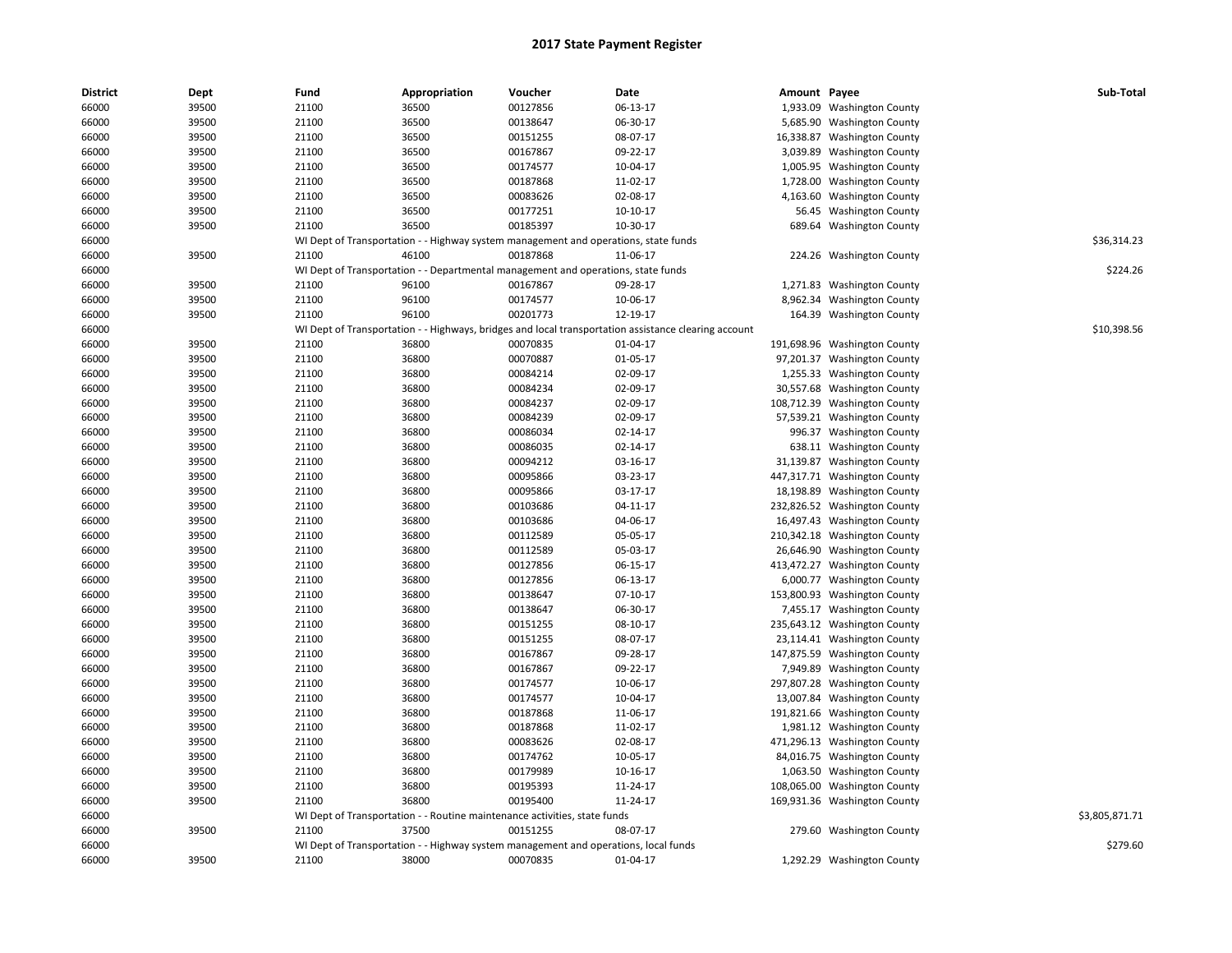| <b>District</b> | Dept  | Fund  | Appropriation                                                                       | Voucher  | Date                                                                                                 | Amount Payee |                              | Sub-Total      |
|-----------------|-------|-------|-------------------------------------------------------------------------------------|----------|------------------------------------------------------------------------------------------------------|--------------|------------------------------|----------------|
| 66000           | 39500 | 21100 | 36500                                                                               | 00127856 | 06-13-17                                                                                             |              | 1,933.09 Washington County   |                |
| 66000           | 39500 | 21100 | 36500                                                                               | 00138647 | 06-30-17                                                                                             | 5,685.90     | <b>Washington County</b>     |                |
| 66000           | 39500 | 21100 | 36500                                                                               | 00151255 | 08-07-17                                                                                             |              | 16,338.87 Washington County  |                |
| 66000           | 39500 | 21100 | 36500                                                                               | 00167867 | 09-22-17                                                                                             |              | 3,039.89 Washington County   |                |
| 66000           | 39500 | 21100 | 36500                                                                               | 00174577 | 10-04-17                                                                                             | 1,005.95     | <b>Washington County</b>     |                |
| 66000           | 39500 | 21100 | 36500                                                                               | 00187868 | 11-02-17                                                                                             | 1,728.00     | <b>Washington County</b>     |                |
| 66000           | 39500 | 21100 | 36500                                                                               | 00083626 | 02-08-17                                                                                             | 4,163.60     | <b>Washington County</b>     |                |
| 66000           | 39500 | 21100 | 36500                                                                               | 00177251 | 10-10-17                                                                                             |              | 56.45 Washington County      |                |
| 66000           | 39500 | 21100 | 36500                                                                               | 00185397 | 10-30-17                                                                                             | 689.64       | <b>Washington County</b>     |                |
| 66000           |       |       | WI Dept of Transportation - - Highway system management and operations, state funds |          |                                                                                                      |              |                              | \$36,314.23    |
| 66000           | 39500 | 21100 | 46100                                                                               | 00187868 | 11-06-17                                                                                             |              | 224.26 Washington County     |                |
| 66000           |       |       | WI Dept of Transportation - - Departmental management and operations, state funds   |          |                                                                                                      |              |                              | \$224.26       |
| 66000           | 39500 | 21100 | 96100                                                                               | 00167867 | 09-28-17                                                                                             |              | 1,271.83 Washington County   |                |
| 66000           | 39500 | 21100 | 96100                                                                               | 00174577 | 10-06-17                                                                                             |              | 8,962.34 Washington County   |                |
| 66000           | 39500 | 21100 | 96100                                                                               | 00201773 | 12-19-17                                                                                             |              | 164.39 Washington County     |                |
| 66000           |       |       |                                                                                     |          | WI Dept of Transportation - - Highways, bridges and local transportation assistance clearing account |              |                              | \$10,398.56    |
| 66000           | 39500 | 21100 | 36800                                                                               | 00070835 | 01-04-17                                                                                             | 191,698.96   | <b>Washington County</b>     |                |
| 66000           | 39500 | 21100 | 36800                                                                               | 00070887 | 01-05-17                                                                                             |              | 97,201.37 Washington County  |                |
| 66000           | 39500 | 21100 | 36800                                                                               | 00084214 | 02-09-17                                                                                             |              | 1,255.33 Washington County   |                |
| 66000           | 39500 | 21100 | 36800                                                                               | 00084234 | 02-09-17                                                                                             | 30,557.68    | <b>Washington County</b>     |                |
| 66000           | 39500 | 21100 | 36800                                                                               | 00084237 | 02-09-17                                                                                             |              | 108,712.39 Washington County |                |
| 66000           | 39500 | 21100 | 36800                                                                               | 00084239 | 02-09-17                                                                                             |              | 57,539.21 Washington County  |                |
| 66000           | 39500 | 21100 | 36800                                                                               | 00086034 | 02-14-17                                                                                             |              | 996.37 Washington County     |                |
| 66000           | 39500 | 21100 | 36800                                                                               | 00086035 | 02-14-17                                                                                             |              | 638.11 Washington County     |                |
| 66000           | 39500 | 21100 | 36800                                                                               | 00094212 | 03-16-17                                                                                             | 31,139.87    | <b>Washington County</b>     |                |
| 66000           | 39500 | 21100 | 36800                                                                               | 00095866 | 03-23-17                                                                                             |              | 447,317.71 Washington County |                |
| 66000           | 39500 | 21100 | 36800                                                                               | 00095866 | 03-17-17                                                                                             | 18,198.89    | <b>Washington County</b>     |                |
| 66000           | 39500 | 21100 | 36800                                                                               | 00103686 | 04-11-17                                                                                             | 232,826.52   | <b>Washington County</b>     |                |
| 66000           | 39500 | 21100 | 36800                                                                               | 00103686 | 04-06-17                                                                                             | 16,497.43    | <b>Washington County</b>     |                |
| 66000           | 39500 | 21100 | 36800                                                                               | 00112589 | 05-05-17                                                                                             |              | 210,342.18 Washington County |                |
| 66000           | 39500 | 21100 | 36800                                                                               | 00112589 | 05-03-17                                                                                             |              | 26,646.90 Washington County  |                |
| 66000           | 39500 | 21100 | 36800                                                                               | 00127856 | 06-15-17                                                                                             |              | 413,472.27 Washington County |                |
| 66000           | 39500 | 21100 | 36800                                                                               | 00127856 | 06-13-17                                                                                             | 6,000.77     | <b>Washington County</b>     |                |
| 66000           | 39500 | 21100 | 36800                                                                               | 00138647 | $07-10-17$                                                                                           | 153,800.93   | <b>Washington County</b>     |                |
| 66000           | 39500 | 21100 | 36800                                                                               | 00138647 | 06-30-17                                                                                             |              | 7,455.17 Washington County   |                |
| 66000           | 39500 | 21100 | 36800                                                                               | 00151255 | 08-10-17                                                                                             |              | 235,643.12 Washington County |                |
| 66000           | 39500 | 21100 | 36800                                                                               | 00151255 | 08-07-17                                                                                             |              | 23,114.41 Washington County  |                |
| 66000           | 39500 | 21100 | 36800                                                                               | 00167867 | 09-28-17                                                                                             |              | 147,875.59 Washington County |                |
| 66000           | 39500 | 21100 | 36800                                                                               | 00167867 | 09-22-17                                                                                             | 7,949.89     | <b>Washington County</b>     |                |
| 66000           | 39500 | 21100 | 36800                                                                               | 00174577 | 10-06-17                                                                                             |              | 297,807.28 Washington County |                |
| 66000           | 39500 | 21100 | 36800                                                                               | 00174577 | 10-04-17                                                                                             |              | 13,007.84 Washington County  |                |
| 66000           | 39500 | 21100 | 36800                                                                               | 00187868 | 11-06-17                                                                                             | 191,821.66   | <b>Washington County</b>     |                |
| 66000           | 39500 | 21100 | 36800                                                                               | 00187868 | 11-02-17                                                                                             |              | 1,981.12 Washington County   |                |
| 66000           | 39500 | 21100 | 36800                                                                               | 00083626 | 02-08-17                                                                                             |              | 471,296.13 Washington County |                |
| 66000           | 39500 | 21100 | 36800                                                                               | 00174762 | 10-05-17                                                                                             |              | 84,016.75 Washington County  |                |
| 66000           | 39500 | 21100 | 36800                                                                               | 00179989 | 10-16-17                                                                                             |              | 1,063.50 Washington County   |                |
| 66000           | 39500 | 21100 | 36800                                                                               | 00195393 | 11-24-17                                                                                             |              | 108,065.00 Washington County |                |
| 66000           | 39500 | 21100 | 36800                                                                               | 00195400 | 11-24-17                                                                                             |              | 169,931.36 Washington County |                |
| 66000           |       |       | WI Dept of Transportation - - Routine maintenance activities, state funds           |          |                                                                                                      |              |                              | \$3,805,871.71 |
| 66000           | 39500 | 21100 | 37500                                                                               | 00151255 | 08-07-17                                                                                             |              | 279.60 Washington County     |                |
| 66000           |       |       | WI Dept of Transportation - - Highway system management and operations, local funds |          |                                                                                                      |              |                              | \$279.60       |
| 66000           | 39500 | 21100 | 38000                                                                               | 00070835 | 01-04-17                                                                                             |              | 1,292.29 Washington County   |                |
|                 |       |       |                                                                                     |          |                                                                                                      |              |                              |                |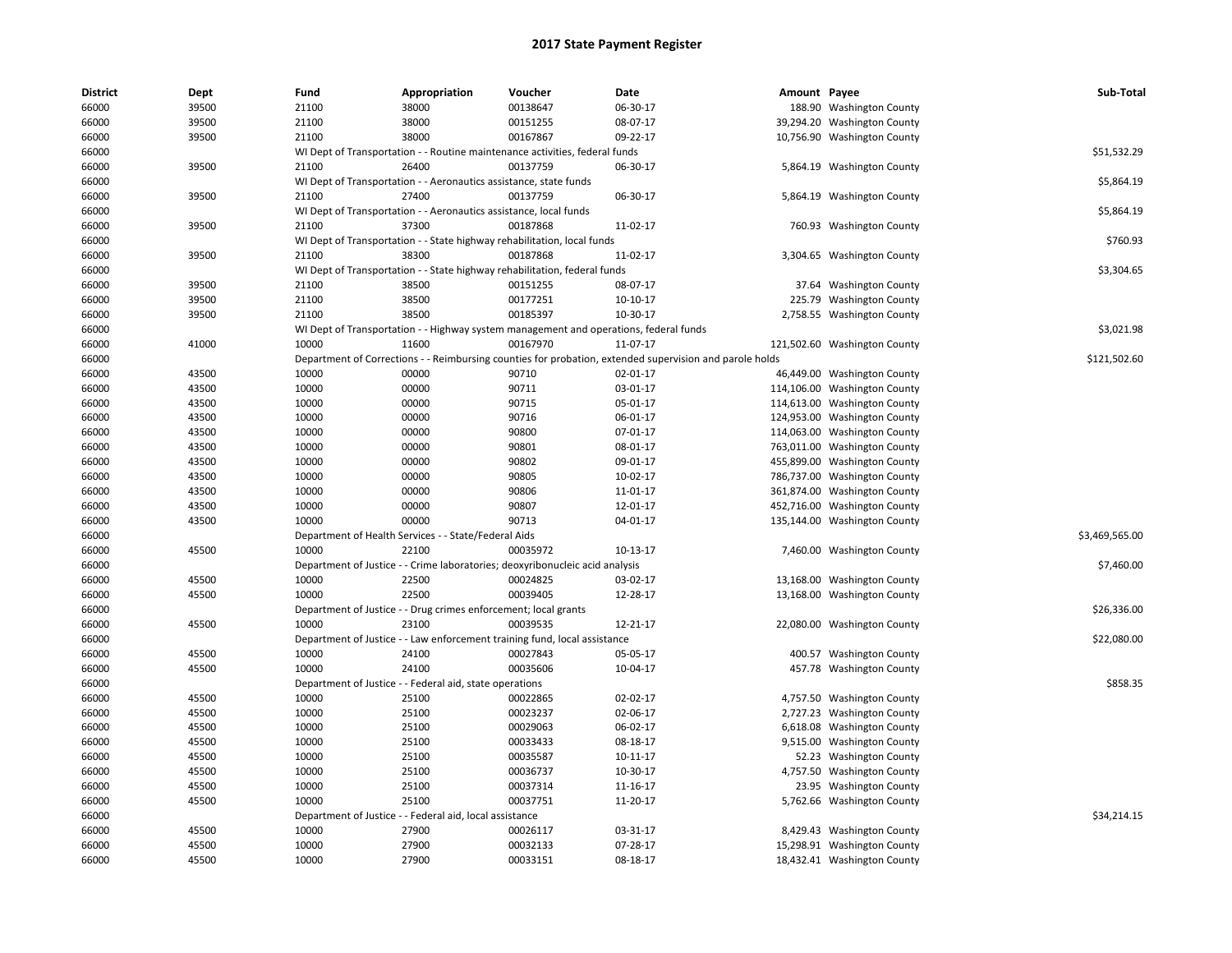| <b>District</b> | Dept  | Fund  | Appropriation                                                     | Voucher                                                                               | Date                                                                                                    | Amount Payee |                              | Sub-Total      |
|-----------------|-------|-------|-------------------------------------------------------------------|---------------------------------------------------------------------------------------|---------------------------------------------------------------------------------------------------------|--------------|------------------------------|----------------|
| 66000           | 39500 | 21100 | 38000                                                             | 00138647                                                                              | 06-30-17                                                                                                |              | 188.90 Washington County     |                |
| 66000           | 39500 | 21100 | 38000                                                             | 00151255                                                                              | 08-07-17                                                                                                |              | 39,294.20 Washington County  |                |
| 66000           | 39500 | 21100 | 38000                                                             | 00167867                                                                              | 09-22-17                                                                                                |              | 10,756.90 Washington County  |                |
| 66000           |       |       |                                                                   | WI Dept of Transportation - - Routine maintenance activities, federal funds           |                                                                                                         |              |                              | \$51,532.29    |
| 66000           | 39500 | 21100 | 26400                                                             | 00137759                                                                              | 06-30-17                                                                                                |              | 5,864.19 Washington County   |                |
| 66000           |       |       | WI Dept of Transportation - - Aeronautics assistance, state funds |                                                                                       |                                                                                                         |              |                              | \$5,864.19     |
| 66000           | 39500 | 21100 | 27400                                                             | 00137759                                                                              | 06-30-17                                                                                                |              | 5,864.19 Washington County   |                |
| 66000           |       |       | WI Dept of Transportation - - Aeronautics assistance, local funds |                                                                                       |                                                                                                         |              |                              | \$5,864.19     |
| 66000           | 39500 | 21100 | 37300                                                             | 00187868                                                                              | 11-02-17                                                                                                |              | 760.93 Washington County     |                |
| 66000           |       |       |                                                                   | WI Dept of Transportation - - State highway rehabilitation, local funds               |                                                                                                         |              |                              | \$760.93       |
| 66000           | 39500 | 21100 | 38300                                                             | 00187868                                                                              | 11-02-17                                                                                                |              | 3,304.65 Washington County   |                |
| 66000           |       |       |                                                                   | WI Dept of Transportation - - State highway rehabilitation, federal funds             |                                                                                                         |              |                              | \$3,304.65     |
| 66000           | 39500 | 21100 | 38500                                                             | 00151255                                                                              | 08-07-17                                                                                                |              | 37.64 Washington County      |                |
| 66000           | 39500 | 21100 | 38500                                                             | 00177251                                                                              | $10-10-17$                                                                                              |              | 225.79 Washington County     |                |
| 66000           | 39500 | 21100 | 38500                                                             | 00185397                                                                              | 10-30-17                                                                                                |              | 2,758.55 Washington County   |                |
| 66000           |       |       |                                                                   | WI Dept of Transportation - - Highway system management and operations, federal funds |                                                                                                         |              |                              | \$3,021.98     |
| 66000           | 41000 | 10000 | 11600                                                             | 00167970                                                                              | 11-07-17                                                                                                |              | 121,502.60 Washington County |                |
| 66000           |       |       |                                                                   |                                                                                       | Department of Corrections - - Reimbursing counties for probation, extended supervision and parole holds |              |                              | \$121,502.60   |
| 66000           | 43500 | 10000 | 00000                                                             | 90710                                                                                 | 02-01-17                                                                                                |              | 46,449.00 Washington County  |                |
| 66000           | 43500 | 10000 | 00000                                                             | 90711                                                                                 | 03-01-17                                                                                                |              | 114,106.00 Washington County |                |
| 66000           | 43500 | 10000 | 00000                                                             | 90715                                                                                 | 05-01-17                                                                                                |              | 114,613.00 Washington County |                |
| 66000           | 43500 | 10000 | 00000                                                             | 90716                                                                                 | 06-01-17                                                                                                |              | 124,953.00 Washington County |                |
| 66000           | 43500 | 10000 | 00000                                                             | 90800                                                                                 | 07-01-17                                                                                                |              | 114,063.00 Washington County |                |
| 66000           | 43500 | 10000 | 00000                                                             | 90801                                                                                 | 08-01-17                                                                                                |              | 763,011.00 Washington County |                |
| 66000           | 43500 | 10000 | 00000                                                             | 90802                                                                                 | 09-01-17                                                                                                |              | 455,899.00 Washington County |                |
| 66000           | 43500 | 10000 | 00000                                                             | 90805                                                                                 | 10-02-17                                                                                                |              | 786,737.00 Washington County |                |
| 66000           | 43500 | 10000 | 00000                                                             | 90806                                                                                 | 11-01-17                                                                                                |              | 361,874.00 Washington County |                |
| 66000           | 43500 | 10000 | 00000                                                             | 90807                                                                                 | 12-01-17                                                                                                |              | 452,716.00 Washington County |                |
| 66000           | 43500 | 10000 | 00000                                                             | 90713                                                                                 | 04-01-17                                                                                                |              | 135,144.00 Washington County |                |
| 66000           |       |       | Department of Health Services - - State/Federal Aids              |                                                                                       |                                                                                                         |              |                              | \$3,469,565.00 |
| 66000           | 45500 | 10000 | 22100                                                             | 00035972                                                                              | 10-13-17                                                                                                |              | 7,460.00 Washington County   |                |
| 66000           |       |       |                                                                   | Department of Justice - - Crime laboratories; deoxyribonucleic acid analysis          |                                                                                                         |              |                              | \$7,460.00     |
| 66000           | 45500 | 10000 | 22500                                                             | 00024825                                                                              | 03-02-17                                                                                                |              | 13,168.00 Washington County  |                |
| 66000           | 45500 | 10000 | 22500                                                             | 00039405                                                                              | 12-28-17                                                                                                |              | 13,168.00 Washington County  |                |
| 66000           |       |       | Department of Justice - - Drug crimes enforcement; local grants   |                                                                                       |                                                                                                         |              |                              | \$26,336.00    |
| 66000           | 45500 | 10000 | 23100                                                             | 00039535                                                                              | 12-21-17                                                                                                |              | 22,080.00 Washington County  |                |
| 66000           |       |       |                                                                   | Department of Justice - - Law enforcement training fund, local assistance             |                                                                                                         |              |                              | \$22,080.00    |
| 66000           | 45500 | 10000 | 24100                                                             | 00027843                                                                              | 05-05-17                                                                                                |              | 400.57 Washington County     |                |
| 66000           | 45500 | 10000 | 24100                                                             | 00035606                                                                              | 10-04-17                                                                                                |              | 457.78 Washington County     |                |
| 66000           |       |       | Department of Justice - - Federal aid, state operations           |                                                                                       |                                                                                                         |              |                              | \$858.35       |
| 66000           | 45500 | 10000 | 25100                                                             | 00022865                                                                              | 02-02-17                                                                                                |              | 4,757.50 Washington County   |                |
| 66000           | 45500 | 10000 | 25100                                                             | 00023237                                                                              | 02-06-17                                                                                                |              | 2,727.23 Washington County   |                |
| 66000           | 45500 | 10000 | 25100                                                             | 00029063                                                                              | 06-02-17                                                                                                |              | 6,618.08 Washington County   |                |
| 66000           | 45500 | 10000 | 25100                                                             | 00033433                                                                              | 08-18-17                                                                                                |              | 9,515.00 Washington County   |                |
| 66000           | 45500 | 10000 | 25100                                                             | 00035587                                                                              | 10-11-17                                                                                                |              | 52.23 Washington County      |                |
| 66000           | 45500 | 10000 | 25100                                                             | 00036737                                                                              | 10-30-17                                                                                                |              | 4,757.50 Washington County   |                |
| 66000           | 45500 | 10000 | 25100                                                             | 00037314                                                                              | 11-16-17                                                                                                |              | 23.95 Washington County      |                |
| 66000           | 45500 | 10000 | 25100                                                             | 00037751                                                                              | 11-20-17                                                                                                |              | 5,762.66 Washington County   |                |
| 66000           |       |       | Department of Justice - - Federal aid, local assistance           |                                                                                       |                                                                                                         |              |                              | \$34,214.15    |
| 66000           | 45500 | 10000 | 27900                                                             | 00026117                                                                              | 03-31-17                                                                                                |              | 8,429.43 Washington County   |                |
| 66000           | 45500 | 10000 | 27900                                                             | 00032133                                                                              | 07-28-17                                                                                                |              | 15,298.91 Washington County  |                |
| 66000           | 45500 | 10000 | 27900                                                             | 00033151                                                                              | 08-18-17                                                                                                |              | 18,432.41 Washington County  |                |
|                 |       |       |                                                                   |                                                                                       |                                                                                                         |              |                              |                |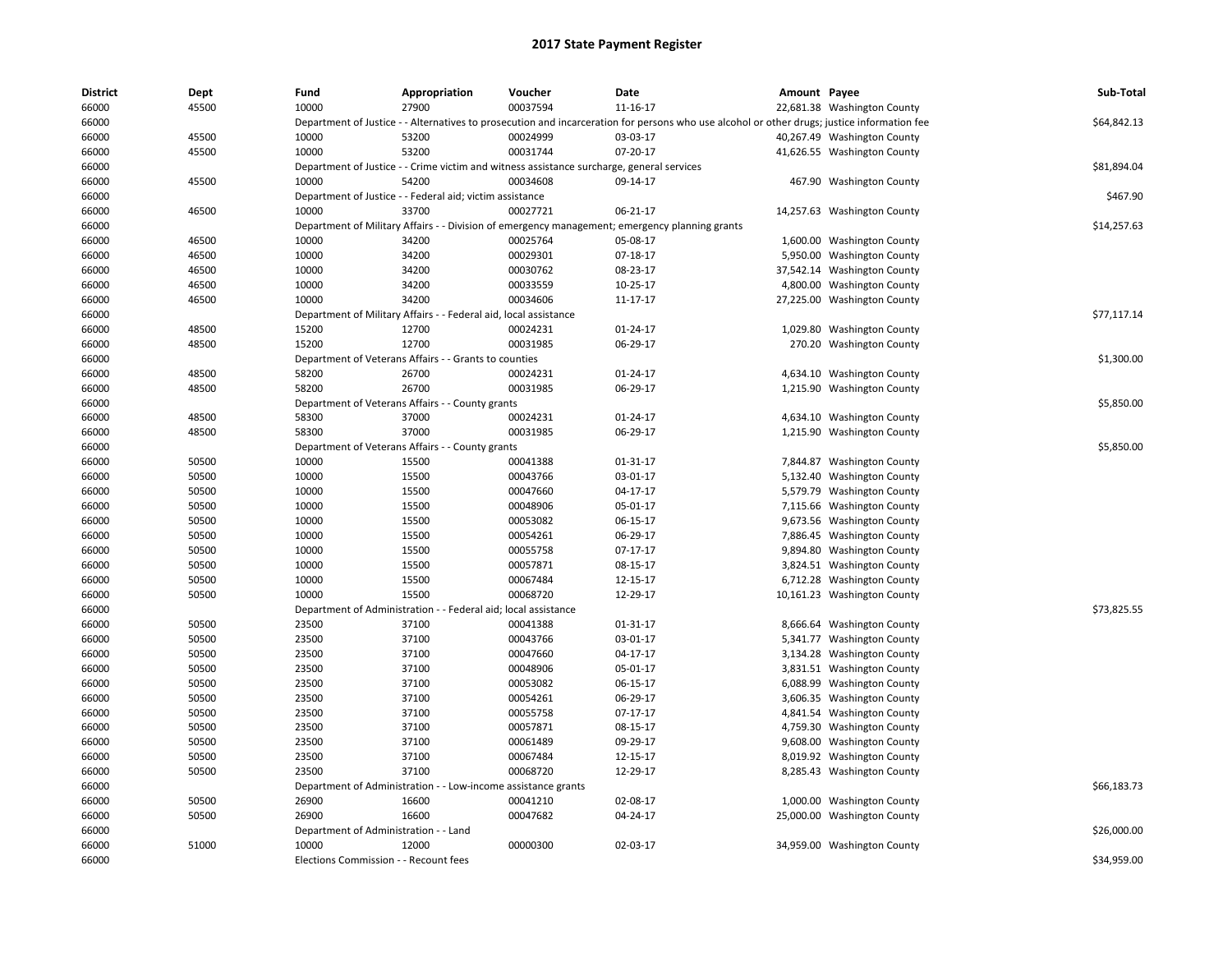| District | Dept  | Fund                                  | Appropriation                                                                             | Voucher  | Date                                                                                                                                        | Amount Payee |                             | Sub-Total   |
|----------|-------|---------------------------------------|-------------------------------------------------------------------------------------------|----------|---------------------------------------------------------------------------------------------------------------------------------------------|--------------|-----------------------------|-------------|
| 66000    | 45500 | 10000                                 | 27900                                                                                     | 00037594 | 11-16-17                                                                                                                                    |              | 22,681.38 Washington County |             |
| 66000    |       |                                       |                                                                                           |          | Department of Justice - - Alternatives to prosecution and incarceration for persons who use alcohol or other drugs; justice information fee |              |                             | \$64,842.13 |
| 66000    | 45500 | 10000                                 | 53200                                                                                     | 00024999 | 03-03-17                                                                                                                                    |              | 40,267.49 Washington County |             |
| 66000    | 45500 | 10000                                 | 53200                                                                                     | 00031744 | 07-20-17                                                                                                                                    |              | 41,626.55 Washington County |             |
| 66000    |       |                                       | Department of Justice - - Crime victim and witness assistance surcharge, general services |          |                                                                                                                                             |              |                             | \$81,894.04 |
| 66000    | 45500 | 10000                                 | 54200                                                                                     | 00034608 | 09-14-17                                                                                                                                    |              | 467.90 Washington County    |             |
| 66000    |       |                                       | Department of Justice - - Federal aid; victim assistance                                  |          |                                                                                                                                             |              |                             | \$467.90    |
| 66000    | 46500 | 10000                                 | 33700                                                                                     | 00027721 | 06-21-17                                                                                                                                    |              | 14,257.63 Washington County |             |
| 66000    |       | Department of Military Affairs -      |                                                                                           |          | - Division of emergency management; emergency planning grants                                                                               |              |                             | \$14,257.63 |
| 66000    | 46500 | 10000                                 | 34200                                                                                     | 00025764 | 05-08-17                                                                                                                                    |              | 1,600.00 Washington County  |             |
| 66000    | 46500 | 10000                                 | 34200                                                                                     | 00029301 | 07-18-17                                                                                                                                    |              | 5,950.00 Washington County  |             |
| 66000    | 46500 | 10000                                 | 34200                                                                                     | 00030762 | 08-23-17                                                                                                                                    |              | 37,542.14 Washington County |             |
| 66000    | 46500 | 10000                                 | 34200                                                                                     | 00033559 | 10-25-17                                                                                                                                    |              | 4,800.00 Washington County  |             |
| 66000    | 46500 | 10000                                 | 34200                                                                                     | 00034606 | 11-17-17                                                                                                                                    |              | 27,225.00 Washington County |             |
| 66000    |       |                                       | Department of Military Affairs - - Federal aid, local assistance                          |          |                                                                                                                                             |              |                             | \$77,117.14 |
| 66000    | 48500 | 15200                                 | 12700                                                                                     | 00024231 | $01 - 24 - 17$                                                                                                                              |              | 1,029.80 Washington County  |             |
| 66000    | 48500 | 15200                                 | 12700                                                                                     | 00031985 | 06-29-17                                                                                                                                    |              | 270.20 Washington County    |             |
| 66000    |       |                                       | Department of Veterans Affairs - - Grants to counties                                     |          |                                                                                                                                             |              |                             | \$1,300.00  |
| 66000    | 48500 | 58200                                 | 26700                                                                                     | 00024231 | $01 - 24 - 17$                                                                                                                              |              | 4,634.10 Washington County  |             |
| 66000    | 48500 | 58200                                 | 26700                                                                                     | 00031985 | 06-29-17                                                                                                                                    |              | 1,215.90 Washington County  |             |
| 66000    |       |                                       | Department of Veterans Affairs - - County grants                                          |          |                                                                                                                                             |              |                             | \$5,850.00  |
| 66000    | 48500 | 58300                                 | 37000                                                                                     | 00024231 | 01-24-17                                                                                                                                    |              | 4,634.10 Washington County  |             |
| 66000    | 48500 | 58300                                 | 37000                                                                                     | 00031985 | 06-29-17                                                                                                                                    |              | 1,215.90 Washington County  |             |
| 66000    |       |                                       | Department of Veterans Affairs - - County grants                                          |          |                                                                                                                                             |              |                             | \$5,850.00  |
| 66000    | 50500 | 10000                                 | 15500                                                                                     | 00041388 | 01-31-17                                                                                                                                    |              | 7,844.87 Washington County  |             |
| 66000    | 50500 | 10000                                 | 15500                                                                                     | 00043766 | 03-01-17                                                                                                                                    |              | 5,132.40 Washington County  |             |
| 66000    | 50500 | 10000                                 | 15500                                                                                     | 00047660 | 04-17-17                                                                                                                                    |              | 5,579.79 Washington County  |             |
| 66000    | 50500 | 10000                                 | 15500                                                                                     | 00048906 | 05-01-17                                                                                                                                    | 7,115.66     | <b>Washington County</b>    |             |
| 66000    | 50500 | 10000                                 | 15500                                                                                     | 00053082 | 06-15-17                                                                                                                                    |              | 9,673.56 Washington County  |             |
| 66000    | 50500 | 10000                                 | 15500                                                                                     | 00054261 | 06-29-17                                                                                                                                    |              | 7,886.45 Washington County  |             |
| 66000    | 50500 | 10000                                 | 15500                                                                                     | 00055758 | 07-17-17                                                                                                                                    |              | 9,894.80 Washington County  |             |
| 66000    | 50500 | 10000                                 | 15500                                                                                     | 00057871 | 08-15-17                                                                                                                                    |              | 3,824.51 Washington County  |             |
| 66000    | 50500 | 10000                                 | 15500                                                                                     | 00067484 | 12-15-17                                                                                                                                    |              | 6,712.28 Washington County  |             |
| 66000    | 50500 | 10000                                 | 15500                                                                                     | 00068720 | 12-29-17                                                                                                                                    |              | 10,161.23 Washington County |             |
| 66000    |       |                                       | Department of Administration - - Federal aid; local assistance                            |          |                                                                                                                                             |              |                             | \$73,825.55 |
| 66000    | 50500 | 23500                                 | 37100                                                                                     | 00041388 | 01-31-17                                                                                                                                    |              | 8,666.64 Washington County  |             |
| 66000    | 50500 | 23500                                 | 37100                                                                                     | 00043766 | 03-01-17                                                                                                                                    |              | 5,341.77 Washington County  |             |
| 66000    | 50500 | 23500                                 | 37100                                                                                     | 00047660 | 04-17-17                                                                                                                                    |              | 3,134.28 Washington County  |             |
| 66000    | 50500 | 23500                                 | 37100                                                                                     | 00048906 | 05-01-17                                                                                                                                    |              | 3,831.51 Washington County  |             |
| 66000    | 50500 | 23500                                 | 37100                                                                                     | 00053082 | 06-15-17                                                                                                                                    |              | 6,088.99 Washington County  |             |
| 66000    | 50500 | 23500                                 | 37100                                                                                     | 00054261 | 06-29-17                                                                                                                                    |              | 3,606.35 Washington County  |             |
| 66000    | 50500 | 23500                                 | 37100                                                                                     | 00055758 | $07-17-17$                                                                                                                                  |              | 4,841.54 Washington County  |             |
| 66000    | 50500 | 23500                                 | 37100                                                                                     | 00057871 | 08-15-17                                                                                                                                    |              | 4,759.30 Washington County  |             |
| 66000    | 50500 | 23500                                 | 37100                                                                                     | 00061489 | 09-29-17                                                                                                                                    |              | 9,608.00 Washington County  |             |
| 66000    | 50500 | 23500                                 | 37100                                                                                     | 00067484 | 12-15-17                                                                                                                                    |              | 8,019.92 Washington County  |             |
| 66000    | 50500 | 23500                                 | 37100                                                                                     | 00068720 | 12-29-17                                                                                                                                    |              | 8,285.43 Washington County  |             |
| 66000    |       |                                       | Department of Administration - - Low-income assistance grants                             |          |                                                                                                                                             |              |                             | \$66,183.73 |
| 66000    | 50500 | 26900                                 | 16600                                                                                     | 00041210 | 02-08-17                                                                                                                                    |              | 1,000.00 Washington County  |             |
| 66000    | 50500 | 26900                                 | 16600                                                                                     | 00047682 | 04-24-17                                                                                                                                    |              | 25,000.00 Washington County |             |
| 66000    |       | Department of Administration - - Land |                                                                                           |          |                                                                                                                                             |              |                             | \$26,000.00 |
| 66000    | 51000 | 10000                                 | 12000                                                                                     | 00000300 | 02-03-17                                                                                                                                    |              | 34,959.00 Washington County |             |
| 66000    |       | Elections Commission - - Recount fees |                                                                                           |          |                                                                                                                                             |              |                             | \$34,959.00 |
|          |       |                                       |                                                                                           |          |                                                                                                                                             |              |                             |             |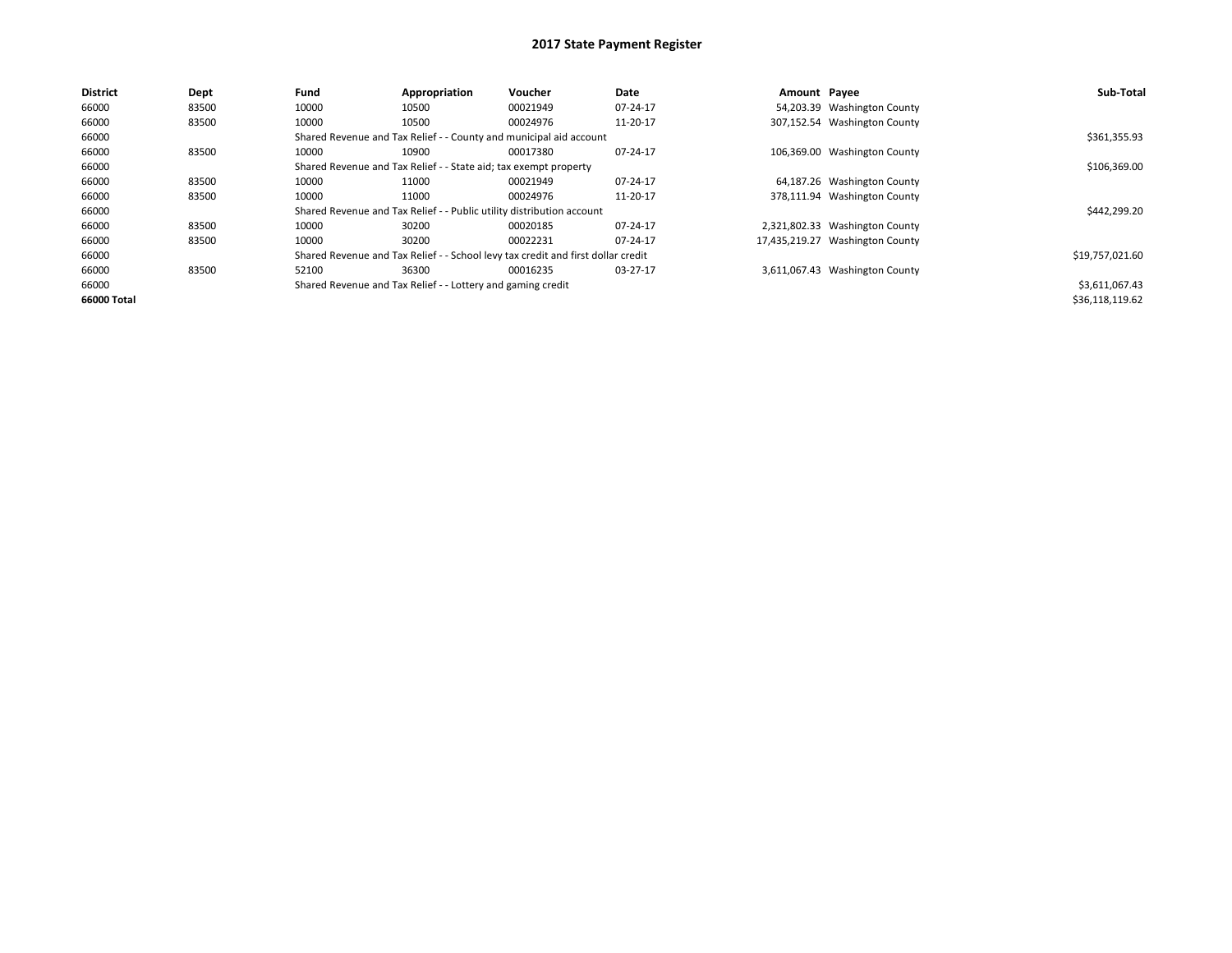| <b>District</b> | Dept  | Fund  | Appropriation                                                         | Voucher                                                                          | Date         | Amount Payee |                                 | Sub-Total       |
|-----------------|-------|-------|-----------------------------------------------------------------------|----------------------------------------------------------------------------------|--------------|--------------|---------------------------------|-----------------|
| 66000           | 83500 | 10000 | 10500                                                                 | 00021949                                                                         | 07-24-17     |              | 54,203.39 Washington County     |                 |
| 66000           | 83500 | 10000 | 10500                                                                 | 00024976                                                                         | 11-20-17     |              | 307,152.54 Washington County    |                 |
| 66000           |       |       |                                                                       | Shared Revenue and Tax Relief - - County and municipal aid account               |              |              |                                 | \$361,355.93    |
| 66000           | 83500 | 10000 | 10900                                                                 | 00017380                                                                         | 07-24-17     |              | 106,369.00 Washington County    |                 |
| 66000           |       |       | Shared Revenue and Tax Relief - - State aid; tax exempt property      |                                                                                  | \$106,369.00 |              |                                 |                 |
| 66000           | 83500 | 10000 | 11000                                                                 | 00021949                                                                         | 07-24-17     |              | 64,187.26 Washington County     |                 |
| 66000           | 83500 | 10000 | 11000                                                                 | 00024976                                                                         | 11-20-17     |              | 378,111.94 Washington County    |                 |
| 66000           |       |       | Shared Revenue and Tax Relief - - Public utility distribution account |                                                                                  |              |              |                                 | \$442,299.20    |
| 66000           | 83500 | 10000 | 30200                                                                 | 00020185                                                                         | 07-24-17     |              | 2,321,802.33 Washington County  |                 |
| 66000           | 83500 | 10000 | 30200                                                                 | 00022231                                                                         | 07-24-17     |              | 17,435,219.27 Washington County |                 |
| 66000           |       |       |                                                                       | Shared Revenue and Tax Relief - - School levy tax credit and first dollar credit |              |              |                                 | \$19,757,021.60 |
| 66000           | 83500 | 52100 | 36300                                                                 | 00016235                                                                         | 03-27-17     |              | 3,611,067.43 Washington County  |                 |
| 66000           |       |       | Shared Revenue and Tax Relief - - Lottery and gaming credit           |                                                                                  |              |              |                                 | \$3,611,067.43  |
| 66000 Total     |       |       |                                                                       |                                                                                  |              |              |                                 | \$36,118,119.62 |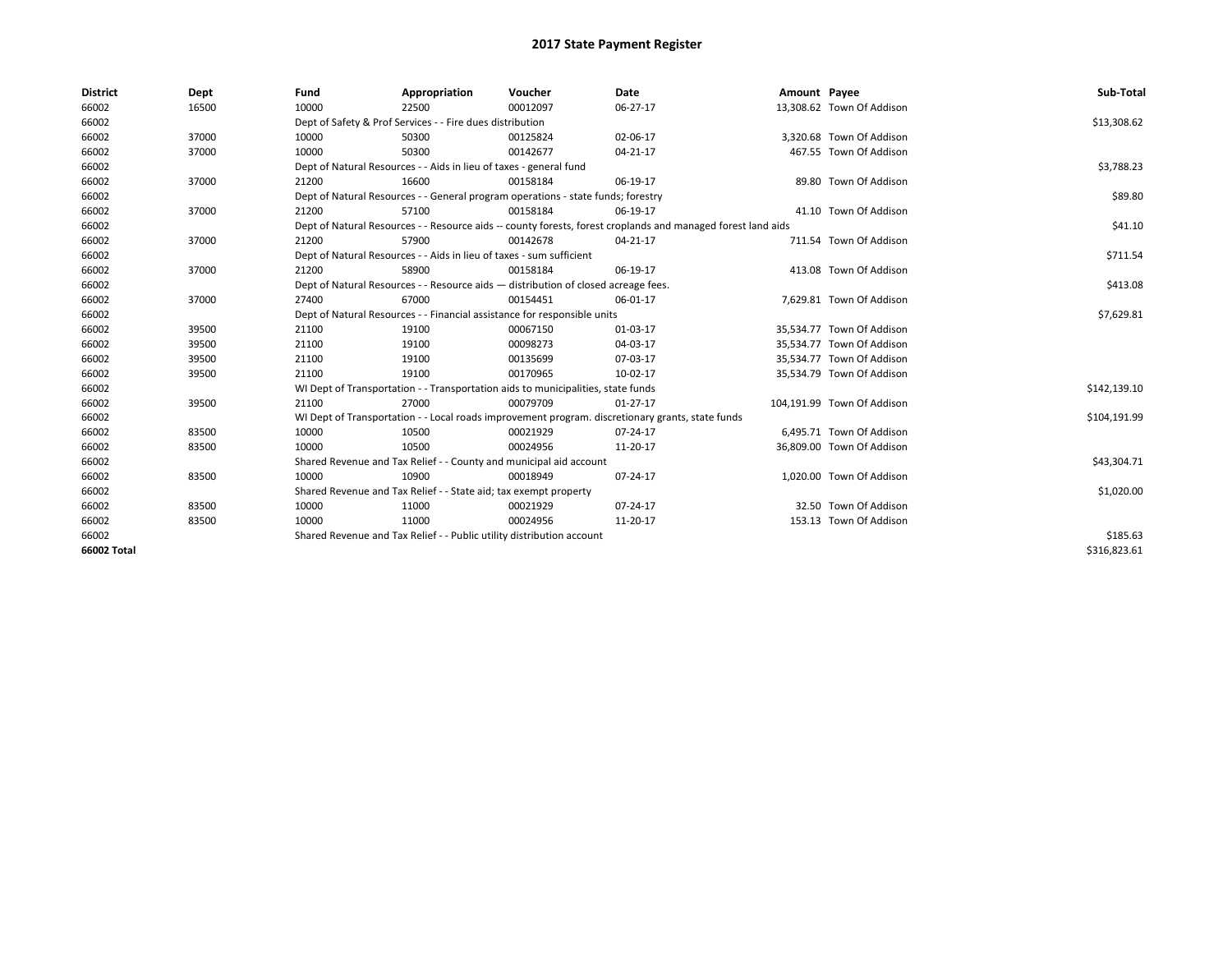| <b>District</b> | Dept  | Fund  | Appropriation                                                                      | Voucher  | Date                                                                                                         | Amount Payee |                            | Sub-Total    |  |  |  |
|-----------------|-------|-------|------------------------------------------------------------------------------------|----------|--------------------------------------------------------------------------------------------------------------|--------------|----------------------------|--------------|--|--|--|
| 66002           | 16500 | 10000 | 22500                                                                              | 00012097 | 06-27-17                                                                                                     |              | 13,308.62 Town Of Addison  |              |  |  |  |
| 66002           |       |       | Dept of Safety & Prof Services - - Fire dues distribution                          |          |                                                                                                              |              |                            | \$13,308.62  |  |  |  |
| 66002           | 37000 | 10000 | 50300                                                                              | 00125824 | 02-06-17                                                                                                     |              | 3,320.68 Town Of Addison   |              |  |  |  |
| 66002           | 37000 | 10000 | 50300                                                                              | 00142677 | $04 - 21 - 17$                                                                                               |              | 467.55 Town Of Addison     |              |  |  |  |
| 66002           |       |       | Dept of Natural Resources - - Aids in lieu of taxes - general fund                 |          |                                                                                                              |              |                            |              |  |  |  |
| 66002           | 37000 | 21200 | 16600                                                                              | 00158184 | 06-19-17                                                                                                     |              | 89.80 Town Of Addison      |              |  |  |  |
| 66002           |       |       | Dept of Natural Resources - - General program operations - state funds; forestry   |          |                                                                                                              |              |                            |              |  |  |  |
| 66002           | 37000 | 21200 | 57100                                                                              | 00158184 | 06-19-17                                                                                                     |              | 41.10 Town Of Addison      |              |  |  |  |
| 66002           |       |       |                                                                                    |          | Dept of Natural Resources - - Resource aids -- county forests, forest croplands and managed forest land aids |              |                            | \$41.10      |  |  |  |
| 66002           | 37000 | 21200 | 57900                                                                              | 00142678 | 04-21-17                                                                                                     |              | 711.54 Town Of Addison     |              |  |  |  |
| 66002           |       |       | Dept of Natural Resources - - Aids in lieu of taxes - sum sufficient               |          |                                                                                                              |              |                            | \$711.54     |  |  |  |
| 66002           | 37000 | 21200 | 58900                                                                              | 00158184 | 06-19-17                                                                                                     |              | 413.08 Town Of Addison     |              |  |  |  |
| 66002           |       |       | Dept of Natural Resources - - Resource aids - distribution of closed acreage fees. |          |                                                                                                              |              |                            | \$413.08     |  |  |  |
| 66002           | 37000 | 27400 | 67000                                                                              | 00154451 | 06-01-17                                                                                                     |              | 7,629.81 Town Of Addison   |              |  |  |  |
| 66002           |       |       | Dept of Natural Resources - - Financial assistance for responsible units           |          |                                                                                                              |              |                            |              |  |  |  |
| 66002           | 39500 | 21100 | 19100                                                                              | 00067150 | 01-03-17                                                                                                     |              | 35,534.77 Town Of Addison  |              |  |  |  |
| 66002           | 39500 | 21100 | 19100                                                                              | 00098273 | 04-03-17                                                                                                     |              | 35,534.77 Town Of Addison  |              |  |  |  |
| 66002           | 39500 | 21100 | 19100                                                                              | 00135699 | 07-03-17                                                                                                     |              | 35,534.77 Town Of Addison  |              |  |  |  |
| 66002           | 39500 | 21100 | 19100                                                                              | 00170965 | 10-02-17                                                                                                     |              | 35,534.79 Town Of Addison  |              |  |  |  |
| 66002           |       |       | WI Dept of Transportation - - Transportation aids to municipalities, state funds   |          |                                                                                                              |              |                            | \$142,139.10 |  |  |  |
| 66002           | 39500 | 21100 | 27000                                                                              | 00079709 | $01 - 27 - 17$                                                                                               |              | 104,191.99 Town Of Addison |              |  |  |  |
| 66002           |       |       |                                                                                    |          | WI Dept of Transportation - - Local roads improvement program. discretionary grants, state funds             |              |                            | \$104,191.99 |  |  |  |
| 66002           | 83500 | 10000 | 10500                                                                              | 00021929 | 07-24-17                                                                                                     |              | 6,495.71 Town Of Addison   |              |  |  |  |
| 66002           | 83500 | 10000 | 10500                                                                              | 00024956 | 11-20-17                                                                                                     |              | 36,809.00 Town Of Addison  |              |  |  |  |
| 66002           |       |       | Shared Revenue and Tax Relief - - County and municipal aid account                 |          |                                                                                                              |              |                            | \$43,304.71  |  |  |  |
| 66002           | 83500 | 10000 | 10900                                                                              | 00018949 | 07-24-17                                                                                                     |              | 1,020.00 Town Of Addison   |              |  |  |  |
| 66002           |       |       | Shared Revenue and Tax Relief - - State aid; tax exempt property                   |          |                                                                                                              |              |                            | \$1,020.00   |  |  |  |
| 66002           | 83500 | 10000 | 11000                                                                              | 00021929 | 07-24-17                                                                                                     |              | 32.50 Town Of Addison      |              |  |  |  |
| 66002           | 83500 | 10000 | 11000                                                                              | 00024956 | 11-20-17                                                                                                     |              | 153.13 Town Of Addison     |              |  |  |  |
| 66002           |       |       | Shared Revenue and Tax Relief - - Public utility distribution account              |          |                                                                                                              |              |                            |              |  |  |  |
| 66002 Total     |       |       |                                                                                    |          |                                                                                                              |              |                            | \$316,823.61 |  |  |  |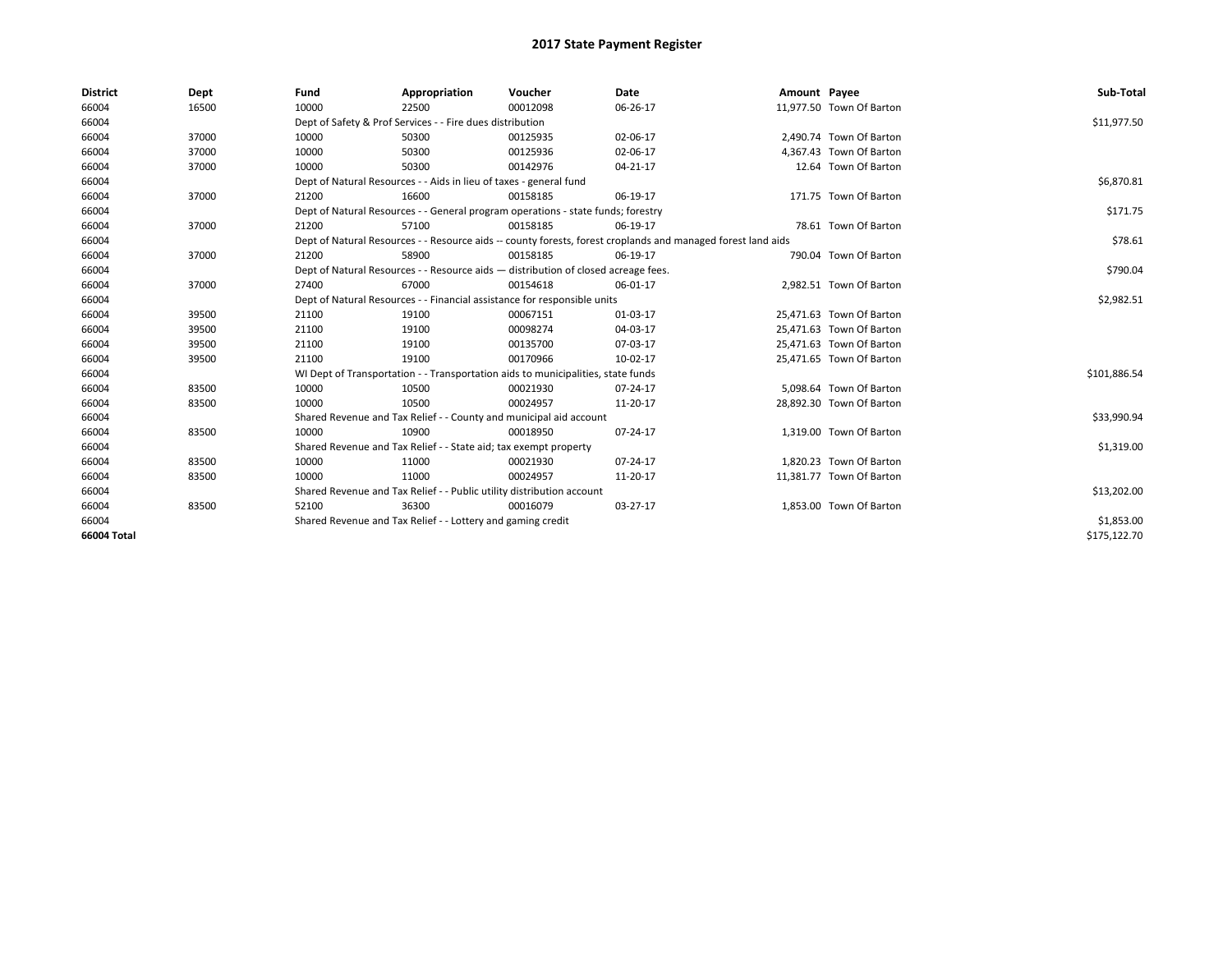| <b>District</b> | Dept  | Fund  | Appropriation                                                                      | Voucher  | Date                                                                                                         | Amount Payee |                          | Sub-Total    |
|-----------------|-------|-------|------------------------------------------------------------------------------------|----------|--------------------------------------------------------------------------------------------------------------|--------------|--------------------------|--------------|
| 66004           | 16500 | 10000 | 22500                                                                              | 00012098 | 06-26-17                                                                                                     |              | 11,977.50 Town Of Barton |              |
| 66004           |       |       | Dept of Safety & Prof Services - - Fire dues distribution                          |          |                                                                                                              |              |                          | \$11,977.50  |
| 66004           | 37000 | 10000 | 50300                                                                              | 00125935 | 02-06-17                                                                                                     |              | 2,490.74 Town Of Barton  |              |
| 66004           | 37000 | 10000 | 50300                                                                              | 00125936 | 02-06-17                                                                                                     |              | 4,367.43 Town Of Barton  |              |
| 66004           | 37000 | 10000 | 50300                                                                              | 00142976 | 04-21-17                                                                                                     |              | 12.64 Town Of Barton     |              |
| 66004           |       |       | Dept of Natural Resources - - Aids in lieu of taxes - general fund                 |          | \$6,870.81                                                                                                   |              |                          |              |
| 66004           | 37000 | 21200 | 16600                                                                              | 00158185 | 06-19-17                                                                                                     |              | 171.75 Town Of Barton    |              |
| 66004           |       |       | Dept of Natural Resources - - General program operations - state funds; forestry   |          |                                                                                                              |              |                          | \$171.75     |
| 66004           | 37000 | 21200 | 57100                                                                              | 00158185 | 06-19-17                                                                                                     |              | 78.61 Town Of Barton     |              |
| 66004           |       |       |                                                                                    |          | Dept of Natural Resources - - Resource aids -- county forests, forest croplands and managed forest land aids |              |                          | \$78.61      |
| 66004           | 37000 | 21200 | 58900                                                                              | 00158185 | 06-19-17                                                                                                     |              | 790.04 Town Of Barton    |              |
| 66004           |       |       | Dept of Natural Resources - - Resource aids - distribution of closed acreage fees. |          |                                                                                                              |              |                          | \$790.04     |
| 66004           | 37000 | 27400 | 67000                                                                              | 00154618 | 06-01-17                                                                                                     |              | 2,982.51 Town Of Barton  |              |
| 66004           |       |       | Dept of Natural Resources - - Financial assistance for responsible units           |          | \$2,982.51                                                                                                   |              |                          |              |
| 66004           | 39500 | 21100 | 19100                                                                              | 00067151 | 01-03-17                                                                                                     |              | 25,471.63 Town Of Barton |              |
| 66004           | 39500 | 21100 | 19100                                                                              | 00098274 | 04-03-17                                                                                                     |              | 25,471.63 Town Of Barton |              |
| 66004           | 39500 | 21100 | 19100                                                                              | 00135700 | 07-03-17                                                                                                     |              | 25,471.63 Town Of Barton |              |
| 66004           | 39500 | 21100 | 19100                                                                              | 00170966 | 10-02-17                                                                                                     |              | 25,471.65 Town Of Barton |              |
| 66004           |       |       | WI Dept of Transportation - - Transportation aids to municipalities, state funds   |          |                                                                                                              |              |                          | \$101,886.54 |
| 66004           | 83500 | 10000 | 10500                                                                              | 00021930 | $07 - 24 - 17$                                                                                               |              | 5,098.64 Town Of Barton  |              |
| 66004           | 83500 | 10000 | 10500                                                                              | 00024957 | 11-20-17                                                                                                     |              | 28,892.30 Town Of Barton |              |
| 66004           |       |       | Shared Revenue and Tax Relief - - County and municipal aid account                 |          |                                                                                                              |              |                          | \$33,990.94  |
| 66004           | 83500 | 10000 | 10900                                                                              | 00018950 | 07-24-17                                                                                                     |              | 1,319.00 Town Of Barton  |              |
| 66004           |       |       | Shared Revenue and Tax Relief - - State aid; tax exempt property                   |          |                                                                                                              |              |                          | \$1,319.00   |
| 66004           | 83500 | 10000 | 11000                                                                              | 00021930 | $07 - 24 - 17$                                                                                               |              | 1.820.23 Town Of Barton  |              |
| 66004           | 83500 | 10000 | 11000                                                                              | 00024957 | 11-20-17                                                                                                     |              | 11,381.77 Town Of Barton |              |
| 66004           |       |       | Shared Revenue and Tax Relief - - Public utility distribution account              |          |                                                                                                              |              |                          | \$13,202.00  |
| 66004           | 83500 | 52100 | 36300                                                                              | 00016079 | 03-27-17                                                                                                     |              | 1,853.00 Town Of Barton  |              |
| 66004           |       |       | Shared Revenue and Tax Relief - - Lottery and gaming credit                        |          | \$1,853.00                                                                                                   |              |                          |              |
| 66004 Total     |       |       |                                                                                    |          |                                                                                                              |              |                          | \$175,122.70 |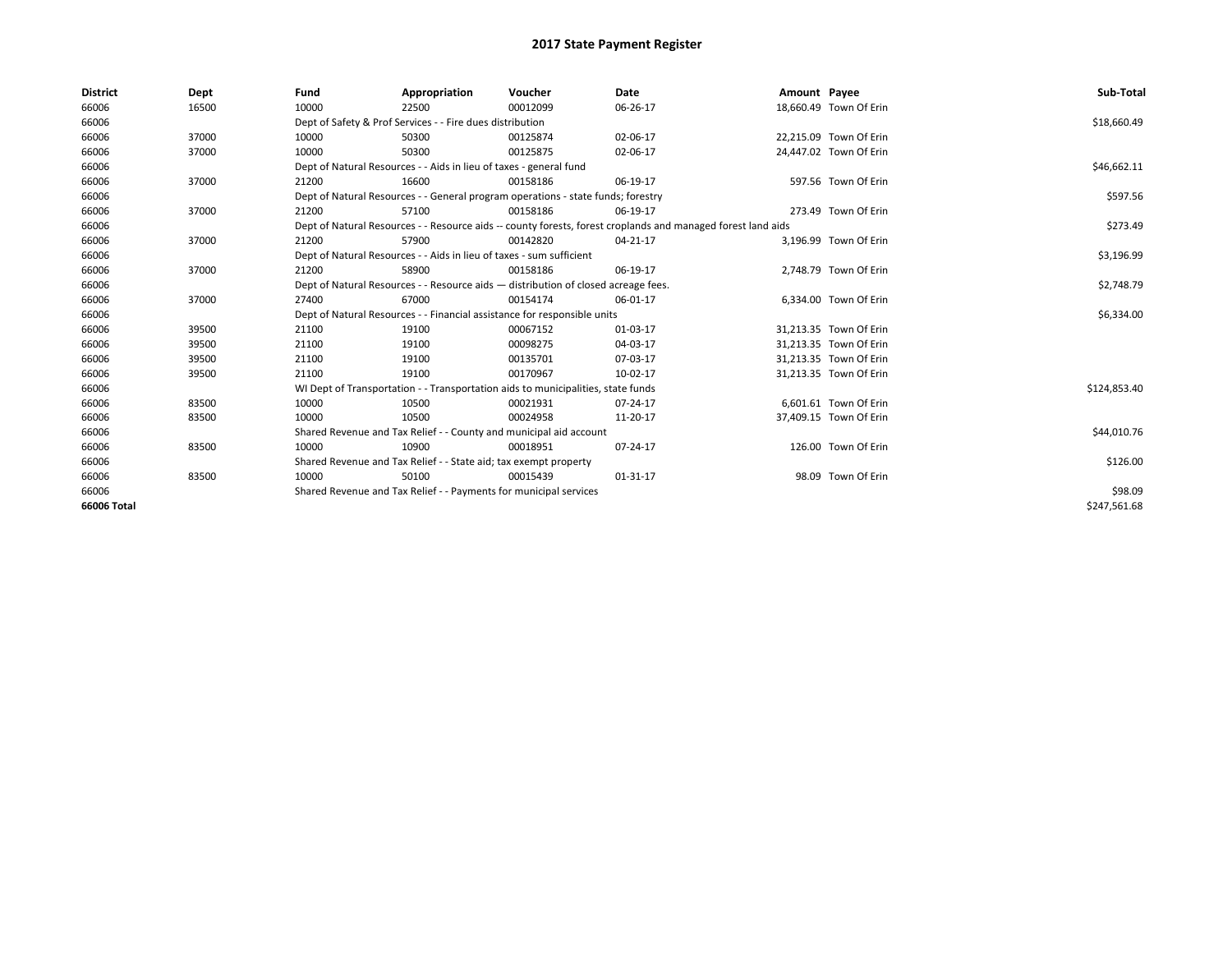| <b>District</b> | Dept  | Fund                                                                               | Appropriation                                                                                                | Voucher                                                                          | Date     | Amount Payee |                        | Sub-Total    |  |  |  |
|-----------------|-------|------------------------------------------------------------------------------------|--------------------------------------------------------------------------------------------------------------|----------------------------------------------------------------------------------|----------|--------------|------------------------|--------------|--|--|--|
| 66006           | 16500 | 10000                                                                              | 22500                                                                                                        | 00012099                                                                         | 06-26-17 |              | 18,660.49 Town Of Erin |              |  |  |  |
| 66006           |       |                                                                                    | Dept of Safety & Prof Services - - Fire dues distribution                                                    |                                                                                  |          |              |                        | \$18,660.49  |  |  |  |
| 66006           | 37000 | 10000                                                                              | 50300                                                                                                        | 00125874                                                                         | 02-06-17 |              | 22,215.09 Town Of Erin |              |  |  |  |
| 66006           | 37000 | 10000                                                                              | 50300                                                                                                        | 00125875                                                                         | 02-06-17 |              | 24,447.02 Town Of Erin |              |  |  |  |
| 66006           |       |                                                                                    | Dept of Natural Resources - - Aids in lieu of taxes - general fund                                           |                                                                                  |          |              |                        |              |  |  |  |
| 66006           | 37000 | 21200                                                                              | 16600                                                                                                        | 00158186                                                                         | 06-19-17 |              | 597.56 Town Of Erin    |              |  |  |  |
| 66006           |       |                                                                                    | Dept of Natural Resources - - General program operations - state funds; forestry                             |                                                                                  |          |              |                        |              |  |  |  |
| 66006           | 37000 | 21200                                                                              | 57100                                                                                                        | 00158186                                                                         | 06-19-17 |              | 273.49 Town Of Erin    |              |  |  |  |
| 66006           |       |                                                                                    | Dept of Natural Resources - - Resource aids -- county forests, forest croplands and managed forest land aids |                                                                                  |          |              |                        |              |  |  |  |
| 66006           | 37000 | 21200                                                                              | 57900                                                                                                        | 00142820                                                                         | 04-21-17 |              | 3,196.99 Town Of Erin  |              |  |  |  |
| 66006           |       |                                                                                    | Dept of Natural Resources - - Aids in lieu of taxes - sum sufficient                                         |                                                                                  |          |              |                        | \$3,196.99   |  |  |  |
| 66006           | 37000 | 21200                                                                              | 58900                                                                                                        | 00158186                                                                         | 06-19-17 |              | 2,748.79 Town Of Erin  |              |  |  |  |
| 66006           |       | Dept of Natural Resources - - Resource aids - distribution of closed acreage fees. |                                                                                                              | \$2,748.79                                                                       |          |              |                        |              |  |  |  |
| 66006           | 37000 | 27400                                                                              | 67000                                                                                                        | 00154174                                                                         | 06-01-17 |              | 6.334.00 Town Of Erin  |              |  |  |  |
| 66006           |       |                                                                                    |                                                                                                              | Dept of Natural Resources - - Financial assistance for responsible units         |          |              |                        | \$6,334.00   |  |  |  |
| 66006           | 39500 | 21100                                                                              | 19100                                                                                                        | 00067152                                                                         | 01-03-17 |              | 31,213.35 Town Of Erin |              |  |  |  |
| 66006           | 39500 | 21100                                                                              | 19100                                                                                                        | 00098275                                                                         | 04-03-17 |              | 31,213.35 Town Of Erin |              |  |  |  |
| 66006           | 39500 | 21100                                                                              | 19100                                                                                                        | 00135701                                                                         | 07-03-17 |              | 31,213.35 Town Of Erin |              |  |  |  |
| 66006           | 39500 | 21100                                                                              | 19100                                                                                                        | 00170967                                                                         | 10-02-17 |              | 31,213.35 Town Of Erin |              |  |  |  |
| 66006           |       |                                                                                    |                                                                                                              | WI Dept of Transportation - - Transportation aids to municipalities, state funds |          |              |                        | \$124,853.40 |  |  |  |
| 66006           | 83500 | 10000                                                                              | 10500                                                                                                        | 00021931                                                                         | 07-24-17 |              | 6,601.61 Town Of Erin  |              |  |  |  |
| 66006           | 83500 | 10000                                                                              | 10500                                                                                                        | 00024958                                                                         | 11-20-17 |              | 37,409.15 Town Of Erin |              |  |  |  |
| 66006           |       |                                                                                    |                                                                                                              | Shared Revenue and Tax Relief - - County and municipal aid account               |          |              |                        | \$44,010.76  |  |  |  |
| 66006           | 83500 | 10000                                                                              | 10900                                                                                                        | 00018951                                                                         | 07-24-17 |              | 126.00 Town Of Erin    |              |  |  |  |
| 66006           |       | Shared Revenue and Tax Relief - - State aid; tax exempt property                   |                                                                                                              | \$126.00                                                                         |          |              |                        |              |  |  |  |
| 66006           | 83500 | 10000                                                                              | 50100                                                                                                        | 00015439                                                                         | 01-31-17 |              | 98.09 Town Of Erin     |              |  |  |  |
| 66006           |       | Shared Revenue and Tax Relief - - Payments for municipal services                  |                                                                                                              | \$98.09                                                                          |          |              |                        |              |  |  |  |
| 66006 Total     |       |                                                                                    |                                                                                                              |                                                                                  |          |              |                        | \$247.561.68 |  |  |  |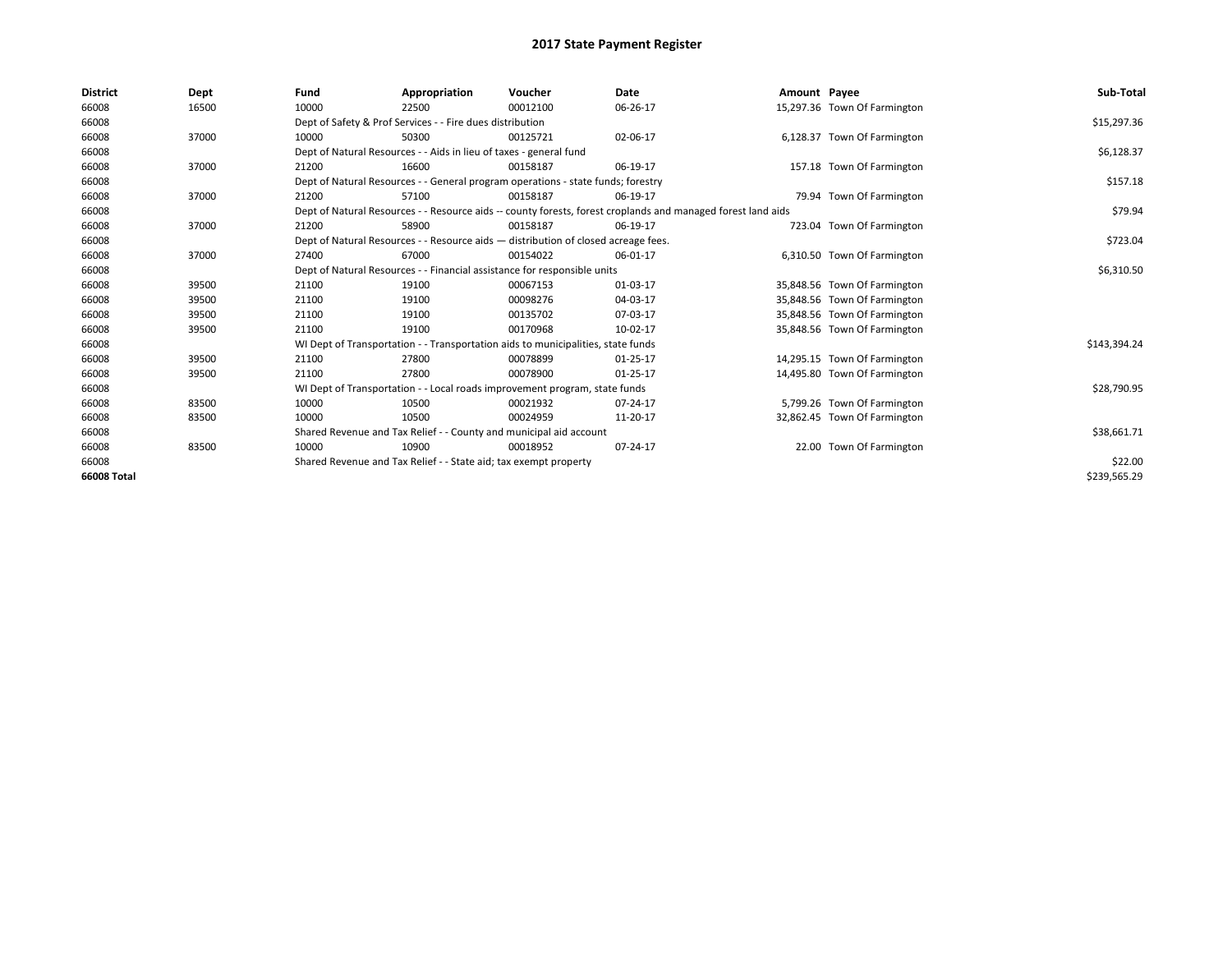| <b>District</b> | Dept  | Fund                                                               | Appropriation                                                                                                | Voucher     | Date     | Amount Payee |                              | Sub-Total    |  |  |  |
|-----------------|-------|--------------------------------------------------------------------|--------------------------------------------------------------------------------------------------------------|-------------|----------|--------------|------------------------------|--------------|--|--|--|
| 66008           | 16500 | 10000                                                              | 22500                                                                                                        | 00012100    | 06-26-17 |              | 15,297.36 Town Of Farmington |              |  |  |  |
| 66008           |       |                                                                    | Dept of Safety & Prof Services - - Fire dues distribution                                                    |             |          |              |                              | \$15,297.36  |  |  |  |
| 66008           | 37000 | 10000                                                              | 50300                                                                                                        | 00125721    | 02-06-17 |              | 6,128.37 Town Of Farmington  |              |  |  |  |
| 66008           |       |                                                                    | Dept of Natural Resources - - Aids in lieu of taxes - general fund                                           |             |          |              |                              | \$6,128.37   |  |  |  |
| 66008           | 37000 | 21200                                                              | 16600                                                                                                        | 00158187    | 06-19-17 |              | 157.18 Town Of Farmington    |              |  |  |  |
| 66008           |       |                                                                    | Dept of Natural Resources - - General program operations - state funds; forestry                             |             |          |              |                              | \$157.18     |  |  |  |
| 66008           | 37000 | 21200                                                              | 57100                                                                                                        | 00158187    | 06-19-17 |              | 79.94 Town Of Farmington     |              |  |  |  |
| 66008           |       |                                                                    | Dept of Natural Resources - - Resource aids -- county forests, forest croplands and managed forest land aids |             |          |              |                              |              |  |  |  |
| 66008           | 37000 | 21200                                                              | 58900                                                                                                        | 00158187    | 06-19-17 |              | 723.04 Town Of Farmington    |              |  |  |  |
| 66008           |       |                                                                    | Dept of Natural Resources - - Resource aids - distribution of closed acreage fees.                           |             |          |              |                              | \$723.04     |  |  |  |
| 66008           | 37000 | 27400                                                              | 67000                                                                                                        | 00154022    | 06-01-17 |              | 6,310.50 Town Of Farmington  |              |  |  |  |
| 66008           |       |                                                                    | Dept of Natural Resources - - Financial assistance for responsible units                                     |             |          |              |                              |              |  |  |  |
| 66008           | 39500 | 21100                                                              | 19100                                                                                                        | 00067153    | 01-03-17 |              | 35,848.56 Town Of Farmington |              |  |  |  |
| 66008           | 39500 | 21100                                                              | 19100                                                                                                        | 00098276    | 04-03-17 |              | 35,848.56 Town Of Farmington |              |  |  |  |
| 66008           | 39500 | 21100                                                              | 19100                                                                                                        | 00135702    | 07-03-17 |              | 35,848.56 Town Of Farmington |              |  |  |  |
| 66008           | 39500 | 21100                                                              | 19100                                                                                                        | 00170968    | 10-02-17 |              | 35,848.56 Town Of Farmington |              |  |  |  |
| 66008           |       |                                                                    | WI Dept of Transportation - - Transportation aids to municipalities, state funds                             |             |          |              |                              | \$143,394.24 |  |  |  |
| 66008           | 39500 | 21100                                                              | 27800                                                                                                        | 00078899    | 01-25-17 |              | 14,295.15 Town Of Farmington |              |  |  |  |
| 66008           | 39500 | 21100                                                              | 27800                                                                                                        | 00078900    | 01-25-17 |              | 14,495.80 Town Of Farmington |              |  |  |  |
| 66008           |       |                                                                    | WI Dept of Transportation - - Local roads improvement program, state funds                                   |             |          |              |                              | \$28,790.95  |  |  |  |
| 66008           | 83500 | 10000                                                              | 10500                                                                                                        | 00021932    | 07-24-17 |              | 5,799.26 Town Of Farmington  |              |  |  |  |
| 66008           | 83500 | 10000                                                              | 10500                                                                                                        | 00024959    | 11-20-17 |              | 32,862.45 Town Of Farmington |              |  |  |  |
| 66008           |       | Shared Revenue and Tax Relief - - County and municipal aid account |                                                                                                              | \$38,661.71 |          |              |                              |              |  |  |  |
| 66008           | 83500 | 10000                                                              | 10900                                                                                                        | 00018952    | 07-24-17 |              | 22.00 Town Of Farmington     |              |  |  |  |
| 66008           |       |                                                                    | Shared Revenue and Tax Relief - - State aid; tax exempt property                                             |             | \$22.00  |              |                              |              |  |  |  |
| 66008 Total     |       |                                                                    |                                                                                                              |             |          |              |                              | \$239,565.29 |  |  |  |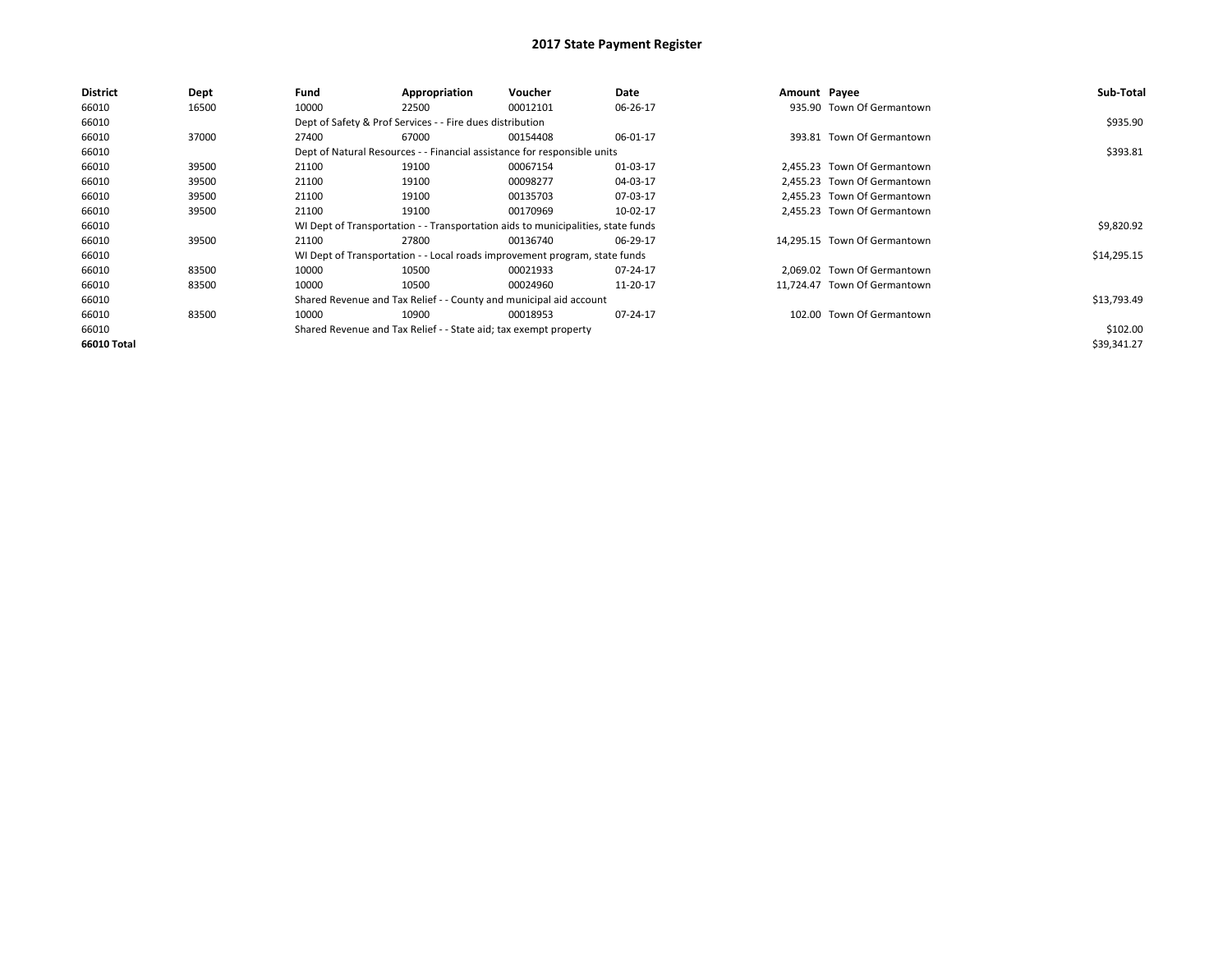| <b>District</b> | Dept  | Fund  | Appropriation                                                    | Voucher                                                                          | Date     | Amount Payee |                              | Sub-Total   |
|-----------------|-------|-------|------------------------------------------------------------------|----------------------------------------------------------------------------------|----------|--------------|------------------------------|-------------|
| 66010           | 16500 | 10000 | 22500                                                            | 00012101                                                                         | 06-26-17 |              | 935.90 Town Of Germantown    |             |
| 66010           |       |       | Dept of Safety & Prof Services - - Fire dues distribution        |                                                                                  |          |              |                              | \$935.90    |
| 66010           | 37000 | 27400 | 67000                                                            | 00154408                                                                         | 06-01-17 |              | 393.81 Town Of Germantown    |             |
| 66010           |       |       |                                                                  | Dept of Natural Resources - - Financial assistance for responsible units         |          |              |                              | \$393.81    |
| 66010           | 39500 | 21100 | 19100                                                            | 00067154                                                                         | 01-03-17 |              | 2,455.23 Town Of Germantown  |             |
| 66010           | 39500 | 21100 | 19100                                                            | 00098277                                                                         | 04-03-17 |              | 2.455.23 Town Of Germantown  |             |
| 66010           | 39500 | 21100 | 19100                                                            | 00135703                                                                         | 07-03-17 |              | 2.455.23 Town Of Germantown  |             |
| 66010           | 39500 | 21100 | 19100                                                            | 00170969                                                                         | 10-02-17 |              | 2.455.23 Town Of Germantown  |             |
| 66010           |       |       |                                                                  | WI Dept of Transportation - - Transportation aids to municipalities, state funds |          |              |                              | \$9,820.92  |
| 66010           | 39500 | 21100 | 27800                                                            | 00136740                                                                         | 06-29-17 |              | 14.295.15 Town Of Germantown |             |
| 66010           |       |       |                                                                  | WI Dept of Transportation - - Local roads improvement program, state funds       |          |              |                              | \$14,295.15 |
| 66010           | 83500 | 10000 | 10500                                                            | 00021933                                                                         | 07-24-17 |              | 2,069.02 Town Of Germantown  |             |
| 66010           | 83500 | 10000 | 10500                                                            | 00024960                                                                         | 11-20-17 |              | 11.724.47 Town Of Germantown |             |
| 66010           |       |       |                                                                  | Shared Revenue and Tax Relief - - County and municipal aid account               |          |              |                              | \$13,793.49 |
| 66010           | 83500 | 10000 | 10900                                                            | 00018953                                                                         | 07-24-17 |              | 102.00 Town Of Germantown    |             |
| 66010           |       |       | Shared Revenue and Tax Relief - - State aid; tax exempt property |                                                                                  |          |              |                              | \$102.00    |
| 66010 Total     |       |       |                                                                  |                                                                                  |          |              |                              | \$39,341.27 |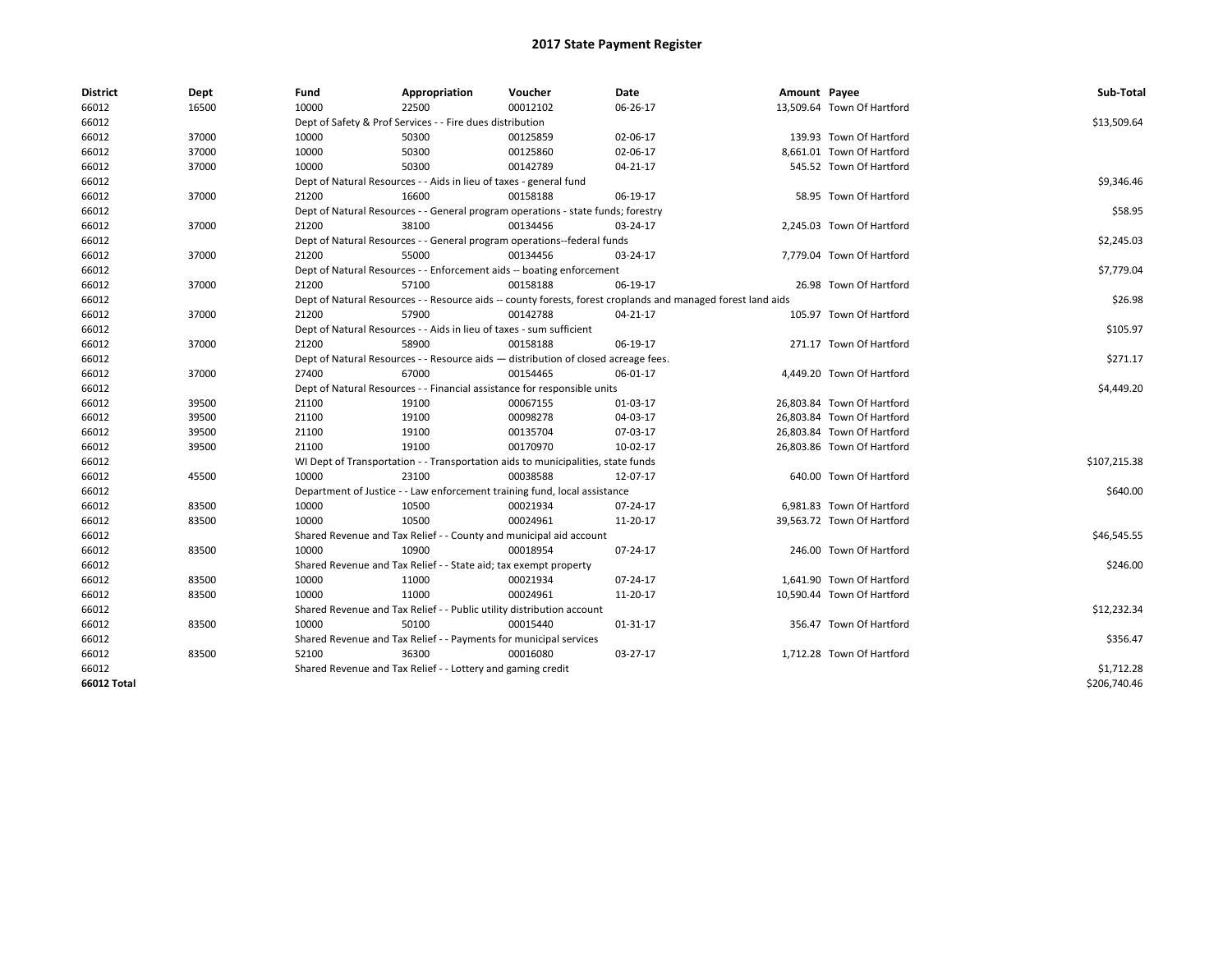| <b>District</b>    | Dept  | Fund  | Appropriation                                                                      | Voucher  | Date                                                                                                         | Amount Payee |                            | Sub-Total    |
|--------------------|-------|-------|------------------------------------------------------------------------------------|----------|--------------------------------------------------------------------------------------------------------------|--------------|----------------------------|--------------|
| 66012              | 16500 | 10000 | 22500                                                                              | 00012102 | 06-26-17                                                                                                     |              | 13,509.64 Town Of Hartford |              |
| 66012              |       |       | Dept of Safety & Prof Services - - Fire dues distribution                          |          |                                                                                                              |              |                            | \$13,509.64  |
| 66012              | 37000 | 10000 | 50300                                                                              | 00125859 | 02-06-17                                                                                                     |              | 139.93 Town Of Hartford    |              |
| 66012              | 37000 | 10000 | 50300                                                                              | 00125860 | 02-06-17                                                                                                     |              | 8,661.01 Town Of Hartford  |              |
| 66012              | 37000 | 10000 | 50300                                                                              | 00142789 | 04-21-17                                                                                                     |              | 545.52 Town Of Hartford    |              |
| 66012              |       |       | Dept of Natural Resources - - Aids in lieu of taxes - general fund                 |          |                                                                                                              |              |                            | \$9,346.46   |
| 66012              | 37000 | 21200 | 16600                                                                              | 00158188 | 06-19-17                                                                                                     |              | 58.95 Town Of Hartford     |              |
| 66012              |       |       | Dept of Natural Resources - - General program operations - state funds; forestry   |          |                                                                                                              |              |                            | \$58.95      |
| 66012              | 37000 | 21200 | 38100                                                                              | 00134456 | 03-24-17                                                                                                     |              | 2,245.03 Town Of Hartford  |              |
| 66012              |       |       | Dept of Natural Resources - - General program operations--federal funds            |          |                                                                                                              |              |                            | \$2,245.03   |
| 66012              | 37000 | 21200 | 55000                                                                              | 00134456 | 03-24-17                                                                                                     |              | 7,779.04 Town Of Hartford  |              |
| 66012              |       |       | Dept of Natural Resources - - Enforcement aids -- boating enforcement              |          |                                                                                                              |              |                            | \$7,779.04   |
| 66012              | 37000 | 21200 | 57100                                                                              | 00158188 | 06-19-17                                                                                                     |              | 26.98 Town Of Hartford     |              |
| 66012              |       |       |                                                                                    |          | Dept of Natural Resources - - Resource aids -- county forests, forest croplands and managed forest land aids |              |                            | \$26.98      |
| 66012              | 37000 | 21200 | 57900                                                                              | 00142788 | 04-21-17                                                                                                     |              | 105.97 Town Of Hartford    |              |
| 66012              |       |       | Dept of Natural Resources - - Aids in lieu of taxes - sum sufficient               |          |                                                                                                              |              |                            | \$105.97     |
| 66012              | 37000 | 21200 | 58900                                                                              | 00158188 | 06-19-17                                                                                                     |              | 271.17 Town Of Hartford    |              |
| 66012              |       |       | Dept of Natural Resources - - Resource aids - distribution of closed acreage fees. |          |                                                                                                              |              |                            | \$271.17     |
| 66012              | 37000 | 27400 | 67000                                                                              | 00154465 | 06-01-17                                                                                                     |              | 4,449.20 Town Of Hartford  |              |
| 66012              |       |       | Dept of Natural Resources - - Financial assistance for responsible units           |          |                                                                                                              |              |                            | \$4,449.20   |
| 66012              | 39500 | 21100 | 19100                                                                              | 00067155 | 01-03-17                                                                                                     |              | 26,803.84 Town Of Hartford |              |
| 66012              | 39500 | 21100 | 19100                                                                              | 00098278 | 04-03-17                                                                                                     |              | 26,803.84 Town Of Hartford |              |
| 66012              | 39500 | 21100 | 19100                                                                              | 00135704 | 07-03-17                                                                                                     |              | 26,803.84 Town Of Hartford |              |
| 66012              | 39500 | 21100 | 19100                                                                              | 00170970 | 10-02-17                                                                                                     |              | 26,803.86 Town Of Hartford |              |
| 66012              |       |       | WI Dept of Transportation - - Transportation aids to municipalities, state funds   |          |                                                                                                              |              |                            | \$107,215.38 |
| 66012              | 45500 | 10000 | 23100                                                                              | 00038588 | 12-07-17                                                                                                     |              | 640.00 Town Of Hartford    |              |
| 66012              |       |       | Department of Justice - - Law enforcement training fund, local assistance          |          |                                                                                                              |              |                            | \$640.00     |
| 66012              | 83500 | 10000 | 10500                                                                              | 00021934 | 07-24-17                                                                                                     |              | 6,981.83 Town Of Hartford  |              |
| 66012              | 83500 | 10000 | 10500                                                                              | 00024961 | 11-20-17                                                                                                     |              | 39,563.72 Town Of Hartford |              |
| 66012              |       |       | Shared Revenue and Tax Relief - - County and municipal aid account                 |          |                                                                                                              |              |                            | \$46,545.55  |
| 66012              | 83500 | 10000 | 10900                                                                              | 00018954 | 07-24-17                                                                                                     |              | 246.00 Town Of Hartford    |              |
| 66012              |       |       | Shared Revenue and Tax Relief - - State aid; tax exempt property                   |          |                                                                                                              |              |                            | \$246.00     |
| 66012              | 83500 | 10000 | 11000                                                                              | 00021934 | 07-24-17                                                                                                     |              | 1,641.90 Town Of Hartford  |              |
| 66012              | 83500 | 10000 | 11000                                                                              | 00024961 | 11-20-17                                                                                                     |              | 10,590.44 Town Of Hartford |              |
| 66012              |       |       | Shared Revenue and Tax Relief - - Public utility distribution account              |          |                                                                                                              |              |                            | \$12,232.34  |
| 66012              | 83500 | 10000 | 50100                                                                              | 00015440 | 01-31-17                                                                                                     |              | 356.47 Town Of Hartford    |              |
| 66012              |       |       | Shared Revenue and Tax Relief - - Payments for municipal services                  |          |                                                                                                              |              |                            | \$356.47     |
| 66012              | 83500 | 52100 | 36300                                                                              | 00016080 | 03-27-17                                                                                                     |              | 1,712.28 Town Of Hartford  |              |
| 66012              |       |       | Shared Revenue and Tax Relief - - Lottery and gaming credit                        |          |                                                                                                              |              |                            | \$1,712.28   |
| <b>66012 Total</b> |       |       |                                                                                    |          |                                                                                                              |              |                            | \$206,740.46 |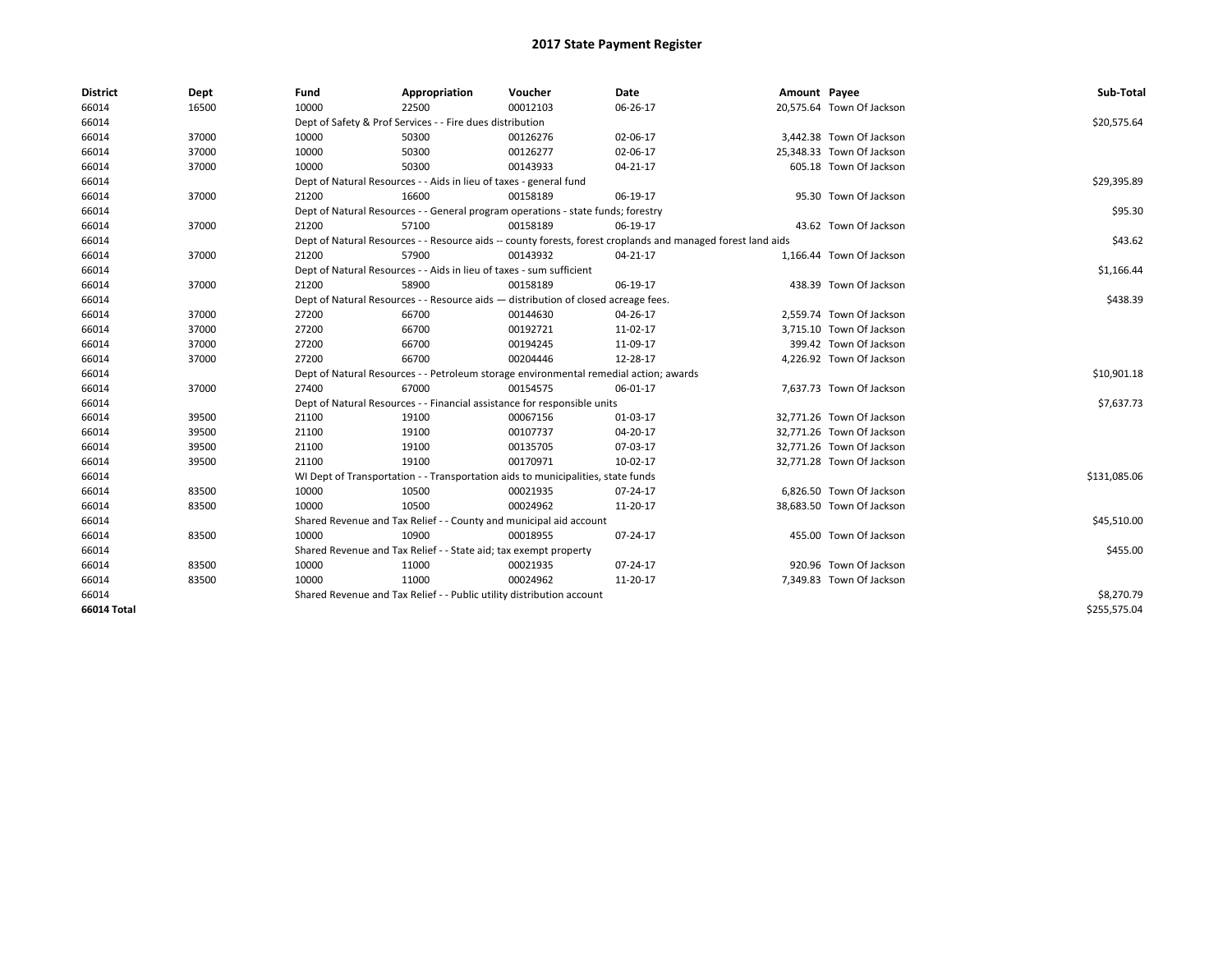| <b>District</b>    | Dept  | Fund                                                                  | Appropriation                                                                                                | Voucher                                                                               | <b>Date</b> | Amount Payee |                           | Sub-Total    |  |  |
|--------------------|-------|-----------------------------------------------------------------------|--------------------------------------------------------------------------------------------------------------|---------------------------------------------------------------------------------------|-------------|--------------|---------------------------|--------------|--|--|
| 66014              | 16500 | 10000                                                                 | 22500                                                                                                        | 00012103                                                                              | 06-26-17    |              | 20,575.64 Town Of Jackson |              |  |  |
| 66014              |       |                                                                       | Dept of Safety & Prof Services - - Fire dues distribution                                                    |                                                                                       |             |              |                           | \$20,575.64  |  |  |
| 66014              | 37000 | 10000                                                                 | 50300                                                                                                        | 00126276                                                                              | 02-06-17    |              | 3,442.38 Town Of Jackson  |              |  |  |
| 66014              | 37000 | 10000                                                                 | 50300                                                                                                        | 00126277                                                                              | 02-06-17    |              | 25,348.33 Town Of Jackson |              |  |  |
| 66014              | 37000 | 10000                                                                 | 50300                                                                                                        | 00143933                                                                              | 04-21-17    |              | 605.18 Town Of Jackson    |              |  |  |
| 66014              |       |                                                                       | Dept of Natural Resources - - Aids in lieu of taxes - general fund                                           |                                                                                       |             |              |                           | \$29,395.89  |  |  |
| 66014              | 37000 | 21200                                                                 | 16600                                                                                                        | 00158189                                                                              | 06-19-17    |              | 95.30 Town Of Jackson     |              |  |  |
| 66014              |       |                                                                       |                                                                                                              | Dept of Natural Resources - - General program operations - state funds; forestry      |             |              |                           | \$95.30      |  |  |
| 66014              | 37000 | 21200                                                                 | 57100                                                                                                        | 00158189                                                                              | 06-19-17    |              | 43.62 Town Of Jackson     |              |  |  |
| 66014              |       |                                                                       | Dept of Natural Resources - - Resource aids -- county forests, forest croplands and managed forest land aids |                                                                                       |             |              |                           |              |  |  |
| 66014              | 37000 | 21200                                                                 | 57900                                                                                                        | 00143932                                                                              | 04-21-17    |              | 1,166.44 Town Of Jackson  |              |  |  |
| 66014              |       |                                                                       | Dept of Natural Resources - - Aids in lieu of taxes - sum sufficient                                         |                                                                                       |             |              |                           | \$1,166.44   |  |  |
| 66014              | 37000 | 21200                                                                 | 58900                                                                                                        | 00158189                                                                              | 06-19-17    |              | 438.39 Town Of Jackson    |              |  |  |
| 66014              |       |                                                                       |                                                                                                              | Dept of Natural Resources - - Resource aids - distribution of closed acreage fees.    |             |              |                           | \$438.39     |  |  |
| 66014              | 37000 | 27200                                                                 | 66700                                                                                                        | 00144630                                                                              | 04-26-17    |              | 2,559.74 Town Of Jackson  |              |  |  |
| 66014              | 37000 | 27200                                                                 | 66700                                                                                                        | 00192721                                                                              | 11-02-17    |              | 3,715.10 Town Of Jackson  |              |  |  |
| 66014              | 37000 | 27200                                                                 | 66700                                                                                                        | 00194245                                                                              | 11-09-17    |              | 399.42 Town Of Jackson    |              |  |  |
| 66014              | 37000 | 27200                                                                 | 66700                                                                                                        | 00204446                                                                              | 12-28-17    |              | 4,226.92 Town Of Jackson  |              |  |  |
| 66014              |       |                                                                       |                                                                                                              | Dept of Natural Resources - - Petroleum storage environmental remedial action; awards |             |              |                           | \$10,901.18  |  |  |
| 66014              | 37000 | 27400                                                                 | 67000                                                                                                        | 00154575                                                                              | 06-01-17    |              | 7,637.73 Town Of Jackson  |              |  |  |
| 66014              |       |                                                                       |                                                                                                              | Dept of Natural Resources - - Financial assistance for responsible units              |             |              |                           | \$7,637.73   |  |  |
| 66014              | 39500 | 21100                                                                 | 19100                                                                                                        | 00067156                                                                              | 01-03-17    |              | 32,771.26 Town Of Jackson |              |  |  |
| 66014              | 39500 | 21100                                                                 | 19100                                                                                                        | 00107737                                                                              | 04-20-17    |              | 32,771.26 Town Of Jackson |              |  |  |
| 66014              | 39500 | 21100                                                                 | 19100                                                                                                        | 00135705                                                                              | 07-03-17    |              | 32,771.26 Town Of Jackson |              |  |  |
| 66014              | 39500 | 21100                                                                 | 19100                                                                                                        | 00170971                                                                              | 10-02-17    |              | 32,771.28 Town Of Jackson |              |  |  |
| 66014              |       |                                                                       |                                                                                                              | WI Dept of Transportation - - Transportation aids to municipalities, state funds      |             |              |                           | \$131,085.06 |  |  |
| 66014              | 83500 | 10000                                                                 | 10500                                                                                                        | 00021935                                                                              | 07-24-17    |              | 6,826.50 Town Of Jackson  |              |  |  |
| 66014              | 83500 | 10000                                                                 | 10500                                                                                                        | 00024962                                                                              | 11-20-17    |              | 38,683.50 Town Of Jackson |              |  |  |
| 66014              |       |                                                                       |                                                                                                              | Shared Revenue and Tax Relief - - County and municipal aid account                    |             |              |                           | \$45,510.00  |  |  |
| 66014              | 83500 | 10000                                                                 | 10900                                                                                                        | 00018955                                                                              | 07-24-17    |              | 455.00 Town Of Jackson    |              |  |  |
| 66014              |       | Shared Revenue and Tax Relief - - State aid; tax exempt property      |                                                                                                              | \$455.00                                                                              |             |              |                           |              |  |  |
| 66014              | 83500 | 10000                                                                 | 11000                                                                                                        | 00021935                                                                              | 07-24-17    |              | 920.96 Town Of Jackson    |              |  |  |
| 66014              | 83500 | 10000                                                                 | 11000                                                                                                        | 00024962                                                                              | 11-20-17    |              | 7,349.83 Town Of Jackson  |              |  |  |
| 66014              |       | Shared Revenue and Tax Relief - - Public utility distribution account |                                                                                                              | \$8,270.79                                                                            |             |              |                           |              |  |  |
| <b>66014 Total</b> |       |                                                                       |                                                                                                              |                                                                                       |             |              |                           | \$255,575.04 |  |  |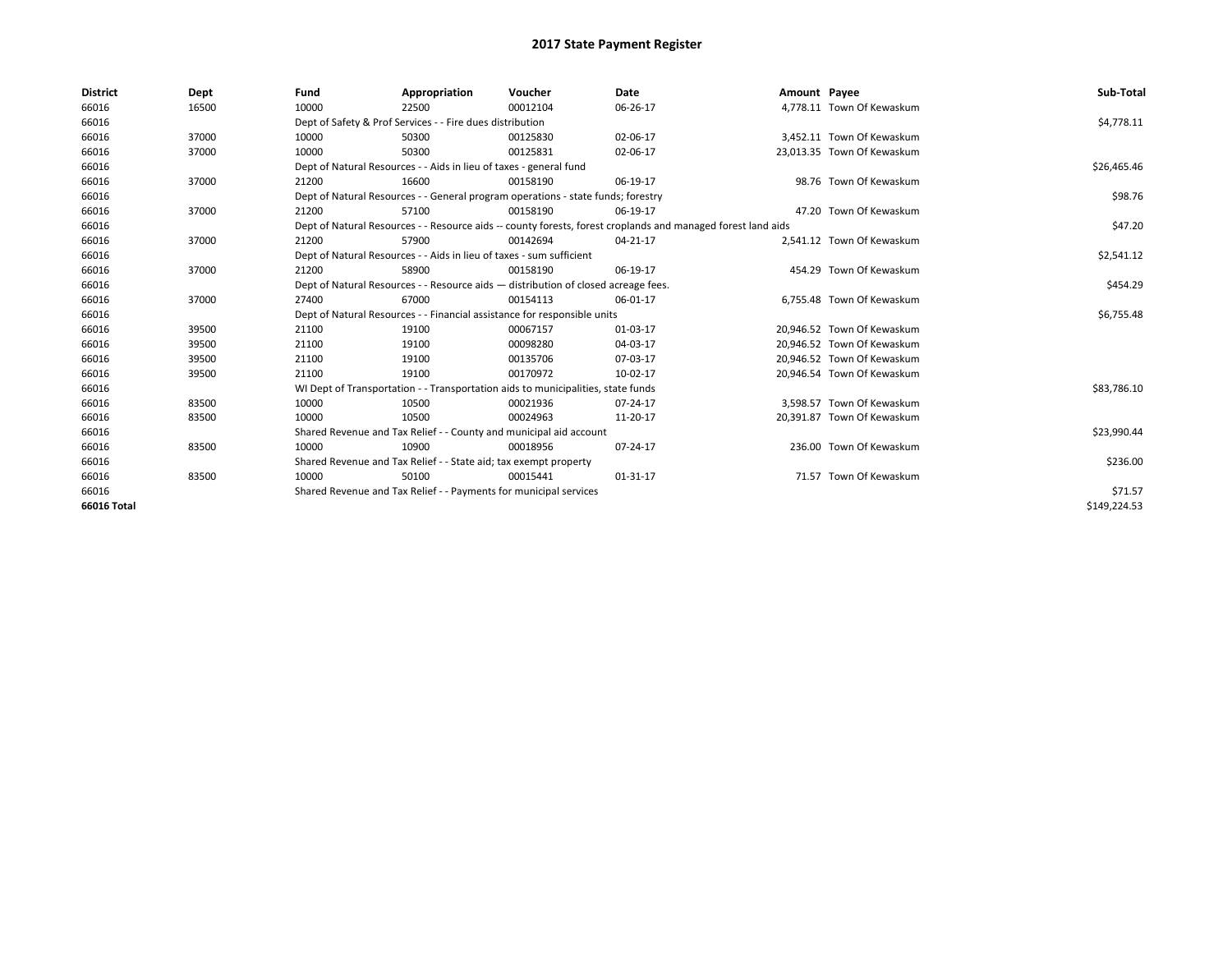| <b>District</b>    | Dept  | Fund  | Appropriation                                                                      | Voucher  | Date                                                                                                         | Amount Payee |                            | Sub-Total    |
|--------------------|-------|-------|------------------------------------------------------------------------------------|----------|--------------------------------------------------------------------------------------------------------------|--------------|----------------------------|--------------|
| 66016              | 16500 | 10000 | 22500                                                                              | 00012104 | 06-26-17                                                                                                     |              | 4,778.11 Town Of Kewaskum  |              |
| 66016              |       |       | Dept of Safety & Prof Services - - Fire dues distribution                          |          |                                                                                                              |              |                            | \$4,778.11   |
| 66016              | 37000 | 10000 | 50300                                                                              | 00125830 | 02-06-17                                                                                                     |              | 3,452.11 Town Of Kewaskum  |              |
| 66016              | 37000 | 10000 | 50300                                                                              | 00125831 | 02-06-17                                                                                                     |              | 23,013.35 Town Of Kewaskum |              |
| 66016              |       |       | Dept of Natural Resources - - Aids in lieu of taxes - general fund                 |          |                                                                                                              |              |                            | \$26,465.46  |
| 66016              | 37000 | 21200 | 16600                                                                              | 00158190 | 06-19-17                                                                                                     |              | 98.76 Town Of Kewaskum     |              |
| 66016              |       |       | Dept of Natural Resources - - General program operations - state funds; forestry   |          |                                                                                                              |              |                            | \$98.76      |
| 66016              | 37000 | 21200 | 57100                                                                              | 00158190 | 06-19-17                                                                                                     |              | 47.20 Town Of Kewaskum     |              |
| 66016              |       |       |                                                                                    |          | Dept of Natural Resources - - Resource aids -- county forests, forest croplands and managed forest land aids |              |                            | \$47.20      |
| 66016              | 37000 | 21200 | 57900                                                                              | 00142694 | 04-21-17                                                                                                     |              | 2,541.12 Town Of Kewaskum  |              |
| 66016              |       |       | Dept of Natural Resources - - Aids in lieu of taxes - sum sufficient               |          |                                                                                                              |              |                            | \$2,541.12   |
| 66016              | 37000 | 21200 | 58900                                                                              | 00158190 | 06-19-17                                                                                                     |              | 454.29 Town Of Kewaskum    |              |
| 66016              |       |       | Dept of Natural Resources - - Resource aids - distribution of closed acreage fees. |          |                                                                                                              |              |                            | \$454.29     |
| 66016              | 37000 | 27400 | 67000                                                                              | 00154113 | 06-01-17                                                                                                     |              | 6,755.48 Town Of Kewaskum  |              |
| 66016              |       |       | Dept of Natural Resources - - Financial assistance for responsible units           |          |                                                                                                              |              |                            | \$6,755.48   |
| 66016              | 39500 | 21100 | 19100                                                                              | 00067157 | 01-03-17                                                                                                     |              | 20,946.52 Town Of Kewaskum |              |
| 66016              | 39500 | 21100 | 19100                                                                              | 00098280 | 04-03-17                                                                                                     |              | 20.946.52 Town Of Kewaskum |              |
| 66016              | 39500 | 21100 | 19100                                                                              | 00135706 | 07-03-17                                                                                                     |              | 20,946.52 Town Of Kewaskum |              |
| 66016              | 39500 | 21100 | 19100                                                                              | 00170972 | 10-02-17                                                                                                     |              | 20,946.54 Town Of Kewaskum |              |
| 66016              |       |       | WI Dept of Transportation - - Transportation aids to municipalities, state funds   |          |                                                                                                              |              |                            | \$83,786.10  |
| 66016              | 83500 | 10000 | 10500                                                                              | 00021936 | 07-24-17                                                                                                     |              | 3,598.57 Town Of Kewaskum  |              |
| 66016              | 83500 | 10000 | 10500                                                                              | 00024963 | 11-20-17                                                                                                     |              | 20,391.87 Town Of Kewaskum |              |
| 66016              |       |       | Shared Revenue and Tax Relief - - County and municipal aid account                 |          |                                                                                                              |              |                            | \$23,990.44  |
| 66016              | 83500 | 10000 | 10900                                                                              | 00018956 | 07-24-17                                                                                                     |              | 236.00 Town Of Kewaskum    |              |
| 66016              |       |       | Shared Revenue and Tax Relief - - State aid; tax exempt property                   |          |                                                                                                              |              |                            | \$236.00     |
| 66016              | 83500 | 10000 | 50100                                                                              | 00015441 | 01-31-17                                                                                                     |              | 71.57 Town Of Kewaskum     |              |
| 66016              |       |       | Shared Revenue and Tax Relief - - Payments for municipal services                  |          |                                                                                                              |              |                            | \$71.57      |
| <b>66016 Total</b> |       |       |                                                                                    |          |                                                                                                              |              |                            | \$149.224.53 |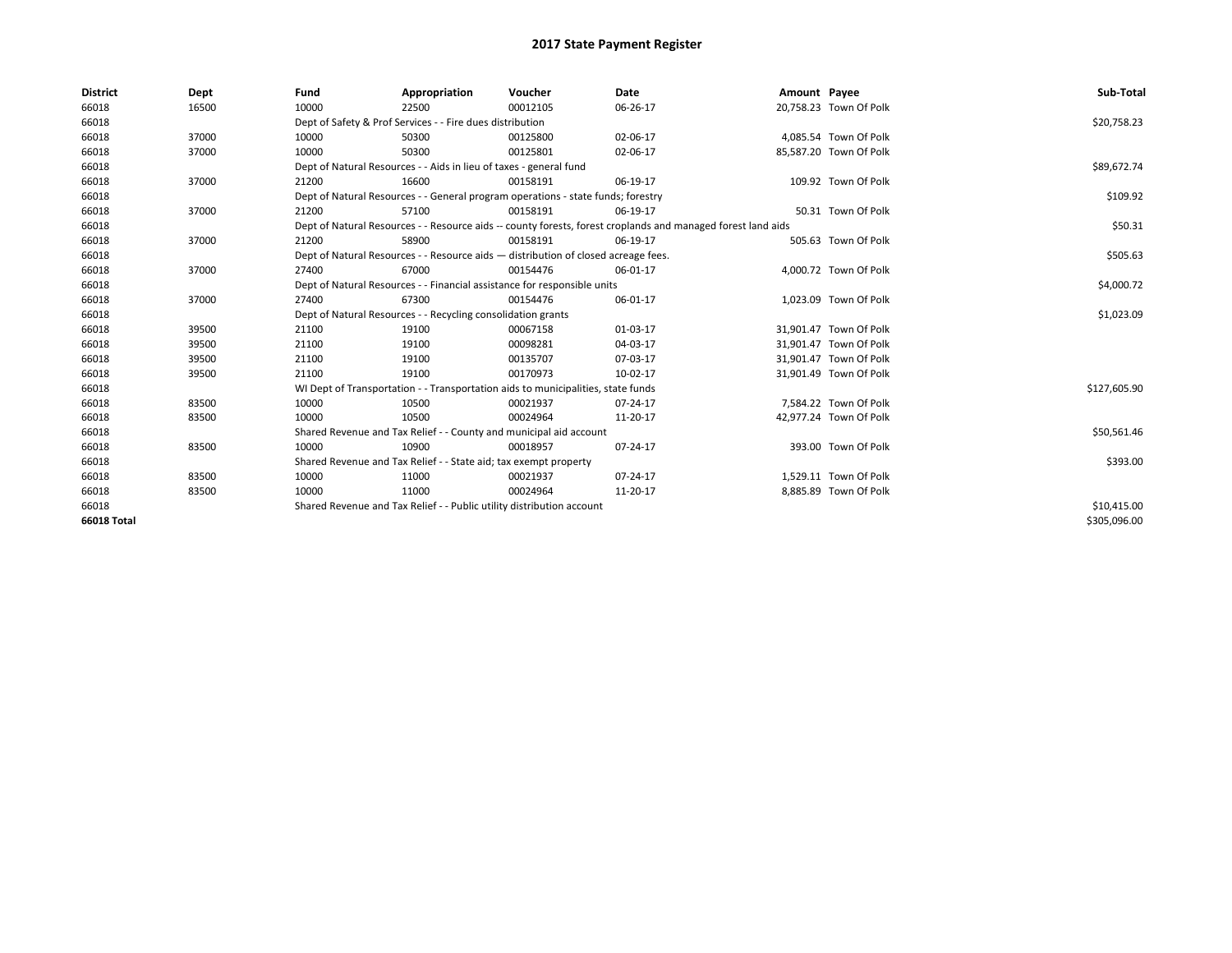| <b>District</b>    | Dept  | Fund                                                                     | Appropriation                                                                      | Voucher     | Date                                                                                                         | Amount Payee |                        | Sub-Total    |
|--------------------|-------|--------------------------------------------------------------------------|------------------------------------------------------------------------------------|-------------|--------------------------------------------------------------------------------------------------------------|--------------|------------------------|--------------|
| 66018              | 16500 | 10000                                                                    | 22500                                                                              | 00012105    | 06-26-17                                                                                                     |              | 20,758.23 Town Of Polk |              |
| 66018              |       |                                                                          | Dept of Safety & Prof Services - - Fire dues distribution                          |             |                                                                                                              |              |                        | \$20,758.23  |
| 66018              | 37000 | 10000                                                                    | 50300                                                                              | 00125800    | 02-06-17                                                                                                     |              | 4,085.54 Town Of Polk  |              |
| 66018              | 37000 | 10000                                                                    | 50300                                                                              | 00125801    | 02-06-17                                                                                                     |              | 85,587.20 Town Of Polk |              |
| 66018              |       |                                                                          | Dept of Natural Resources - - Aids in lieu of taxes - general fund                 |             |                                                                                                              |              |                        | \$89,672.74  |
| 66018              | 37000 | 21200                                                                    | 16600                                                                              | 00158191    | 06-19-17                                                                                                     |              | 109.92 Town Of Polk    |              |
| 66018              |       |                                                                          | Dept of Natural Resources - - General program operations - state funds; forestry   |             |                                                                                                              |              |                        | \$109.92     |
| 66018              | 37000 | 21200                                                                    | 57100                                                                              | 00158191    | 06-19-17                                                                                                     |              | 50.31 Town Of Polk     |              |
| 66018              |       |                                                                          |                                                                                    |             | Dept of Natural Resources - - Resource aids -- county forests, forest croplands and managed forest land aids |              |                        | \$50.31      |
| 66018              | 37000 | 21200                                                                    | 58900                                                                              | 00158191    | 06-19-17                                                                                                     |              | 505.63 Town Of Polk    |              |
| 66018              |       |                                                                          | Dept of Natural Resources - - Resource aids - distribution of closed acreage fees. |             |                                                                                                              |              |                        | \$505.63     |
| 66018              | 37000 | 27400                                                                    | 67000                                                                              | 00154476    | 06-01-17                                                                                                     |              | 4,000.72 Town Of Polk  |              |
| 66018              |       | Dept of Natural Resources - - Financial assistance for responsible units |                                                                                    | \$4,000.72  |                                                                                                              |              |                        |              |
| 66018              | 37000 | 27400                                                                    | 67300                                                                              | 00154476    | 06-01-17                                                                                                     |              | 1,023.09 Town Of Polk  |              |
| 66018              |       |                                                                          | Dept of Natural Resources - - Recycling consolidation grants                       |             |                                                                                                              |              |                        | \$1,023.09   |
| 66018              | 39500 | 21100                                                                    | 19100                                                                              | 00067158    | 01-03-17                                                                                                     |              | 31,901.47 Town Of Polk |              |
| 66018              | 39500 | 21100                                                                    | 19100                                                                              | 00098281    | 04-03-17                                                                                                     |              | 31,901.47 Town Of Polk |              |
| 66018              | 39500 | 21100                                                                    | 19100                                                                              | 00135707    | 07-03-17                                                                                                     |              | 31,901.47 Town Of Polk |              |
| 66018              | 39500 | 21100                                                                    | 19100                                                                              | 00170973    | 10-02-17                                                                                                     |              | 31,901.49 Town Of Polk |              |
| 66018              |       |                                                                          | WI Dept of Transportation - - Transportation aids to municipalities, state funds   |             |                                                                                                              |              |                        | \$127,605.90 |
| 66018              | 83500 | 10000                                                                    | 10500                                                                              | 00021937    | 07-24-17                                                                                                     |              | 7,584.22 Town Of Polk  |              |
| 66018              | 83500 | 10000                                                                    | 10500                                                                              | 00024964    | 11-20-17                                                                                                     |              | 42,977.24 Town Of Polk |              |
| 66018              |       |                                                                          | Shared Revenue and Tax Relief - - County and municipal aid account                 |             |                                                                                                              |              |                        | \$50,561.46  |
| 66018              | 83500 | 10000                                                                    | 10900                                                                              | 00018957    | 07-24-17                                                                                                     |              | 393.00 Town Of Polk    |              |
| 66018              |       |                                                                          | Shared Revenue and Tax Relief - - State aid; tax exempt property                   |             |                                                                                                              |              |                        | \$393.00     |
| 66018              | 83500 | 10000                                                                    | 11000                                                                              | 00021937    | 07-24-17                                                                                                     |              | 1,529.11 Town Of Polk  |              |
| 66018              | 83500 | 10000                                                                    | 11000                                                                              | 00024964    | 11-20-17                                                                                                     |              | 8,885.89 Town Of Polk  |              |
| 66018              |       | Shared Revenue and Tax Relief - - Public utility distribution account    |                                                                                    | \$10,415.00 |                                                                                                              |              |                        |              |
| <b>66018 Total</b> |       |                                                                          |                                                                                    |             |                                                                                                              |              |                        | \$305,096.00 |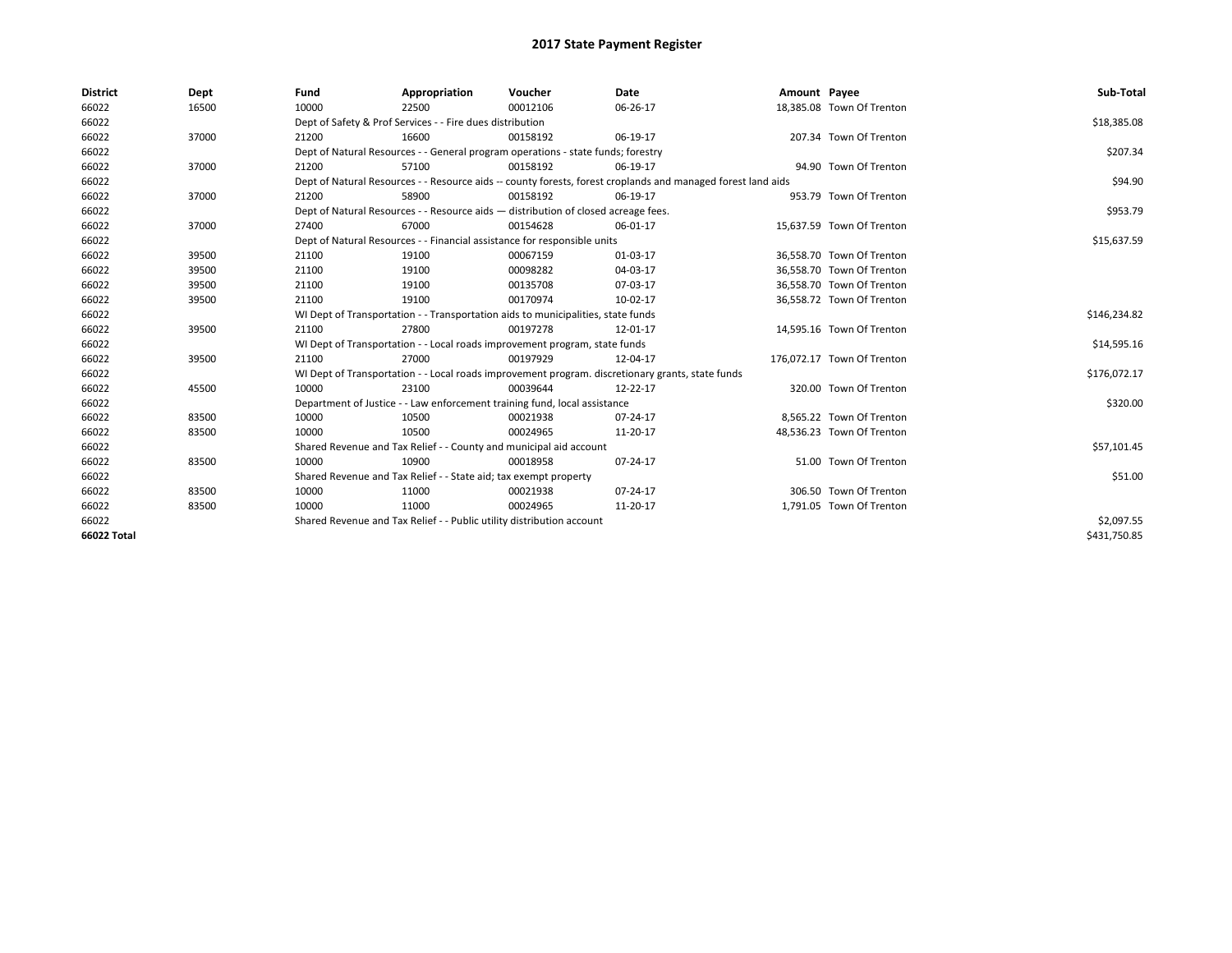| <b>District</b> | Dept  | Fund  | Appropriation                                                                      | Voucher  | Date                                                                                                         | Amount Payee |                            | Sub-Total    |
|-----------------|-------|-------|------------------------------------------------------------------------------------|----------|--------------------------------------------------------------------------------------------------------------|--------------|----------------------------|--------------|
| 66022           | 16500 | 10000 | 22500                                                                              | 00012106 | 06-26-17                                                                                                     |              | 18,385.08 Town Of Trenton  |              |
| 66022           |       |       | Dept of Safety & Prof Services - - Fire dues distribution                          |          |                                                                                                              |              |                            | \$18,385.08  |
| 66022           | 37000 | 21200 | 16600                                                                              | 00158192 | 06-19-17                                                                                                     |              | 207.34 Town Of Trenton     |              |
| 66022           |       |       | Dept of Natural Resources - - General program operations - state funds; forestry   |          |                                                                                                              |              |                            | \$207.34     |
| 66022           | 37000 | 21200 | 57100                                                                              | 00158192 | 06-19-17                                                                                                     |              | 94.90 Town Of Trenton      |              |
| 66022           |       |       |                                                                                    |          | Dept of Natural Resources - - Resource aids -- county forests, forest croplands and managed forest land aids |              |                            | \$94.90      |
| 66022           | 37000 | 21200 | 58900                                                                              | 00158192 | 06-19-17                                                                                                     |              | 953.79 Town Of Trenton     |              |
| 66022           |       |       | Dept of Natural Resources - - Resource aids - distribution of closed acreage fees. |          |                                                                                                              |              |                            | \$953.79     |
| 66022           | 37000 | 27400 | 67000                                                                              | 00154628 | 06-01-17                                                                                                     |              | 15,637.59 Town Of Trenton  |              |
| 66022           |       |       | Dept of Natural Resources - - Financial assistance for responsible units           |          |                                                                                                              |              |                            | \$15,637.59  |
| 66022           | 39500 | 21100 | 19100                                                                              | 00067159 | 01-03-17                                                                                                     |              | 36,558.70 Town Of Trenton  |              |
| 66022           | 39500 | 21100 | 19100                                                                              | 00098282 | 04-03-17                                                                                                     |              | 36,558.70 Town Of Trenton  |              |
| 66022           | 39500 | 21100 | 19100                                                                              | 00135708 | 07-03-17                                                                                                     |              | 36.558.70 Town Of Trenton  |              |
| 66022           | 39500 | 21100 | 19100                                                                              | 00170974 | 10-02-17                                                                                                     |              | 36,558.72 Town Of Trenton  |              |
| 66022           |       |       | WI Dept of Transportation - - Transportation aids to municipalities, state funds   |          |                                                                                                              |              |                            | \$146,234.82 |
| 66022           | 39500 | 21100 | 27800                                                                              | 00197278 | 12-01-17                                                                                                     |              | 14,595.16 Town Of Trenton  |              |
| 66022           |       |       | WI Dept of Transportation - - Local roads improvement program, state funds         |          |                                                                                                              |              |                            | \$14,595.16  |
| 66022           | 39500 | 21100 | 27000                                                                              | 00197929 | 12-04-17                                                                                                     |              | 176,072.17 Town Of Trenton |              |
| 66022           |       |       |                                                                                    |          | WI Dept of Transportation - - Local roads improvement program. discretionary grants, state funds             |              |                            | \$176,072.17 |
| 66022           | 45500 | 10000 | 23100                                                                              | 00039644 | 12-22-17                                                                                                     |              | 320.00 Town Of Trenton     |              |
| 66022           |       |       | Department of Justice - - Law enforcement training fund, local assistance          |          |                                                                                                              |              |                            | \$320.00     |
| 66022           | 83500 | 10000 | 10500                                                                              | 00021938 | 07-24-17                                                                                                     |              | 8.565.22 Town Of Trenton   |              |
| 66022           | 83500 | 10000 | 10500                                                                              | 00024965 | 11-20-17                                                                                                     |              | 48,536.23 Town Of Trenton  |              |
| 66022           |       |       | Shared Revenue and Tax Relief - - County and municipal aid account                 |          |                                                                                                              |              |                            | \$57,101.45  |
| 66022           | 83500 | 10000 | 10900                                                                              | 00018958 | 07-24-17                                                                                                     |              | 51.00 Town Of Trenton      |              |
| 66022           |       |       | Shared Revenue and Tax Relief - - State aid; tax exempt property                   |          |                                                                                                              |              |                            | \$51.00      |
| 66022           | 83500 | 10000 | 11000                                                                              | 00021938 | 07-24-17                                                                                                     |              | 306.50 Town Of Trenton     |              |
| 66022           | 83500 | 10000 | 11000                                                                              | 00024965 | 11-20-17                                                                                                     |              | 1,791.05 Town Of Trenton   |              |
| 66022           |       |       | Shared Revenue and Tax Relief - - Public utility distribution account              |          |                                                                                                              |              |                            | \$2,097.55   |
| 66022 Total     |       |       |                                                                                    |          |                                                                                                              |              |                            | \$431,750.85 |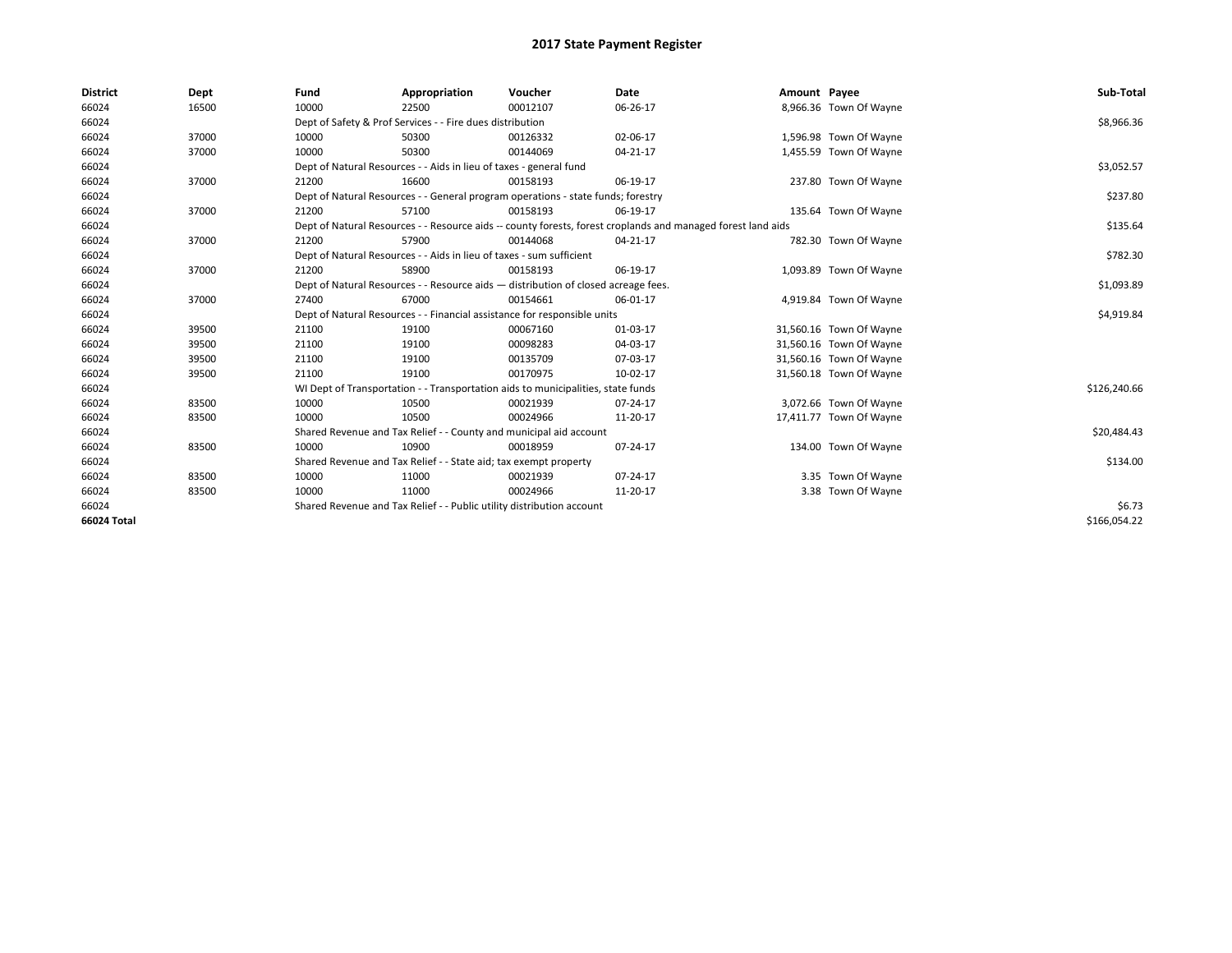| <b>District</b> | Dept  | Fund                                                                               | Appropriation                                                                    | Voucher    | Date                                                                                                         | Amount Payee |                         | Sub-Total    |
|-----------------|-------|------------------------------------------------------------------------------------|----------------------------------------------------------------------------------|------------|--------------------------------------------------------------------------------------------------------------|--------------|-------------------------|--------------|
| 66024           | 16500 | 10000                                                                              | 22500                                                                            | 00012107   | 06-26-17                                                                                                     |              | 8,966.36 Town Of Wayne  |              |
| 66024           |       |                                                                                    | Dept of Safety & Prof Services - - Fire dues distribution                        |            |                                                                                                              |              |                         | \$8,966.36   |
| 66024           | 37000 | 10000                                                                              | 50300                                                                            | 00126332   | 02-06-17                                                                                                     |              | 1,596.98 Town Of Wayne  |              |
| 66024           | 37000 | 10000                                                                              | 50300                                                                            | 00144069   | 04-21-17                                                                                                     |              | 1,455.59 Town Of Wayne  |              |
| 66024           |       |                                                                                    | Dept of Natural Resources - - Aids in lieu of taxes - general fund               |            |                                                                                                              |              |                         | \$3,052.57   |
| 66024           | 37000 | 21200                                                                              | 16600                                                                            | 00158193   | 06-19-17                                                                                                     |              | 237.80 Town Of Wayne    |              |
| 66024           |       |                                                                                    | Dept of Natural Resources - - General program operations - state funds; forestry |            |                                                                                                              |              |                         | \$237.80     |
| 66024           | 37000 | 21200                                                                              | 57100                                                                            | 00158193   | 06-19-17                                                                                                     |              | 135.64 Town Of Wayne    |              |
| 66024           |       |                                                                                    |                                                                                  |            | Dept of Natural Resources - - Resource aids -- county forests, forest croplands and managed forest land aids |              |                         | \$135.64     |
| 66024           | 37000 | 21200                                                                              | 57900                                                                            | 00144068   | 04-21-17                                                                                                     |              | 782.30 Town Of Wayne    |              |
| 66024           |       |                                                                                    | Dept of Natural Resources - - Aids in lieu of taxes - sum sufficient             |            |                                                                                                              |              |                         | \$782.30     |
| 66024           | 37000 | 21200                                                                              | 58900                                                                            | 00158193   | 06-19-17                                                                                                     |              | 1,093.89 Town Of Wayne  |              |
| 66024           |       | Dept of Natural Resources - - Resource aids - distribution of closed acreage fees. |                                                                                  | \$1,093.89 |                                                                                                              |              |                         |              |
| 66024           | 37000 | 27400                                                                              | 67000                                                                            | 00154661   | 06-01-17                                                                                                     |              | 4,919.84 Town Of Wayne  |              |
| 66024           |       |                                                                                    | Dept of Natural Resources - - Financial assistance for responsible units         |            |                                                                                                              |              |                         | \$4,919.84   |
| 66024           | 39500 | 21100                                                                              | 19100                                                                            | 00067160   | 01-03-17                                                                                                     |              | 31,560.16 Town Of Wayne |              |
| 66024           | 39500 | 21100                                                                              | 19100                                                                            | 00098283   | 04-03-17                                                                                                     |              | 31,560.16 Town Of Wayne |              |
| 66024           | 39500 | 21100                                                                              | 19100                                                                            | 00135709   | 07-03-17                                                                                                     |              | 31,560.16 Town Of Wayne |              |
| 66024           | 39500 | 21100                                                                              | 19100                                                                            | 00170975   | 10-02-17                                                                                                     |              | 31,560.18 Town Of Wayne |              |
| 66024           |       |                                                                                    | WI Dept of Transportation - - Transportation aids to municipalities, state funds |            |                                                                                                              |              |                         | \$126,240.66 |
| 66024           | 83500 | 10000                                                                              | 10500                                                                            | 00021939   | 07-24-17                                                                                                     |              | 3,072.66 Town Of Wayne  |              |
| 66024           | 83500 | 10000                                                                              | 10500                                                                            | 00024966   | 11-20-17                                                                                                     |              | 17,411.77 Town Of Wayne |              |
| 66024           |       |                                                                                    | Shared Revenue and Tax Relief - - County and municipal aid account               |            |                                                                                                              |              |                         | \$20,484.43  |
| 66024           | 83500 | 10000                                                                              | 10900                                                                            | 00018959   | 07-24-17                                                                                                     |              | 134.00 Town Of Wayne    |              |
| 66024           |       |                                                                                    | Shared Revenue and Tax Relief - - State aid; tax exempt property                 |            |                                                                                                              |              |                         | \$134.00     |
| 66024           | 83500 | 10000                                                                              | 11000                                                                            | 00021939   | 07-24-17                                                                                                     |              | 3.35 Town Of Wayne      |              |
| 66024           | 83500 | 10000                                                                              | 11000                                                                            | 00024966   | 11-20-17                                                                                                     |              | 3.38 Town Of Wayne      |              |
| 66024           |       | Shared Revenue and Tax Relief - - Public utility distribution account              |                                                                                  | \$6.73     |                                                                                                              |              |                         |              |
| 66024 Total     |       |                                                                                    |                                                                                  |            |                                                                                                              |              |                         | \$166.054.22 |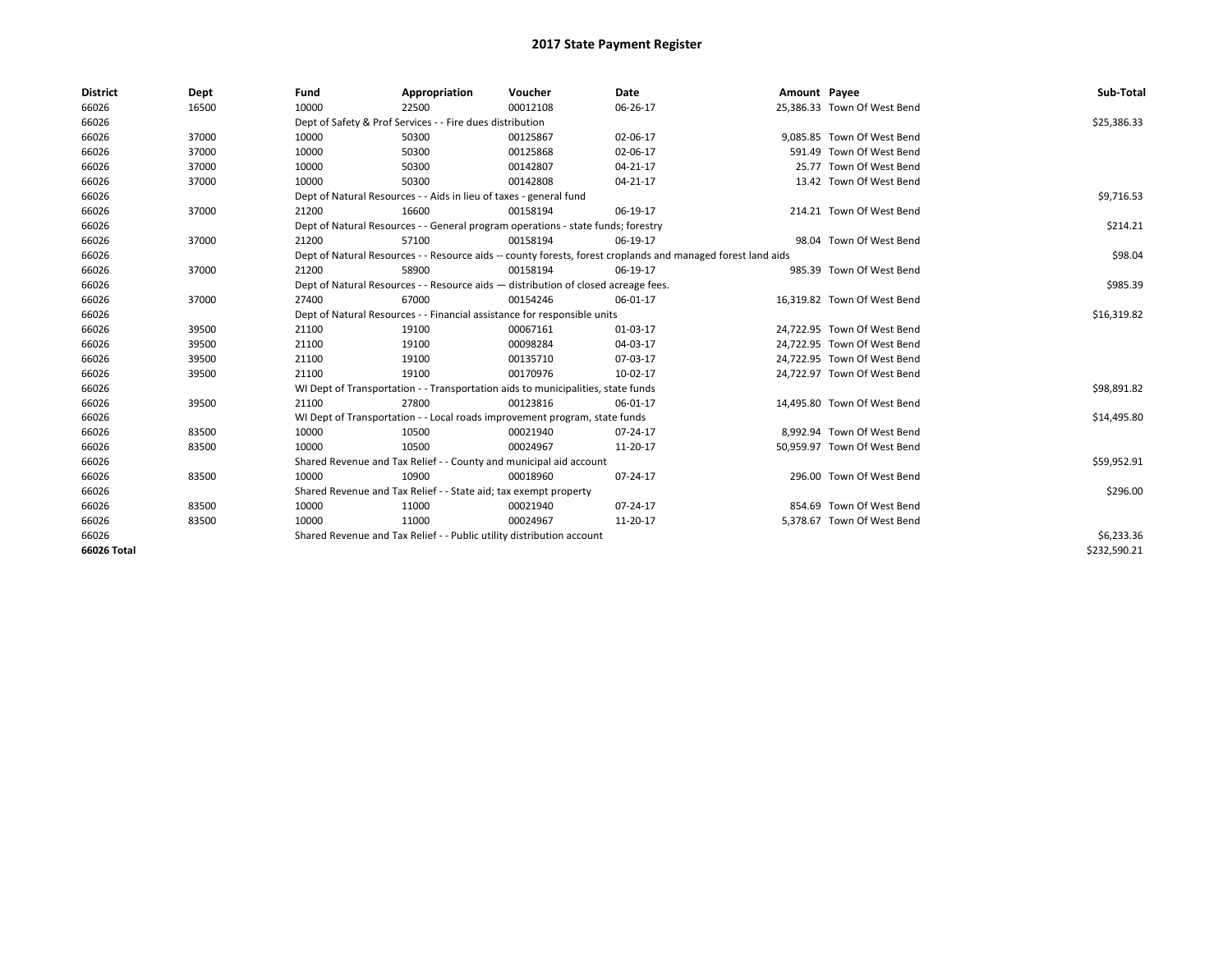| <b>District</b> | Dept  | Fund  | Appropriation                                                                                                | Voucher  | Date           | Amount Payee |                             | Sub-Total    |
|-----------------|-------|-------|--------------------------------------------------------------------------------------------------------------|----------|----------------|--------------|-----------------------------|--------------|
| 66026           | 16500 | 10000 | 22500                                                                                                        | 00012108 | 06-26-17       |              | 25,386.33 Town Of West Bend |              |
| 66026           |       |       | Dept of Safety & Prof Services - - Fire dues distribution                                                    |          |                |              |                             | \$25,386.33  |
| 66026           | 37000 | 10000 | 50300                                                                                                        | 00125867 | 02-06-17       |              | 9.085.85 Town Of West Bend  |              |
| 66026           | 37000 | 10000 | 50300                                                                                                        | 00125868 | 02-06-17       |              | 591.49 Town Of West Bend    |              |
| 66026           | 37000 | 10000 | 50300                                                                                                        | 00142807 | $04 - 21 - 17$ |              | 25.77 Town Of West Bend     |              |
| 66026           | 37000 | 10000 | 50300                                                                                                        | 00142808 | 04-21-17       |              | 13.42 Town Of West Bend     |              |
| 66026           |       |       | Dept of Natural Resources - - Aids in lieu of taxes - general fund                                           |          |                |              |                             | \$9,716.53   |
| 66026           | 37000 | 21200 | 16600                                                                                                        | 00158194 | 06-19-17       |              | 214.21 Town Of West Bend    |              |
| 66026           |       |       | Dept of Natural Resources - - General program operations - state funds; forestry                             |          |                |              |                             | \$214.21     |
| 66026           | 37000 | 21200 | 57100                                                                                                        | 00158194 | 06-19-17       |              | 98.04 Town Of West Bend     |              |
| 66026           |       |       | Dept of Natural Resources - - Resource aids -- county forests, forest croplands and managed forest land aids |          |                |              |                             | \$98.04      |
| 66026           | 37000 | 21200 | 58900                                                                                                        | 00158194 | 06-19-17       |              | 985.39 Town Of West Bend    |              |
| 66026           |       |       | Dept of Natural Resources - - Resource aids - distribution of closed acreage fees.                           |          |                |              |                             | \$985.39     |
| 66026           | 37000 | 27400 | 67000                                                                                                        | 00154246 | 06-01-17       |              | 16.319.82 Town Of West Bend |              |
| 66026           |       |       | Dept of Natural Resources - - Financial assistance for responsible units                                     |          |                |              |                             | \$16,319.82  |
| 66026           | 39500 | 21100 | 19100                                                                                                        | 00067161 | 01-03-17       |              | 24,722.95 Town Of West Bend |              |
| 66026           | 39500 | 21100 | 19100                                                                                                        | 00098284 | 04-03-17       |              | 24,722.95 Town Of West Bend |              |
| 66026           | 39500 | 21100 | 19100                                                                                                        | 00135710 | 07-03-17       |              | 24,722.95 Town Of West Bend |              |
| 66026           | 39500 | 21100 | 19100                                                                                                        | 00170976 | 10-02-17       |              | 24,722.97 Town Of West Bend |              |
| 66026           |       |       | WI Dept of Transportation - - Transportation aids to municipalities, state funds                             |          |                |              |                             | \$98,891.82  |
| 66026           | 39500 | 21100 | 27800                                                                                                        | 00123816 | 06-01-17       |              | 14,495.80 Town Of West Bend |              |
| 66026           |       |       | WI Dept of Transportation - - Local roads improvement program, state funds                                   |          |                |              |                             | \$14,495.80  |
| 66026           | 83500 | 10000 | 10500                                                                                                        | 00021940 | $07 - 24 - 17$ |              | 8,992.94 Town Of West Bend  |              |
| 66026           | 83500 | 10000 | 10500                                                                                                        | 00024967 | 11-20-17       |              | 50,959.97 Town Of West Bend |              |
| 66026           |       |       | Shared Revenue and Tax Relief - - County and municipal aid account                                           |          |                |              |                             | \$59,952.91  |
| 66026           | 83500 | 10000 | 10900                                                                                                        | 00018960 | 07-24-17       |              | 296.00 Town Of West Bend    |              |
| 66026           |       |       | Shared Revenue and Tax Relief - - State aid; tax exempt property                                             |          |                |              |                             | \$296.00     |
| 66026           | 83500 | 10000 | 11000                                                                                                        | 00021940 | $07 - 24 - 17$ |              | 854.69 Town Of West Bend    |              |
| 66026           | 83500 | 10000 | 11000                                                                                                        | 00024967 | 11-20-17       |              | 5,378.67 Town Of West Bend  |              |
| 66026           |       |       | Shared Revenue and Tax Relief - - Public utility distribution account                                        |          |                |              |                             | \$6,233.36   |
| 66026 Total     |       |       |                                                                                                              |          |                |              |                             | \$232,590.21 |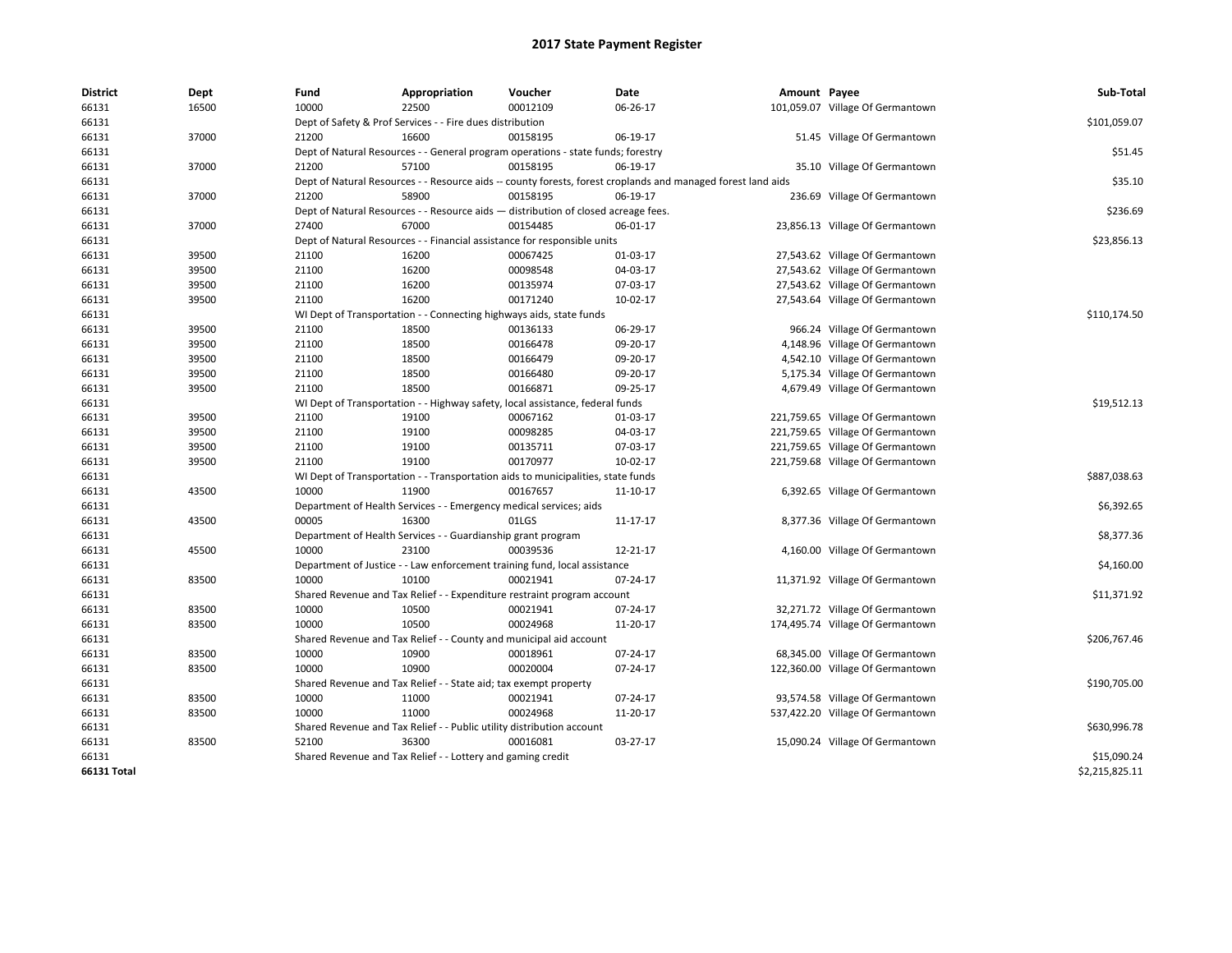| <b>District</b> | Dept  | Fund  | Appropriation                                                                      | Voucher  | <b>Date</b>                                                                                                  | Amount Payee |                                  | Sub-Total      |
|-----------------|-------|-------|------------------------------------------------------------------------------------|----------|--------------------------------------------------------------------------------------------------------------|--------------|----------------------------------|----------------|
| 66131           | 16500 | 10000 | 22500                                                                              | 00012109 | 06-26-17                                                                                                     |              | 101,059.07 Village Of Germantown |                |
| 66131           |       |       | Dept of Safety & Prof Services - - Fire dues distribution                          |          |                                                                                                              |              |                                  | \$101,059.07   |
| 66131           | 37000 | 21200 | 16600                                                                              | 00158195 | 06-19-17                                                                                                     |              | 51.45 Village Of Germantown      |                |
| 66131           |       |       | Dept of Natural Resources - - General program operations - state funds; forestry   |          |                                                                                                              |              |                                  | \$51.45        |
| 66131           | 37000 | 21200 | 57100                                                                              | 00158195 | 06-19-17                                                                                                     |              | 35.10 Village Of Germantown      |                |
| 66131           |       |       |                                                                                    |          | Dept of Natural Resources - - Resource aids -- county forests, forest croplands and managed forest land aids |              |                                  | \$35.10        |
| 66131           | 37000 | 21200 | 58900                                                                              | 00158195 | 06-19-17                                                                                                     |              | 236.69 Village Of Germantown     |                |
| 66131           |       |       | Dept of Natural Resources - - Resource aids - distribution of closed acreage fees. |          |                                                                                                              |              |                                  | \$236.69       |
| 66131           | 37000 | 27400 | 67000                                                                              | 00154485 | 06-01-17                                                                                                     |              | 23,856.13 Village Of Germantown  |                |
| 66131           |       |       | Dept of Natural Resources - - Financial assistance for responsible units           |          |                                                                                                              |              |                                  | \$23,856.13    |
| 66131           | 39500 | 21100 | 16200                                                                              | 00067425 | 01-03-17                                                                                                     |              | 27,543.62 Village Of Germantown  |                |
| 66131           | 39500 | 21100 | 16200                                                                              | 00098548 | 04-03-17                                                                                                     |              | 27,543.62 Village Of Germantown  |                |
| 66131           | 39500 | 21100 | 16200                                                                              | 00135974 | 07-03-17                                                                                                     |              | 27,543.62 Village Of Germantown  |                |
| 66131           | 39500 | 21100 | 16200                                                                              | 00171240 | 10-02-17                                                                                                     |              | 27,543.64 Village Of Germantown  |                |
| 66131           |       |       | WI Dept of Transportation - - Connecting highways aids, state funds                |          |                                                                                                              |              |                                  | \$110,174.50   |
| 66131           | 39500 | 21100 | 18500                                                                              | 00136133 | 06-29-17                                                                                                     |              | 966.24 Village Of Germantown     |                |
| 66131           | 39500 | 21100 | 18500                                                                              | 00166478 | 09-20-17                                                                                                     |              | 4,148.96 Village Of Germantown   |                |
| 66131           | 39500 | 21100 | 18500                                                                              | 00166479 | 09-20-17                                                                                                     |              | 4,542.10 Village Of Germantown   |                |
| 66131           | 39500 | 21100 | 18500                                                                              | 00166480 | 09-20-17                                                                                                     |              | 5,175.34 Village Of Germantown   |                |
| 66131           | 39500 | 21100 | 18500                                                                              | 00166871 | 09-25-17                                                                                                     |              | 4,679.49 Village Of Germantown   |                |
| 66131           |       |       | WI Dept of Transportation - - Highway safety, local assistance, federal funds      |          |                                                                                                              |              |                                  | \$19,512.13    |
| 66131           | 39500 | 21100 | 19100                                                                              | 00067162 | 01-03-17                                                                                                     |              | 221,759.65 Village Of Germantown |                |
| 66131           | 39500 | 21100 | 19100                                                                              | 00098285 | 04-03-17                                                                                                     |              | 221,759.65 Village Of Germantown |                |
| 66131           | 39500 | 21100 | 19100                                                                              | 00135711 | 07-03-17                                                                                                     |              | 221,759.65 Village Of Germantown |                |
| 66131           | 39500 | 21100 | 19100                                                                              | 00170977 | 10-02-17                                                                                                     |              | 221,759.68 Village Of Germantown |                |
| 66131           |       |       | WI Dept of Transportation - - Transportation aids to municipalities, state funds   |          |                                                                                                              |              |                                  | \$887,038.63   |
| 66131           | 43500 | 10000 | 11900                                                                              | 00167657 | 11-10-17                                                                                                     |              | 6,392.65 Village Of Germantown   |                |
| 66131           |       |       | Department of Health Services - - Emergency medical services; aids                 |          |                                                                                                              |              |                                  | \$6,392.65     |
| 66131           | 43500 | 00005 | 16300                                                                              | 01LGS    | 11-17-17                                                                                                     |              | 8,377.36 Village Of Germantown   |                |
| 66131           |       |       | Department of Health Services - - Guardianship grant program                       |          |                                                                                                              |              |                                  | \$8,377.36     |
| 66131           | 45500 | 10000 | 23100                                                                              | 00039536 | 12-21-17                                                                                                     |              | 4,160.00 Village Of Germantown   |                |
| 66131           |       |       | Department of Justice - - Law enforcement training fund, local assistance          |          |                                                                                                              |              |                                  | \$4,160.00     |
| 66131           | 83500 | 10000 | 10100                                                                              | 00021941 | 07-24-17                                                                                                     |              | 11,371.92 Village Of Germantown  |                |
| 66131           |       |       | Shared Revenue and Tax Relief - - Expenditure restraint program account            |          |                                                                                                              |              |                                  | \$11,371.92    |
| 66131           | 83500 | 10000 | 10500                                                                              | 00021941 | 07-24-17                                                                                                     |              | 32,271.72 Village Of Germantown  |                |
| 66131           | 83500 | 10000 | 10500                                                                              | 00024968 | 11-20-17                                                                                                     |              | 174,495.74 Village Of Germantown |                |
| 66131           |       |       | Shared Revenue and Tax Relief - - County and municipal aid account                 |          |                                                                                                              |              |                                  | \$206,767.46   |
| 66131           | 83500 | 10000 | 10900                                                                              | 00018961 | 07-24-17                                                                                                     |              | 68,345.00 Village Of Germantown  |                |
| 66131           | 83500 | 10000 | 10900                                                                              | 00020004 | 07-24-17                                                                                                     |              | 122,360.00 Village Of Germantown |                |
| 66131           |       |       | Shared Revenue and Tax Relief - - State aid; tax exempt property                   |          |                                                                                                              |              |                                  | \$190,705.00   |
| 66131           | 83500 | 10000 | 11000                                                                              | 00021941 | 07-24-17                                                                                                     |              | 93,574.58 Village Of Germantown  |                |
| 66131           | 83500 | 10000 | 11000                                                                              | 00024968 | 11-20-17                                                                                                     |              | 537,422.20 Village Of Germantown |                |
| 66131           |       |       | Shared Revenue and Tax Relief - - Public utility distribution account              |          |                                                                                                              |              |                                  | \$630,996.78   |
| 66131           | 83500 | 52100 | 36300                                                                              | 00016081 | 03-27-17                                                                                                     |              | 15,090.24 Village Of Germantown  |                |
| 66131           |       |       | Shared Revenue and Tax Relief - - Lottery and gaming credit                        |          |                                                                                                              |              |                                  | \$15,090.24    |
| 66131 Total     |       |       |                                                                                    |          |                                                                                                              |              |                                  | \$2,215,825.11 |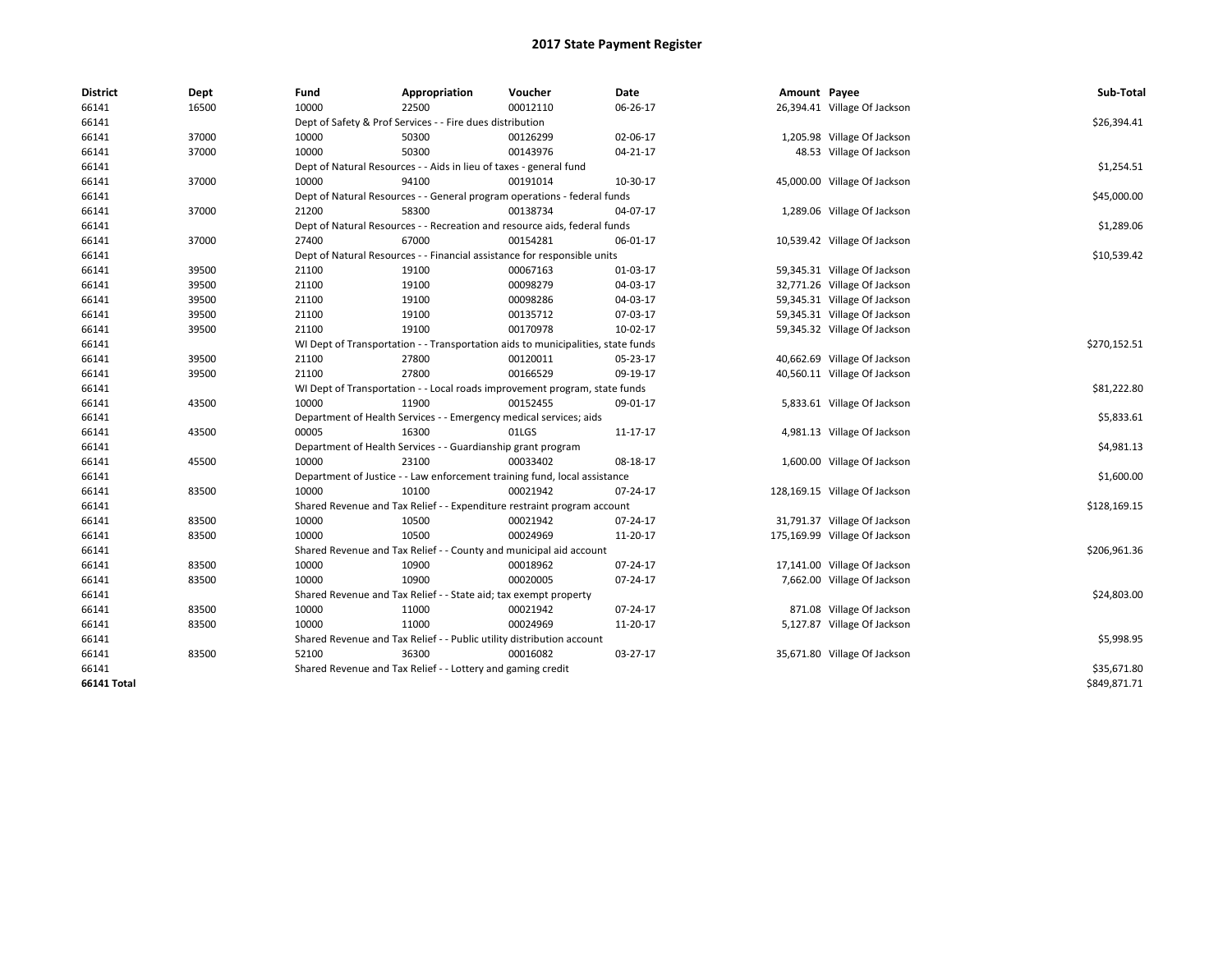| <b>District</b>    | Dept  | Fund  | Appropriation                                                                    | Voucher  | Date     | Amount Payee |                               | Sub-Total    |
|--------------------|-------|-------|----------------------------------------------------------------------------------|----------|----------|--------------|-------------------------------|--------------|
| 66141              | 16500 | 10000 | 22500                                                                            | 00012110 | 06-26-17 |              | 26,394.41 Village Of Jackson  |              |
| 66141              |       |       | Dept of Safety & Prof Services - - Fire dues distribution                        |          |          |              |                               | \$26,394.41  |
| 66141              | 37000 | 10000 | 50300                                                                            | 00126299 | 02-06-17 |              | 1,205.98 Village Of Jackson   |              |
| 66141              | 37000 | 10000 | 50300                                                                            | 00143976 | 04-21-17 |              | 48.53 Village Of Jackson      |              |
| 66141              |       |       | Dept of Natural Resources - - Aids in lieu of taxes - general fund               |          |          |              |                               | \$1,254.51   |
| 66141              | 37000 | 10000 | 94100                                                                            | 00191014 | 10-30-17 |              | 45,000.00 Village Of Jackson  |              |
| 66141              |       |       | Dept of Natural Resources - - General program operations - federal funds         |          |          |              |                               | \$45,000.00  |
| 66141              | 37000 | 21200 | 58300                                                                            | 00138734 | 04-07-17 |              | 1,289.06 Village Of Jackson   |              |
| 66141              |       |       | Dept of Natural Resources - - Recreation and resource aids, federal funds        |          |          |              |                               | \$1,289.06   |
| 66141              | 37000 | 27400 | 67000                                                                            | 00154281 | 06-01-17 |              | 10,539.42 Village Of Jackson  |              |
| 66141              |       |       | Dept of Natural Resources - - Financial assistance for responsible units         |          |          |              |                               | \$10,539.42  |
| 66141              | 39500 | 21100 | 19100                                                                            | 00067163 | 01-03-17 |              | 59,345.31 Village Of Jackson  |              |
| 66141              | 39500 | 21100 | 19100                                                                            | 00098279 | 04-03-17 |              | 32,771.26 Village Of Jackson  |              |
| 66141              | 39500 | 21100 | 19100                                                                            | 00098286 | 04-03-17 |              | 59,345.31 Village Of Jackson  |              |
| 66141              | 39500 | 21100 | 19100                                                                            | 00135712 | 07-03-17 |              | 59,345.31 Village Of Jackson  |              |
| 66141              | 39500 | 21100 | 19100                                                                            | 00170978 | 10-02-17 |              | 59,345.32 Village Of Jackson  |              |
| 66141              |       |       | WI Dept of Transportation - - Transportation aids to municipalities, state funds |          |          |              |                               | \$270,152.51 |
| 66141              | 39500 | 21100 | 27800                                                                            | 00120011 | 05-23-17 |              | 40,662.69 Village Of Jackson  |              |
| 66141              | 39500 | 21100 | 27800                                                                            | 00166529 | 09-19-17 |              | 40,560.11 Village Of Jackson  |              |
| 66141              |       |       | WI Dept of Transportation - - Local roads improvement program, state funds       |          |          |              |                               | \$81,222.80  |
| 66141              | 43500 | 10000 | 11900                                                                            | 00152455 | 09-01-17 |              | 5,833.61 Village Of Jackson   |              |
| 66141              |       |       | Department of Health Services - - Emergency medical services; aids               |          |          |              |                               | \$5,833.61   |
| 66141              | 43500 | 00005 | 16300                                                                            | 01LGS    | 11-17-17 |              | 4,981.13 Village Of Jackson   |              |
| 66141              |       |       | Department of Health Services - - Guardianship grant program                     |          |          |              |                               | \$4,981.13   |
| 66141              | 45500 | 10000 | 23100                                                                            | 00033402 | 08-18-17 |              | 1,600.00 Village Of Jackson   |              |
| 66141              |       |       | Department of Justice - - Law enforcement training fund, local assistance        |          |          |              |                               | \$1,600.00   |
| 66141              | 83500 | 10000 | 10100                                                                            | 00021942 | 07-24-17 |              | 128,169.15 Village Of Jackson |              |
| 66141              |       |       | Shared Revenue and Tax Relief - - Expenditure restraint program account          |          |          |              |                               | \$128,169.15 |
| 66141              | 83500 | 10000 | 10500                                                                            | 00021942 | 07-24-17 |              | 31,791.37 Village Of Jackson  |              |
| 66141              | 83500 | 10000 | 10500                                                                            | 00024969 | 11-20-17 |              | 175,169.99 Village Of Jackson |              |
| 66141              |       |       | Shared Revenue and Tax Relief - - County and municipal aid account               |          |          |              |                               | \$206,961.36 |
| 66141              | 83500 | 10000 | 10900                                                                            | 00018962 | 07-24-17 |              | 17,141.00 Village Of Jackson  |              |
| 66141              | 83500 | 10000 | 10900                                                                            | 00020005 | 07-24-17 |              | 7,662.00 Village Of Jackson   |              |
| 66141              |       |       | Shared Revenue and Tax Relief - - State aid; tax exempt property                 |          |          |              |                               | \$24,803.00  |
| 66141              | 83500 | 10000 | 11000                                                                            | 00021942 | 07-24-17 |              | 871.08 Village Of Jackson     |              |
| 66141              | 83500 | 10000 | 11000                                                                            | 00024969 | 11-20-17 |              | 5,127.87 Village Of Jackson   |              |
| 66141              |       |       | Shared Revenue and Tax Relief - - Public utility distribution account            |          |          |              |                               | \$5,998.95   |
| 66141              | 83500 | 52100 | 36300                                                                            | 00016082 | 03-27-17 |              | 35,671.80 Village Of Jackson  |              |
| 66141              |       |       | Shared Revenue and Tax Relief - - Lottery and gaming credit                      |          |          |              |                               | \$35,671.80  |
| <b>66141 Total</b> |       |       |                                                                                  |          |          |              |                               | \$849,871.71 |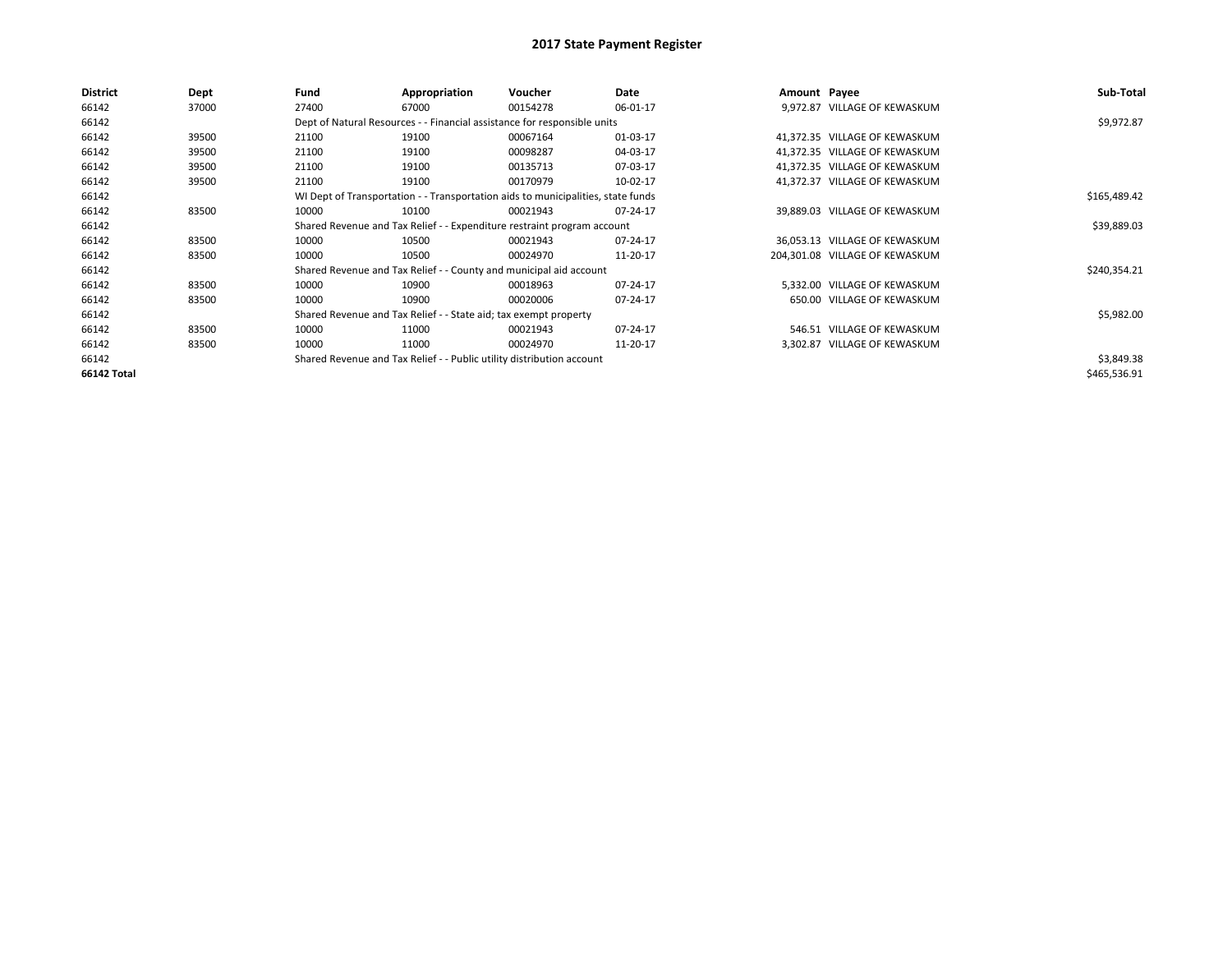| <b>District</b> | <b>Dept</b> | Fund  | Appropriation                                                                    | Voucher  | Date     | Amount Payee |                                | Sub-Total    |
|-----------------|-------------|-------|----------------------------------------------------------------------------------|----------|----------|--------------|--------------------------------|--------------|
| 66142           | 37000       | 27400 | 67000                                                                            | 00154278 | 06-01-17 |              | 9,972.87 VILLAGE OF KEWASKUM   |              |
| 66142           |             |       | Dept of Natural Resources - - Financial assistance for responsible units         |          |          |              |                                | \$9,972.87   |
| 66142           | 39500       | 21100 | 19100                                                                            | 00067164 | 01-03-17 |              | 41,372.35 VILLAGE OF KEWASKUM  |              |
| 66142           | 39500       | 21100 | 19100                                                                            | 00098287 | 04-03-17 |              | 41,372.35 VILLAGE OF KEWASKUM  |              |
| 66142           | 39500       | 21100 | 19100                                                                            | 00135713 | 07-03-17 |              | 41,372.35 VILLAGE OF KEWASKUM  |              |
| 66142           | 39500       | 21100 | 19100                                                                            | 00170979 | 10-02-17 |              | 41,372.37 VILLAGE OF KEWASKUM  |              |
| 66142           |             |       | WI Dept of Transportation - - Transportation aids to municipalities, state funds |          |          |              |                                | \$165,489.42 |
| 66142           | 83500       | 10000 | 10100                                                                            | 00021943 | 07-24-17 |              | 39,889.03 VILLAGE OF KEWASKUM  |              |
| 66142           |             |       | Shared Revenue and Tax Relief - - Expenditure restraint program account          |          |          |              |                                | \$39,889.03  |
| 66142           | 83500       | 10000 | 10500                                                                            | 00021943 | 07-24-17 |              | 36,053.13 VILLAGE OF KEWASKUM  |              |
| 66142           | 83500       | 10000 | 10500                                                                            | 00024970 | 11-20-17 |              | 204.301.08 VILLAGE OF KEWASKUM |              |
| 66142           |             |       | Shared Revenue and Tax Relief - - County and municipal aid account               |          |          |              |                                | \$240,354.21 |
| 66142           | 83500       | 10000 | 10900                                                                            | 00018963 | 07-24-17 |              | 5,332.00 VILLAGE OF KEWASKUM   |              |
| 66142           | 83500       | 10000 | 10900                                                                            | 00020006 | 07-24-17 |              | 650.00 VILLAGE OF KEWASKUM     |              |
| 66142           |             |       | Shared Revenue and Tax Relief - - State aid; tax exempt property                 |          |          |              |                                | \$5,982.00   |
| 66142           | 83500       | 10000 | 11000                                                                            | 00021943 | 07-24-17 |              | 546.51 VILLAGE OF KEWASKUM     |              |
| 66142           | 83500       | 10000 | 11000                                                                            | 00024970 | 11-20-17 |              | 3,302.87 VILLAGE OF KEWASKUM   |              |
| 66142           |             |       | Shared Revenue and Tax Relief - - Public utility distribution account            |          |          |              |                                | \$3,849.38   |
| 66142 Total     |             |       |                                                                                  |          |          |              |                                | \$465,536.91 |
|                 |             |       |                                                                                  |          |          |              |                                |              |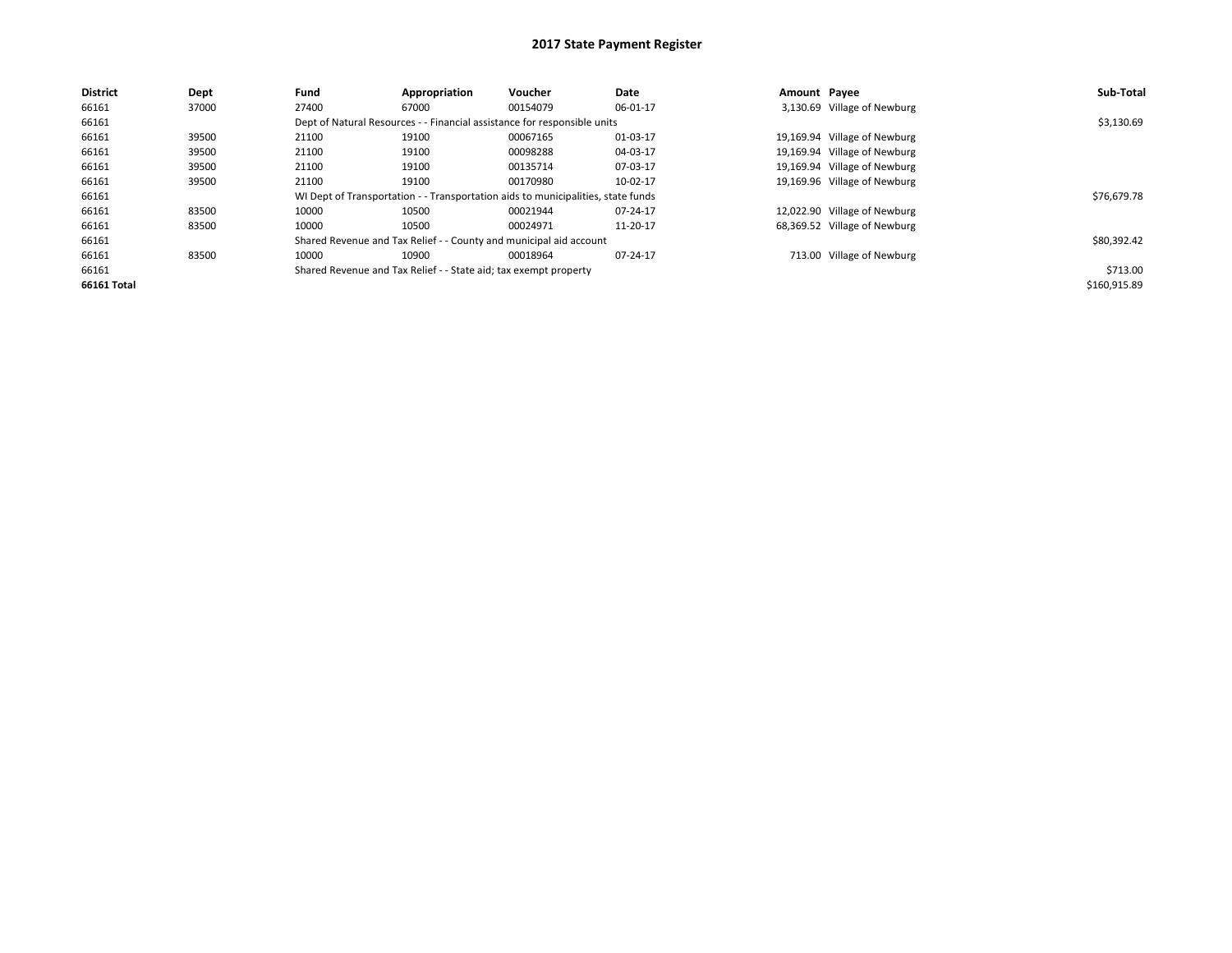| <b>District</b> | Dept  | Fund  | Appropriation                                                    | Voucher                                                                          | Date     | Amount Pavee |                              | Sub-Total    |
|-----------------|-------|-------|------------------------------------------------------------------|----------------------------------------------------------------------------------|----------|--------------|------------------------------|--------------|
| 66161           | 37000 | 27400 | 67000                                                            | 00154079                                                                         | 06-01-17 |              | 3,130.69 Village of Newburg  |              |
| 66161           |       |       |                                                                  | Dept of Natural Resources - - Financial assistance for responsible units         |          |              |                              | \$3,130.69   |
| 66161           | 39500 | 21100 | 19100                                                            | 00067165                                                                         | 01-03-17 |              | 19,169.94 Village of Newburg |              |
| 66161           | 39500 | 21100 | 19100                                                            | 00098288                                                                         | 04-03-17 |              | 19,169.94 Village of Newburg |              |
| 66161           | 39500 | 21100 | 19100                                                            | 00135714                                                                         | 07-03-17 |              | 19,169.94 Village of Newburg |              |
| 66161           | 39500 | 21100 | 19100                                                            | 00170980                                                                         | 10-02-17 |              | 19,169.96 Village of Newburg |              |
| 66161           |       |       |                                                                  | WI Dept of Transportation - - Transportation aids to municipalities, state funds |          |              |                              | \$76,679.78  |
| 66161           | 83500 | 10000 | 10500                                                            | 00021944                                                                         | 07-24-17 |              | 12,022.90 Village of Newburg |              |
| 66161           | 83500 | 10000 | 10500                                                            | 00024971                                                                         | 11-20-17 |              | 68,369.52 Village of Newburg |              |
| 66161           |       |       |                                                                  | Shared Revenue and Tax Relief - - County and municipal aid account               |          |              |                              | \$80,392.42  |
| 66161           | 83500 | 10000 | 10900                                                            | 00018964                                                                         | 07-24-17 |              | 713.00 Village of Newburg    |              |
| 66161           |       |       | Shared Revenue and Tax Relief - - State aid; tax exempt property |                                                                                  |          |              |                              | \$713.00     |
| 66161 Total     |       |       |                                                                  |                                                                                  |          |              |                              | \$160,915.89 |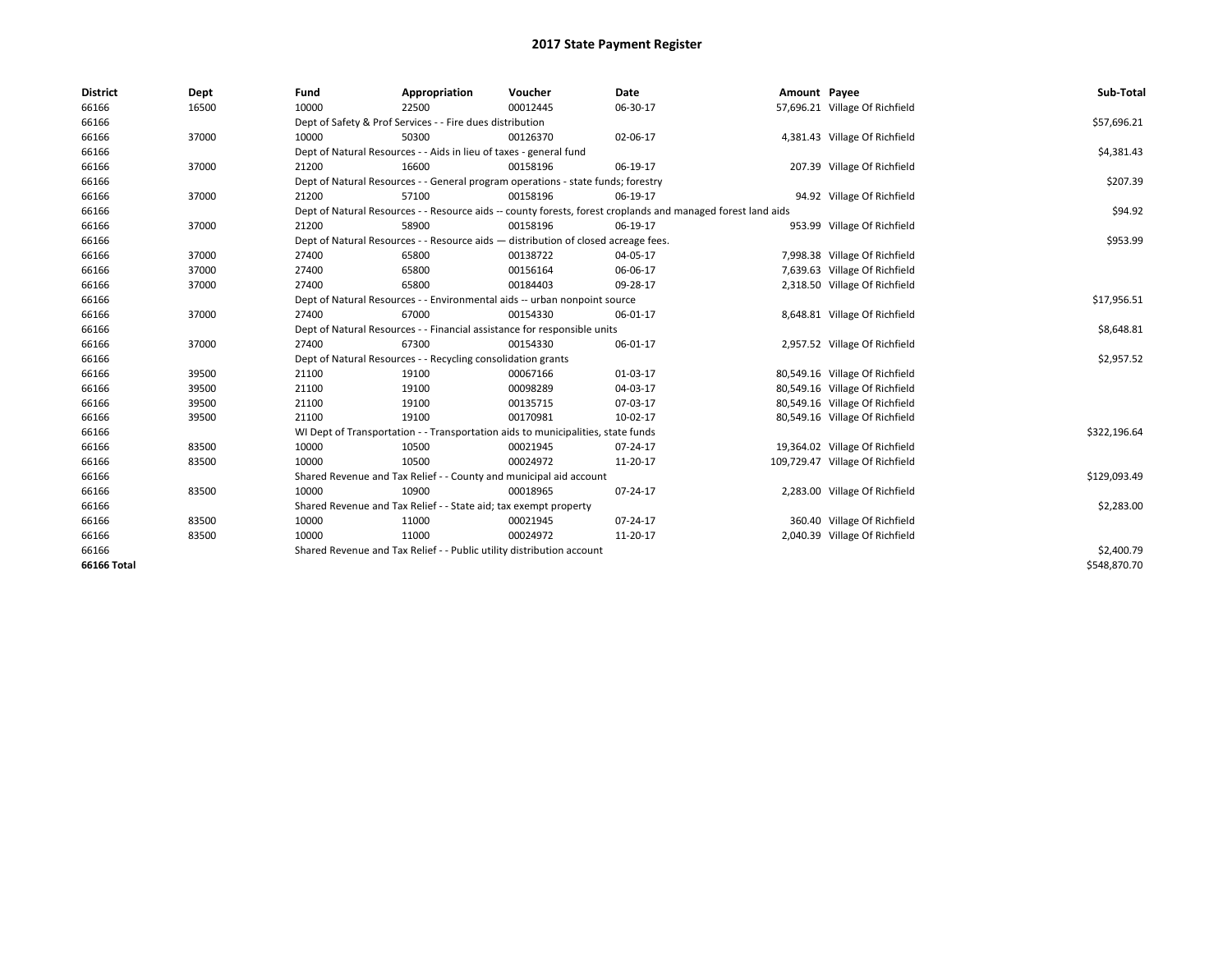| <b>District</b> | Dept  | Fund  | Appropriation                                                         | Voucher                                                                            | Date                                                                                                         | Amount Payee |                                 | Sub-Total    |
|-----------------|-------|-------|-----------------------------------------------------------------------|------------------------------------------------------------------------------------|--------------------------------------------------------------------------------------------------------------|--------------|---------------------------------|--------------|
| 66166           | 16500 | 10000 | 22500                                                                 | 00012445                                                                           | 06-30-17                                                                                                     |              | 57,696.21 Village Of Richfield  |              |
| 66166           |       |       | Dept of Safety & Prof Services - - Fire dues distribution             |                                                                                    |                                                                                                              |              |                                 | \$57,696.21  |
| 66166           | 37000 | 10000 | 50300                                                                 | 00126370                                                                           | 02-06-17                                                                                                     |              | 4,381.43 Village Of Richfield   |              |
| 66166           |       |       | Dept of Natural Resources - - Aids in lieu of taxes - general fund    |                                                                                    |                                                                                                              |              |                                 | \$4,381.43   |
| 66166           | 37000 | 21200 | 16600                                                                 | 00158196                                                                           | 06-19-17                                                                                                     |              | 207.39 Village Of Richfield     |              |
| 66166           |       |       |                                                                       | Dept of Natural Resources - - General program operations - state funds; forestry   |                                                                                                              |              |                                 | \$207.39     |
| 66166           | 37000 | 21200 | 57100                                                                 | 00158196                                                                           | 06-19-17                                                                                                     |              | 94.92 Village Of Richfield      |              |
| 66166           |       |       |                                                                       |                                                                                    | Dept of Natural Resources - - Resource aids -- county forests, forest croplands and managed forest land aids |              |                                 | \$94.92      |
| 66166           | 37000 | 21200 | 58900                                                                 | 00158196                                                                           | 06-19-17                                                                                                     |              | 953.99 Village Of Richfield     |              |
| 66166           |       |       |                                                                       | Dept of Natural Resources - - Resource aids - distribution of closed acreage fees. |                                                                                                              |              |                                 | \$953.99     |
| 66166           | 37000 | 27400 | 65800                                                                 | 00138722                                                                           | 04-05-17                                                                                                     |              | 7,998.38 Village Of Richfield   |              |
| 66166           | 37000 | 27400 | 65800                                                                 | 00156164                                                                           | 06-06-17                                                                                                     |              | 7,639.63 Village Of Richfield   |              |
| 66166           | 37000 | 27400 | 65800                                                                 | 00184403                                                                           | 09-28-17                                                                                                     |              | 2,318.50 Village Of Richfield   |              |
| 66166           |       |       |                                                                       | Dept of Natural Resources - - Environmental aids -- urban nonpoint source          |                                                                                                              |              |                                 | \$17,956.51  |
| 66166           | 37000 | 27400 | 67000                                                                 | 00154330                                                                           | 06-01-17                                                                                                     |              | 8,648.81 Village Of Richfield   |              |
| 66166           |       |       |                                                                       | Dept of Natural Resources - - Financial assistance for responsible units           |                                                                                                              |              |                                 | \$8,648.81   |
| 66166           | 37000 | 27400 | 67300                                                                 | 00154330                                                                           | 06-01-17                                                                                                     |              | 2,957.52 Village Of Richfield   |              |
| 66166           |       |       | Dept of Natural Resources - - Recycling consolidation grants          |                                                                                    |                                                                                                              |              |                                 | \$2,957.52   |
| 66166           | 39500 | 21100 | 19100                                                                 | 00067166                                                                           | 01-03-17                                                                                                     |              | 80,549.16 Village Of Richfield  |              |
| 66166           | 39500 | 21100 | 19100                                                                 | 00098289                                                                           | 04-03-17                                                                                                     |              | 80,549.16 Village Of Richfield  |              |
| 66166           | 39500 | 21100 | 19100                                                                 | 00135715                                                                           | 07-03-17                                                                                                     |              | 80,549.16 Village Of Richfield  |              |
| 66166           | 39500 | 21100 | 19100                                                                 | 00170981                                                                           | 10-02-17                                                                                                     |              | 80,549.16 Village Of Richfield  |              |
| 66166           |       |       |                                                                       | WI Dept of Transportation - - Transportation aids to municipalities, state funds   |                                                                                                              |              |                                 | \$322,196.64 |
| 66166           | 83500 | 10000 | 10500                                                                 | 00021945                                                                           | 07-24-17                                                                                                     |              | 19,364.02 Village Of Richfield  |              |
| 66166           | 83500 | 10000 | 10500                                                                 | 00024972                                                                           | 11-20-17                                                                                                     |              | 109,729.47 Village Of Richfield |              |
| 66166           |       |       |                                                                       | Shared Revenue and Tax Relief - - County and municipal aid account                 |                                                                                                              |              |                                 | \$129,093.49 |
| 66166           | 83500 | 10000 | 10900                                                                 | 00018965                                                                           | 07-24-17                                                                                                     |              | 2,283.00 Village Of Richfield   |              |
| 66166           |       |       | Shared Revenue and Tax Relief - - State aid; tax exempt property      |                                                                                    |                                                                                                              |              |                                 | \$2,283.00   |
| 66166           | 83500 | 10000 | 11000                                                                 | 00021945                                                                           | 07-24-17                                                                                                     |              | 360.40 Village Of Richfield     |              |
| 66166           | 83500 | 10000 | 11000                                                                 | 00024972                                                                           | 11-20-17                                                                                                     |              | 2,040.39 Village Of Richfield   |              |
| 66166           |       |       | Shared Revenue and Tax Relief - - Public utility distribution account |                                                                                    |                                                                                                              |              |                                 | \$2,400.79   |
| 66166 Total     |       |       |                                                                       |                                                                                    |                                                                                                              |              |                                 | \$548,870.70 |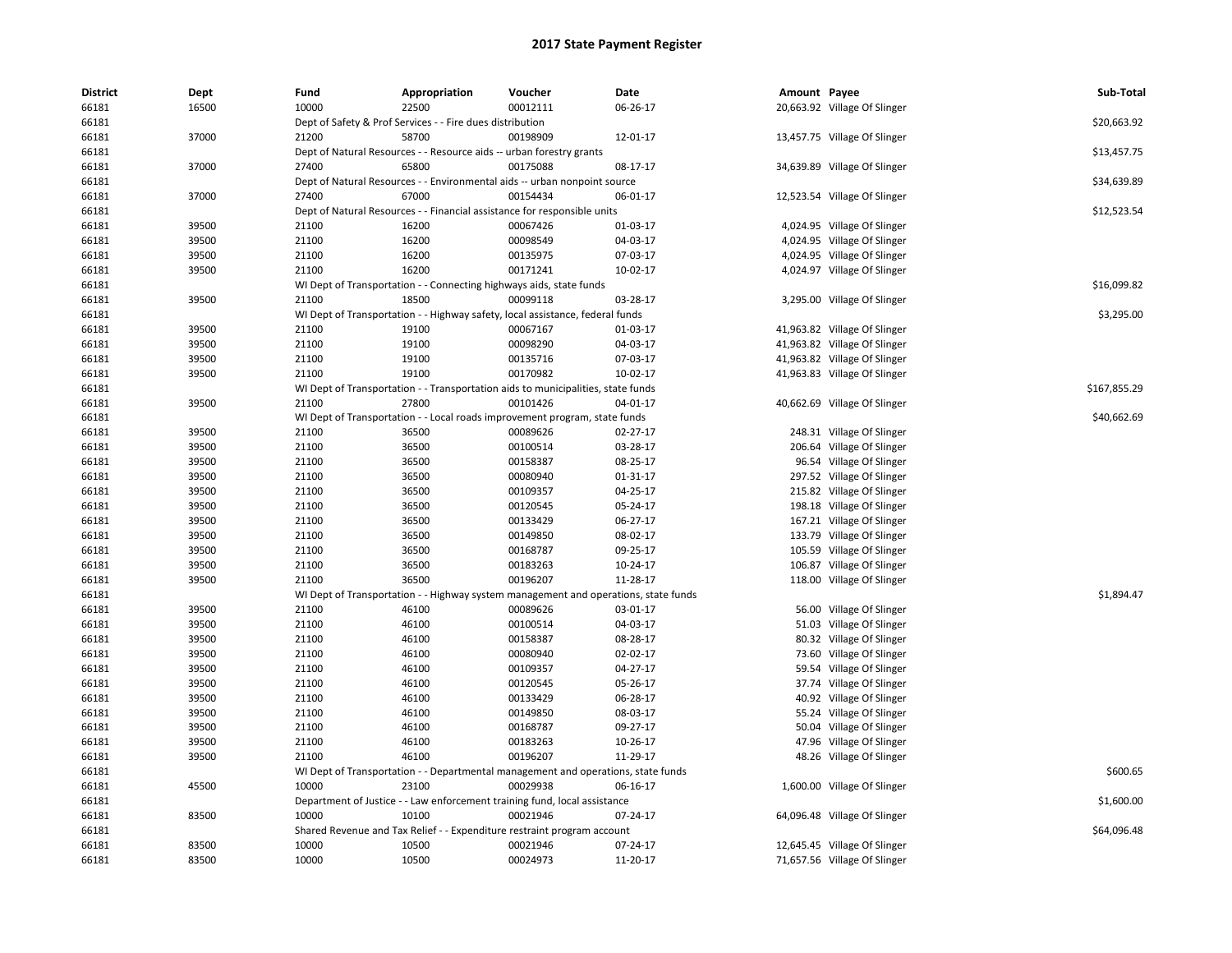| <b>District</b> | Dept  | Fund  | Appropriation                                                                              | Voucher  | Date     | Amount Payee |                              | Sub-Total    |
|-----------------|-------|-------|--------------------------------------------------------------------------------------------|----------|----------|--------------|------------------------------|--------------|
| 66181           | 16500 | 10000 | 22500                                                                                      | 00012111 | 06-26-17 |              | 20,663.92 Village Of Slinger |              |
| 66181           |       |       | Dept of Safety & Prof Services - - Fire dues distribution                                  |          |          |              |                              | \$20,663.92  |
| 66181           | 37000 | 21200 | 58700                                                                                      | 00198909 | 12-01-17 |              | 13,457.75 Village Of Slinger |              |
| 66181           |       |       | Dept of Natural Resources - - Resource aids -- urban forestry grants                       |          |          |              |                              | \$13,457.75  |
| 66181           | 37000 | 27400 | 65800                                                                                      | 00175088 | 08-17-17 |              | 34,639.89 Village Of Slinger |              |
| 66181           |       |       | Dept of Natural Resources - - Environmental aids -- urban nonpoint source                  |          |          |              |                              | \$34,639.89  |
| 66181           | 37000 | 27400 | 67000                                                                                      | 00154434 | 06-01-17 |              | 12,523.54 Village Of Slinger |              |
| 66181           |       |       | Dept of Natural Resources - - Financial assistance for responsible units                   |          |          |              |                              | \$12,523.54  |
| 66181           | 39500 | 21100 | 16200                                                                                      | 00067426 | 01-03-17 |              | 4,024.95 Village Of Slinger  |              |
| 66181           | 39500 | 21100 | 16200                                                                                      | 00098549 | 04-03-17 |              | 4,024.95 Village Of Slinger  |              |
| 66181           | 39500 | 21100 | 16200                                                                                      | 00135975 | 07-03-17 |              | 4,024.95 Village Of Slinger  |              |
| 66181           | 39500 | 21100 | 16200                                                                                      | 00171241 | 10-02-17 |              | 4,024.97 Village Of Slinger  |              |
| 66181           |       |       | WI Dept of Transportation - - Connecting highways aids, state funds                        |          |          |              |                              | \$16,099.82  |
| 66181           | 39500 | 21100 | 18500                                                                                      | 00099118 | 03-28-17 |              | 3,295.00 Village Of Slinger  |              |
| 66181           |       |       | WI Dept of Transportation - - Highway safety, local assistance, federal funds              |          |          |              |                              | \$3,295.00   |
| 66181           | 39500 | 21100 | 19100                                                                                      | 00067167 | 01-03-17 |              | 41,963.82 Village Of Slinger |              |
| 66181           | 39500 | 21100 | 19100                                                                                      | 00098290 | 04-03-17 |              | 41,963.82 Village Of Slinger |              |
| 66181           | 39500 | 21100 | 19100                                                                                      | 00135716 | 07-03-17 |              | 41,963.82 Village Of Slinger |              |
| 66181           | 39500 | 21100 | 19100                                                                                      | 00170982 | 10-02-17 |              | 41,963.83 Village Of Slinger |              |
| 66181           |       |       | WI Dept of Transportation - - Transportation aids to municipalities, state funds           |          |          |              |                              | \$167,855.29 |
| 66181           | 39500 | 21100 | 27800                                                                                      | 00101426 | 04-01-17 |              | 40,662.69 Village Of Slinger |              |
| 66181           |       |       | WI Dept of Transportation - - Local roads improvement program, state funds                 |          |          |              |                              | \$40,662.69  |
| 66181           | 39500 | 21100 | 36500                                                                                      | 00089626 | 02-27-17 |              | 248.31 Village Of Slinger    |              |
| 66181           | 39500 | 21100 | 36500                                                                                      | 00100514 | 03-28-17 |              | 206.64 Village Of Slinger    |              |
| 66181           | 39500 | 21100 | 36500                                                                                      | 00158387 | 08-25-17 |              | 96.54 Village Of Slinger     |              |
| 66181           | 39500 | 21100 | 36500                                                                                      | 00080940 | 01-31-17 |              | 297.52 Village Of Slinger    |              |
| 66181           | 39500 | 21100 | 36500                                                                                      | 00109357 | 04-25-17 |              | 215.82 Village Of Slinger    |              |
| 66181           | 39500 | 21100 | 36500                                                                                      | 00120545 | 05-24-17 |              | 198.18 Village Of Slinger    |              |
| 66181           | 39500 | 21100 | 36500                                                                                      | 00133429 | 06-27-17 |              | 167.21 Village Of Slinger    |              |
| 66181           | 39500 | 21100 | 36500                                                                                      | 00149850 | 08-02-17 |              | 133.79 Village Of Slinger    |              |
| 66181           | 39500 | 21100 | 36500                                                                                      | 00168787 | 09-25-17 |              | 105.59 Village Of Slinger    |              |
| 66181           | 39500 | 21100 | 36500                                                                                      | 00183263 | 10-24-17 |              | 106.87 Village Of Slinger    |              |
| 66181           | 39500 | 21100 | 36500                                                                                      | 00196207 | 11-28-17 |              | 118.00 Village Of Slinger    |              |
| 66181           |       |       | WI Dept of Transportation - - Highway system management and operations, state funds        |          |          |              |                              | \$1,894.47   |
| 66181           | 39500 | 21100 | 46100                                                                                      | 00089626 | 03-01-17 |              | 56.00 Village Of Slinger     |              |
| 66181           | 39500 | 21100 | 46100                                                                                      | 00100514 | 04-03-17 |              | 51.03 Village Of Slinger     |              |
| 66181           | 39500 | 21100 | 46100                                                                                      | 00158387 | 08-28-17 |              | 80.32 Village Of Slinger     |              |
| 66181           | 39500 | 21100 | 46100                                                                                      | 00080940 | 02-02-17 |              | 73.60 Village Of Slinger     |              |
| 66181           | 39500 | 21100 | 46100                                                                                      | 00109357 | 04-27-17 |              | 59.54 Village Of Slinger     |              |
| 66181           | 39500 | 21100 | 46100                                                                                      | 00120545 | 05-26-17 |              | 37.74 Village Of Slinger     |              |
| 66181           | 39500 | 21100 | 46100                                                                                      | 00133429 | 06-28-17 |              | 40.92 Village Of Slinger     |              |
| 66181           | 39500 | 21100 | 46100                                                                                      | 00149850 | 08-03-17 |              | 55.24 Village Of Slinger     |              |
| 66181           | 39500 | 21100 | 46100                                                                                      | 00168787 | 09-27-17 |              | 50.04 Village Of Slinger     |              |
| 66181           | 39500 | 21100 | 46100                                                                                      | 00183263 | 10-26-17 |              | 47.96 Village Of Slinger     |              |
| 66181           | 39500 | 21100 | 46100                                                                                      | 00196207 | 11-29-17 |              |                              |              |
|                 |       |       |                                                                                            |          |          |              | 48.26 Village Of Slinger     | \$600.65     |
| 66181<br>66181  | 45500 | 10000 | WI Dept of Transportation - - Departmental management and operations, state funds<br>23100 | 00029938 | 06-16-17 |              | 1,600.00 Village Of Slinger  |              |
|                 |       |       |                                                                                            |          |          |              |                              |              |
| 66181           |       |       | Department of Justice - - Law enforcement training fund, local assistance                  |          |          |              |                              | \$1,600.00   |
| 66181           | 83500 | 10000 | 10100                                                                                      | 00021946 | 07-24-17 |              | 64,096.48 Village Of Slinger | \$64,096.48  |
| 66181           |       |       | Shared Revenue and Tax Relief - - Expenditure restraint program account                    |          |          |              |                              |              |
| 66181           | 83500 | 10000 | 10500                                                                                      | 00021946 | 07-24-17 |              | 12,645.45 Village Of Slinger |              |
| 66181           | 83500 | 10000 | 10500                                                                                      | 00024973 | 11-20-17 |              | 71,657.56 Village Of Slinger |              |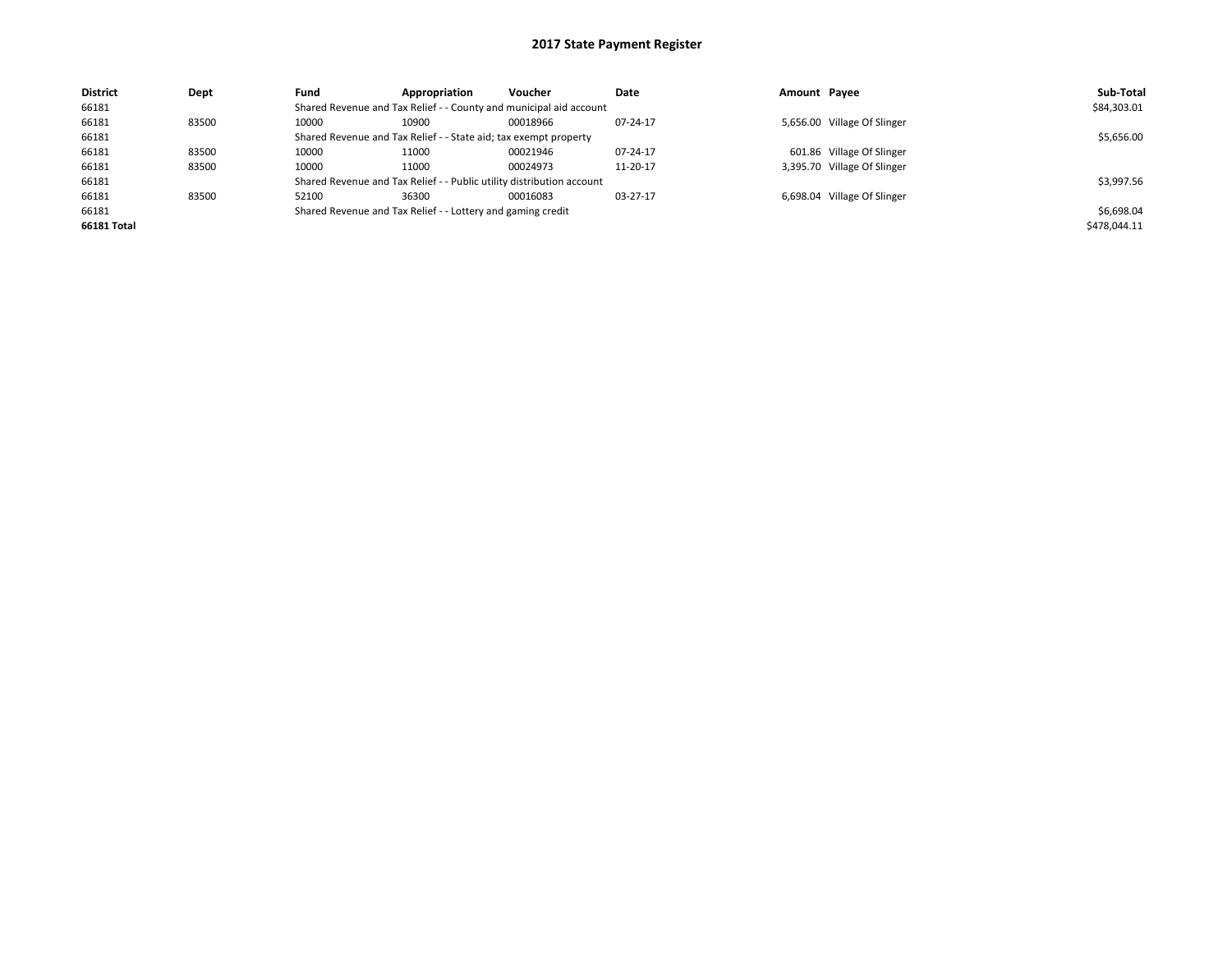| <b>District</b> | Dept  | Fund  | Appropriation                                                         | Voucher  | Date     | Amount Payee |                             | Sub-Total    |
|-----------------|-------|-------|-----------------------------------------------------------------------|----------|----------|--------------|-----------------------------|--------------|
| 66181           |       |       | Shared Revenue and Tax Relief - - County and municipal aid account    |          |          |              |                             | \$84,303.01  |
| 66181           | 83500 | 10000 | 10900                                                                 | 00018966 | 07-24-17 |              | 5,656.00 Village Of Slinger |              |
| 66181           |       |       | Shared Revenue and Tax Relief - - State aid; tax exempt property      |          |          |              |                             | \$5,656.00   |
| 66181           | 83500 | 10000 | 11000                                                                 | 00021946 | 07-24-17 |              | 601.86 Village Of Slinger   |              |
| 66181           | 83500 | 10000 | 11000                                                                 | 00024973 | 11-20-17 |              | 3,395.70 Village Of Slinger |              |
| 66181           |       |       | Shared Revenue and Tax Relief - - Public utility distribution account |          |          |              |                             | \$3,997.56   |
| 66181           | 83500 | 52100 | 36300                                                                 | 00016083 | 03-27-17 |              | 6,698.04 Village Of Slinger |              |
| 66181           |       |       | Shared Revenue and Tax Relief - - Lottery and gaming credit           |          |          |              |                             | \$6,698.04   |
| 66181 Total     |       |       |                                                                       |          |          |              |                             | \$478,044.11 |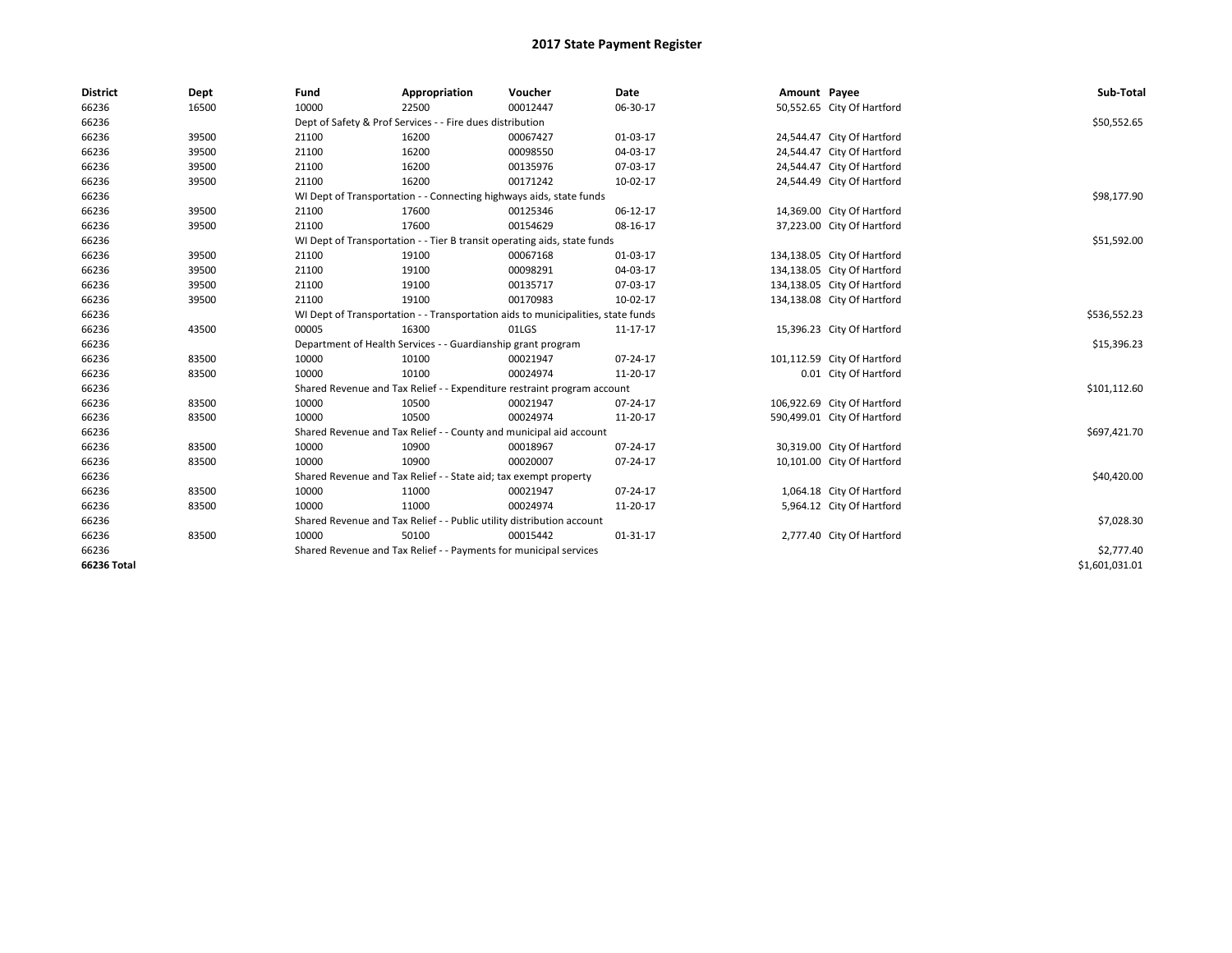| <b>District</b> | Dept  | Fund                                                                             | Appropriation                                                       | Voucher                                                                  | <b>Date</b> | Amount Payee |                             | Sub-Total      |
|-----------------|-------|----------------------------------------------------------------------------------|---------------------------------------------------------------------|--------------------------------------------------------------------------|-------------|--------------|-----------------------------|----------------|
| 66236           | 16500 | 10000                                                                            | 22500                                                               | 00012447                                                                 | 06-30-17    |              | 50,552.65 City Of Hartford  |                |
| 66236           |       | Dept of Safety & Prof Services - - Fire dues distribution                        |                                                                     | \$50,552.65                                                              |             |              |                             |                |
| 66236           | 39500 | 21100                                                                            | 16200                                                               | 00067427                                                                 | 01-03-17    |              | 24,544.47 City Of Hartford  |                |
| 66236           | 39500 | 21100                                                                            | 16200                                                               | 00098550                                                                 | 04-03-17    |              | 24,544.47 City Of Hartford  |                |
| 66236           | 39500 | 21100                                                                            | 16200                                                               | 00135976                                                                 | 07-03-17    |              | 24,544.47 City Of Hartford  |                |
| 66236           | 39500 | 21100                                                                            | 16200                                                               | 00171242                                                                 | 10-02-17    |              | 24,544.49 City Of Hartford  |                |
| 66236           |       |                                                                                  | WI Dept of Transportation - - Connecting highways aids, state funds |                                                                          |             |              |                             | \$98,177.90    |
| 66236           | 39500 | 21100                                                                            | 17600                                                               | 00125346                                                                 | 06-12-17    |              | 14,369.00 City Of Hartford  |                |
| 66236           | 39500 | 21100                                                                            | 17600                                                               | 00154629                                                                 | 08-16-17    |              | 37,223.00 City Of Hartford  |                |
| 66236           |       |                                                                                  |                                                                     | WI Dept of Transportation - - Tier B transit operating aids, state funds |             |              |                             | \$51,592.00    |
| 66236           | 39500 | 21100                                                                            | 19100                                                               | 00067168                                                                 | 01-03-17    |              | 134,138.05 City Of Hartford |                |
| 66236           | 39500 | 21100                                                                            | 19100                                                               | 00098291                                                                 | 04-03-17    |              | 134,138.05 City Of Hartford |                |
| 66236           | 39500 | 21100                                                                            | 19100                                                               | 00135717                                                                 | 07-03-17    |              | 134,138.05 City Of Hartford |                |
| 66236           | 39500 | 21100                                                                            | 19100                                                               | 00170983                                                                 | 10-02-17    |              | 134,138.08 City Of Hartford |                |
| 66236           |       | WI Dept of Transportation - - Transportation aids to municipalities, state funds |                                                                     | \$536,552.23                                                             |             |              |                             |                |
| 66236           | 43500 | 00005                                                                            | 16300                                                               | 01LGS                                                                    | 11-17-17    |              | 15,396.23 City Of Hartford  |                |
| 66236           |       |                                                                                  | Department of Health Services - - Guardianship grant program        |                                                                          |             |              |                             | \$15,396.23    |
| 66236           | 83500 | 10000                                                                            | 10100                                                               | 00021947                                                                 | 07-24-17    |              | 101,112.59 City Of Hartford |                |
| 66236           | 83500 | 10000                                                                            | 10100                                                               | 00024974                                                                 | 11-20-17    |              | 0.01 City Of Hartford       |                |
| 66236           |       |                                                                                  |                                                                     | Shared Revenue and Tax Relief - - Expenditure restraint program account  |             |              |                             | \$101,112.60   |
| 66236           | 83500 | 10000                                                                            | 10500                                                               | 00021947                                                                 | 07-24-17    |              | 106,922.69 City Of Hartford |                |
| 66236           | 83500 | 10000                                                                            | 10500                                                               | 00024974                                                                 | 11-20-17    |              | 590,499.01 City Of Hartford |                |
| 66236           |       | Shared Revenue and Tax Relief - - County and municipal aid account               |                                                                     | \$697,421.70                                                             |             |              |                             |                |
| 66236           | 83500 | 10000                                                                            | 10900                                                               | 00018967                                                                 | 07-24-17    |              | 30,319.00 City Of Hartford  |                |
| 66236           | 83500 | 10000                                                                            | 10900                                                               | 00020007                                                                 | 07-24-17    |              | 10,101.00 City Of Hartford  |                |
| 66236           |       | Shared Revenue and Tax Relief - - State aid; tax exempt property                 |                                                                     | \$40,420.00                                                              |             |              |                             |                |
| 66236           | 83500 | 10000                                                                            | 11000                                                               | 00021947                                                                 | 07-24-17    |              | 1,064.18 City Of Hartford   |                |
| 66236           | 83500 | 10000                                                                            | 11000                                                               | 00024974                                                                 | 11-20-17    |              | 5,964.12 City Of Hartford   |                |
| 66236           |       | Shared Revenue and Tax Relief - - Public utility distribution account            |                                                                     |                                                                          |             |              |                             | \$7,028.30     |
| 66236           | 83500 | 10000                                                                            | 50100                                                               | 00015442                                                                 | 01-31-17    |              | 2,777.40 City Of Hartford   |                |
| 66236           |       | Shared Revenue and Tax Relief - - Payments for municipal services                |                                                                     | \$2,777.40                                                               |             |              |                             |                |
| 66236 Total     |       |                                                                                  |                                                                     |                                                                          |             |              |                             | \$1,601,031.01 |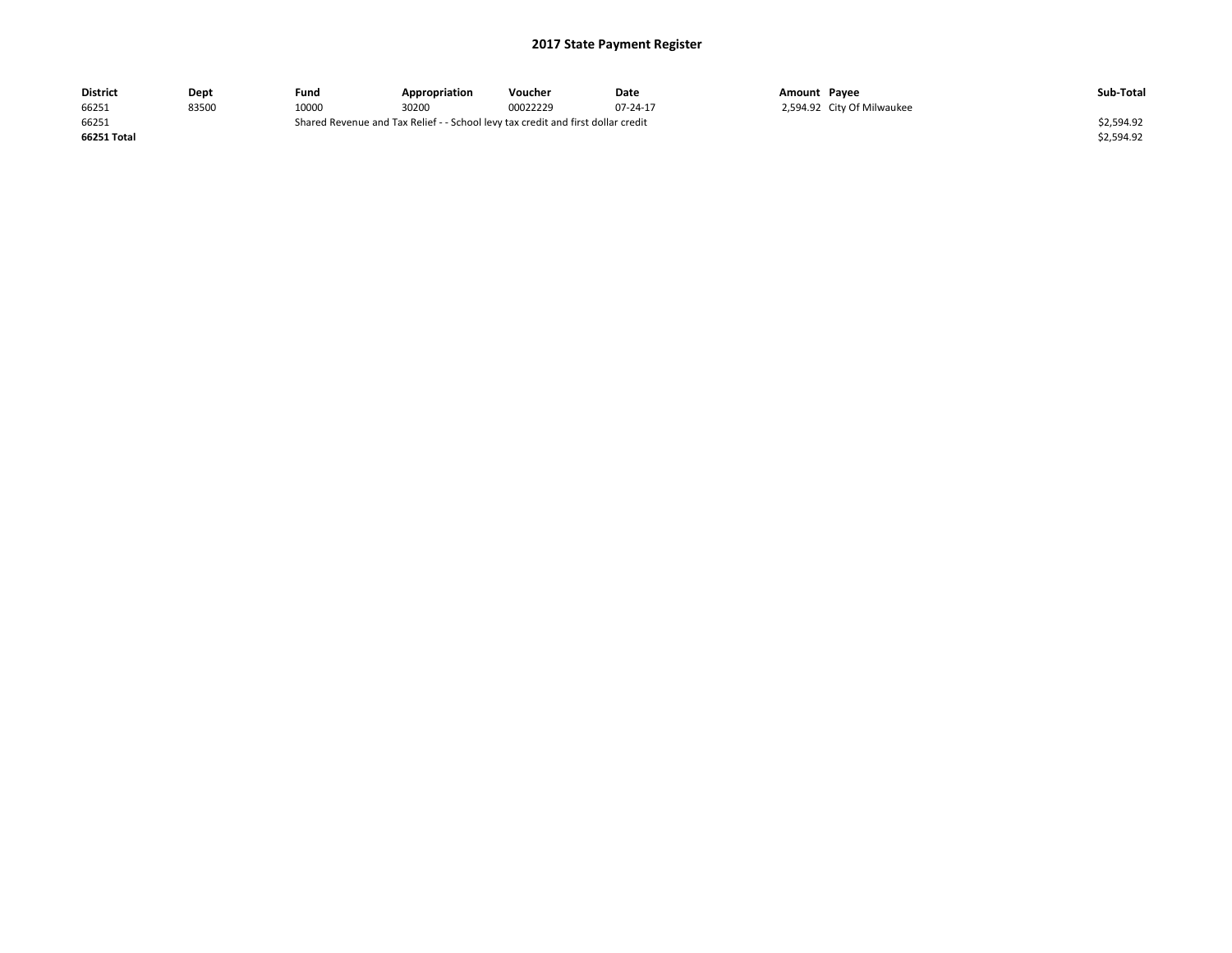| District    | Dept  | Fund                                                                             | Appropriation | Voucher  | Date     | Amount Pavee |                            | Sub-Total  |
|-------------|-------|----------------------------------------------------------------------------------|---------------|----------|----------|--------------|----------------------------|------------|
| 66251       | 83500 | 10000                                                                            | 30200         | 00022229 | 07-24-17 |              | 2,594.92 City Of Milwaukee |            |
| 66251       |       | Shared Revenue and Tax Relief - - School levy tax credit and first dollar credit |               |          |          |              |                            | \$2,594.92 |
| 66251 Total |       |                                                                                  |               |          |          |              |                            | \$2,594.92 |
|             |       |                                                                                  |               |          |          |              |                            |            |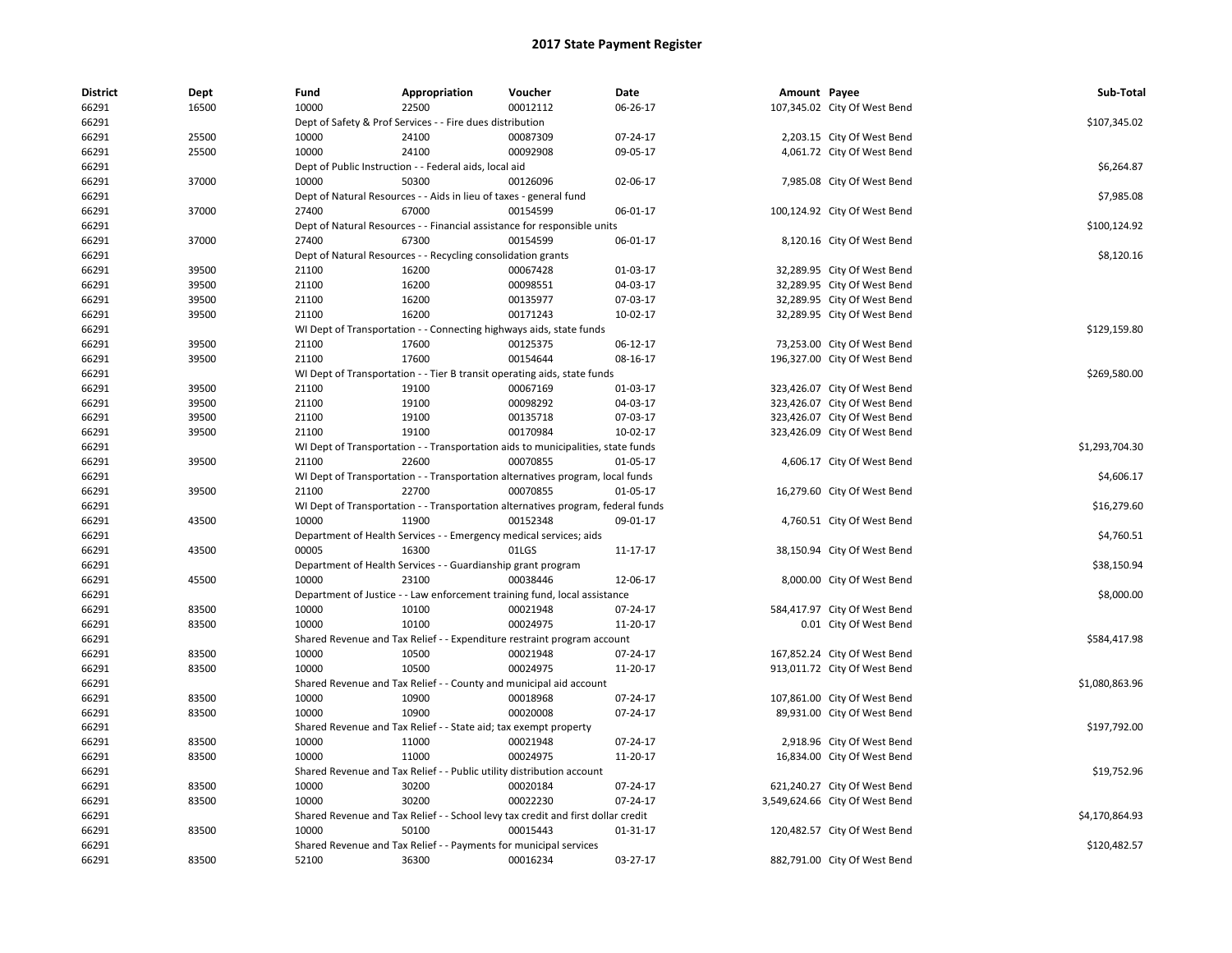| <b>District</b> | Dept  | Fund                                   | Appropriation                                                                             | Voucher                                             | Date     | Amount Payee |                                | Sub-Total      |  |
|-----------------|-------|----------------------------------------|-------------------------------------------------------------------------------------------|-----------------------------------------------------|----------|--------------|--------------------------------|----------------|--|
| 66291           | 16500 | 10000                                  | 22500                                                                                     | 00012112                                            | 06-26-17 |              | 107,345.02 City Of West Bend   |                |  |
| 66291           |       |                                        | Dept of Safety & Prof Services - - Fire dues distribution                                 |                                                     |          |              |                                |                |  |
| 66291           | 25500 | 10000                                  | 24100                                                                                     | 00087309                                            | 07-24-17 |              | 2,203.15 City Of West Bend     |                |  |
| 66291           | 25500 | 10000                                  | 24100                                                                                     | 00092908                                            | 09-05-17 |              | 4,061.72 City Of West Bend     |                |  |
| 66291           |       |                                        | Dept of Public Instruction - - Federal aids, local aid                                    |                                                     |          |              |                                | \$6,264.87     |  |
| 66291           | 37000 | 10000                                  | 50300                                                                                     | 00126096                                            | 02-06-17 |              | 7,985.08 City Of West Bend     |                |  |
| 66291           |       |                                        | Dept of Natural Resources - - Aids in lieu of taxes - general fund                        |                                                     |          |              |                                | \$7,985.08     |  |
| 66291           | 37000 | 27400                                  | 67000                                                                                     | 00154599                                            | 06-01-17 |              | 100,124.92 City Of West Bend   |                |  |
| 66291           |       |                                        | Dept of Natural Resources - - Financial assistance for responsible units                  |                                                     |          |              |                                | \$100,124.92   |  |
| 66291           | 37000 | 27400                                  | 67300                                                                                     | 00154599                                            | 06-01-17 |              | 8,120.16 City Of West Bend     |                |  |
| 66291           |       |                                        | Dept of Natural Resources - - Recycling consolidation grants                              |                                                     |          |              |                                | \$8,120.16     |  |
| 66291           | 39500 | 21100                                  | 16200                                                                                     | 00067428                                            | 01-03-17 |              | 32,289.95 City Of West Bend    |                |  |
| 66291           | 39500 | 21100                                  | 16200                                                                                     | 00098551                                            | 04-03-17 |              | 32,289.95 City Of West Bend    |                |  |
| 66291           | 39500 | 21100                                  | 16200                                                                                     | 00135977                                            | 07-03-17 |              | 32,289.95 City Of West Bend    |                |  |
| 66291           | 39500 | 21100                                  | 16200                                                                                     | 00171243                                            | 10-02-17 |              | 32,289.95 City Of West Bend    |                |  |
| 66291           |       |                                        | WI Dept of Transportation - - Connecting highways aids, state funds                       |                                                     |          |              |                                | \$129,159.80   |  |
| 66291           | 39500 | 21100                                  | 17600                                                                                     | 00125375                                            | 06-12-17 |              | 73,253.00 City Of West Bend    |                |  |
| 66291           | 39500 | 21100                                  | 17600                                                                                     | 00154644                                            | 08-16-17 |              | 196,327.00 City Of West Bend   |                |  |
| 66291           |       |                                        | WI Dept of Transportation - - Tier B transit operating aids, state funds                  |                                                     |          |              |                                | \$269,580.00   |  |
| 66291           | 39500 | 21100                                  | 19100                                                                                     | 00067169                                            | 01-03-17 |              | 323,426.07 City Of West Bend   |                |  |
| 66291           | 39500 | 21100                                  | 19100                                                                                     | 00098292                                            | 04-03-17 |              | 323,426.07 City Of West Bend   |                |  |
| 66291           | 39500 | 21100                                  | 19100                                                                                     | 00135718                                            | 07-03-17 |              | 323,426.07 City Of West Bend   |                |  |
| 66291           | 39500 | 21100                                  | 19100                                                                                     | 00170984                                            | 10-02-17 |              | 323,426.09 City Of West Bend   |                |  |
| 66291           |       |                                        | WI Dept of Transportation - - Transportation aids to municipalities, state funds          |                                                     |          |              |                                | \$1,293,704.30 |  |
| 66291           | 39500 | 21100                                  | 22600                                                                                     | 00070855                                            | 01-05-17 |              | 4,606.17 City Of West Bend     |                |  |
| 66291           |       |                                        | WI Dept of Transportation - - Transportation alternatives program, local funds            |                                                     |          |              |                                | \$4,606.17     |  |
| 66291           | 39500 | 21100                                  | 22700                                                                                     | 00070855                                            | 01-05-17 |              | 16,279.60 City Of West Bend    |                |  |
| 66291           |       |                                        | WI Dept of Transportation - - Transportation alternatives program, federal funds          |                                                     |          |              |                                | \$16,279.60    |  |
| 66291           | 43500 | 10000                                  | 11900                                                                                     | 00152348                                            | 09-01-17 |              | 4,760.51 City Of West Bend     |                |  |
| 66291           |       |                                        | Department of Health Services - - Emergency medical services; aids                        |                                                     |          |              |                                | \$4,760.51     |  |
| 66291           | 43500 | 00005                                  | 16300                                                                                     | 01LGS                                               | 11-17-17 |              | 38,150.94 City Of West Bend    |                |  |
| 66291           |       |                                        | Department of Health Services - - Guardianship grant program                              |                                                     |          |              |                                | \$38,150.94    |  |
| 66291           | 45500 | 10000                                  | 23100                                                                                     | 00038446                                            | 12-06-17 |              | 8,000.00 City Of West Bend     |                |  |
| 66291           |       |                                        | Department of Justice - - Law enforcement training fund, local assistance                 |                                                     |          |              |                                | \$8,000.00     |  |
| 66291           | 83500 | 10000                                  | 10100                                                                                     | 00021948                                            | 07-24-17 |              | 584,417.97 City Of West Bend   |                |  |
| 66291           | 83500 | 10000                                  | 10100                                                                                     | 00024975                                            | 11-20-17 |              | 0.01 City Of West Bend         |                |  |
| 66291           |       |                                        | Shared Revenue and Tax Relief - - Expenditure restraint program account                   |                                                     |          |              |                                | \$584,417.98   |  |
| 66291           | 83500 | 10000                                  | 10500                                                                                     | 00021948                                            | 07-24-17 |              | 167,852.24 City Of West Bend   |                |  |
| 66291           | 83500 | 10000                                  | 10500                                                                                     | 00024975                                            | 11-20-17 |              | 913,011.72 City Of West Bend   |                |  |
| 66291           |       |                                        | Shared Revenue and Tax Relief - - County and municipal aid account                        |                                                     |          |              |                                | \$1,080,863.96 |  |
| 66291           | 83500 | 10000                                  | 10900                                                                                     | 00018968                                            | 07-24-17 |              | 107,861.00 City Of West Bend   |                |  |
| 66291           | 83500 | 10000                                  | 10900                                                                                     | 00020008                                            | 07-24-17 |              | 89,931.00 City Of West Bend    |                |  |
| 66291           |       |                                        | Shared Revenue and Tax Relief - - State aid; tax exempt property                          |                                                     |          |              |                                | \$197,792.00   |  |
| 66291           | 83500 | 10000                                  | 11000                                                                                     | 00021948                                            | 07-24-17 |              | 2,918.96 City Of West Bend     |                |  |
| 66291           | 83500 | 10000                                  | 11000                                                                                     | 00024975                                            | 11-20-17 |              |                                |                |  |
|                 |       |                                        |                                                                                           |                                                     |          |              | 16,834.00 City Of West Bend    | \$19,752.96    |  |
| 66291           |       | Shared Revenue and Tax Relief<br>10000 |                                                                                           | - - Public utility distribution account<br>00020184 |          |              |                                |                |  |
| 66291           | 83500 |                                        | 30200                                                                                     |                                                     | 07-24-17 |              | 621,240.27 City Of West Bend   |                |  |
| 66291           | 83500 | 10000                                  | 30200                                                                                     | 00022230                                            | 07-24-17 |              | 3,549,624.66 City Of West Bend |                |  |
| 66291           | 83500 | 10000                                  | Shared Revenue and Tax Relief - - School levy tax credit and first dollar credit<br>50100 | 00015443                                            |          |              |                                | \$4,170,864.93 |  |
| 66291           |       |                                        |                                                                                           |                                                     | 01-31-17 |              | 120,482.57 City Of West Bend   |                |  |
| 66291           |       |                                        | Shared Revenue and Tax Relief - - Payments for municipal services                         |                                                     |          |              |                                | \$120,482.57   |  |
| 66291           | 83500 | 52100                                  | 36300                                                                                     | 00016234                                            | 03-27-17 |              | 882,791.00 City Of West Bend   |                |  |